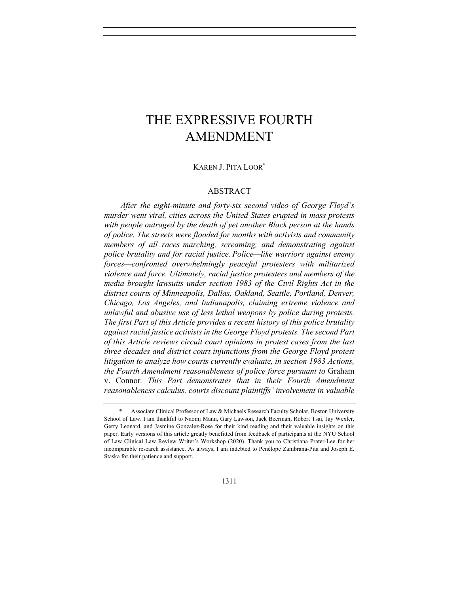# THE EXPRESSIVE FOURTH AMENDMENT

# KAREN J. PITA LOOR\*

# ABSTRACT

*After the eight-minute and forty-six second video of George Floyd's murder went viral, cities across the United States erupted in mass protests with people outraged by the death of yet another Black person at the hands of police. The streets were flooded for months with activists and community members of all races marching, screaming, and demonstrating against police brutality and for racial justice. Police—like warriors against enemy forces—confronted overwhelmingly peaceful protesters with militarized violence and force. Ultimately, racial justice protesters and members of the media brought lawsuits under section 1983 of the Civil Rights Act in the district courts of Minneapolis, Dallas, Oakland, Seattle, Portland, Denver, Chicago, Los Angeles, and Indianapolis, claiming extreme violence and unlawful and abusive use of less lethal weapons by police during protests. The first Part of this Article provides a recent history of this police brutality against racial justice activists in the George Floyd protests. The second Part of this Article reviews circuit court opinions in protest cases from the last three decades and district court injunctions from the George Floyd protest litigation to analyze how courts currently evaluate, in section 1983 Actions, the Fourth Amendment reasonableness of police force pursuant to* Graham v. Connor*. This Part demonstrates that in their Fourth Amendment reasonableness calculus, courts discount plaintiffs' involvement in valuable* 

Associate Clinical Professor of Law & Michaels Research Faculty Scholar, Boston University School of Law. I am thankful to Naomi Mann, Gary Lawson, Jack Beerman, Robert Tsai, Jay Wexler, Gerry Leonard, and Jasmine Gonzalez-Rose for their kind reading and their valuable insights on this paper. Early versions of this article greatly benefitted from feedback of participants at the NYU School of Law Clinical Law Review Writer's Workshop (2020). Thank you to Christiana Prater-Lee for her incomparable research assistance. As always, I am indebted to Penélope Zambrana-Pita and Joseph E. Staska for their patience and support.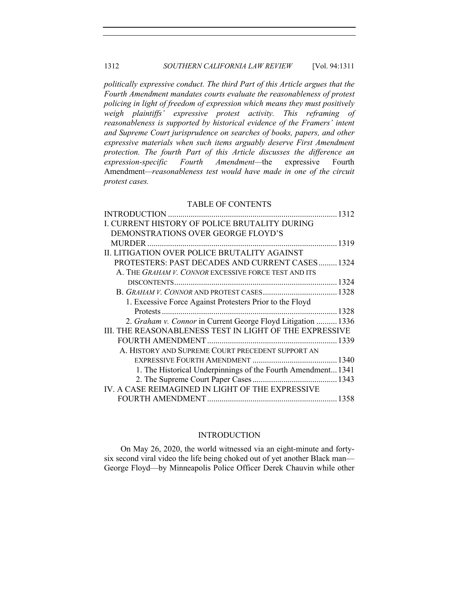*politically expressive conduct. The third Part of this Article argues that the Fourth Amendment mandates courts evaluate the reasonableness of protest policing in light of freedom of expression which means they must positively weigh plaintiffs' expressive protest activity. This reframing of reasonableness is supported by historical evidence of the Framers' intent and Supreme Court jurisprudence on searches of books, papers, and other expressive materials when such items arguably deserve First Amendment protection. The fourth Part of this Article discusses the difference an expression-specific Fourth Amendment—*the expressive Fourth Amendment*—reasonableness test would have made in one of the circuit protest cases.*

#### TABLE OF CONTENTS

| I. CURRENT HISTORY OF POLICE BRUTALITY DURING                |  |
|--------------------------------------------------------------|--|
| DEMONSTRATIONS OVER GEORGE FLOYD'S                           |  |
|                                                              |  |
| II. LITIGATION OVER POLICE BRUTALITY AGAINST                 |  |
| <b>PROTESTERS: PAST DECADES AND CURRENT CASES 1324</b>       |  |
| A. THE <i>GRAHAM V. CONNOR</i> EXCESSIVE FORCE TEST AND ITS  |  |
|                                                              |  |
|                                                              |  |
| 1. Excessive Force Against Protesters Prior to the Floyd     |  |
|                                                              |  |
| 2. Graham v. Connor in Current George Floyd Litigation  1336 |  |
| III. THE REASONABLENESS TEST IN LIGHT OF THE EXPRESSIVE      |  |
|                                                              |  |
| A. HISTORY AND SUPREME COURT PRECEDENT SUPPORT AN            |  |
|                                                              |  |
| 1. The Historical Underpinnings of the Fourth Amendment 1341 |  |
|                                                              |  |
| IV. A CASE REIMAGINED IN LIGHT OF THE EXPRESSIVE             |  |
|                                                              |  |
|                                                              |  |

## INTRODUCTION

On May 26, 2020, the world witnessed via an eight-minute and fortysix second viral video the life being choked out of yet another Black man— George Floyd—by Minneapolis Police Officer Derek Chauvin while other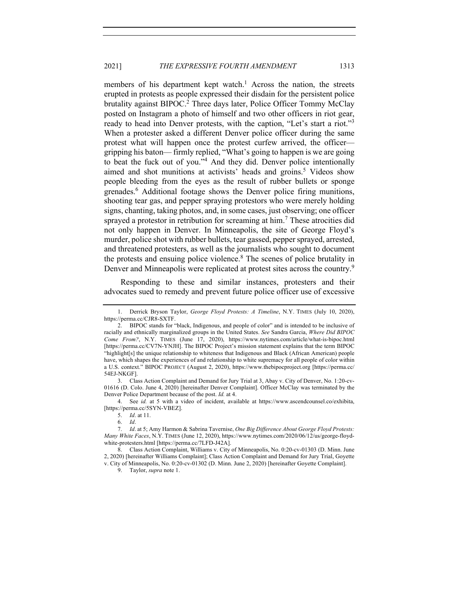members of his department kept watch.<sup>1</sup> Across the nation, the streets erupted in protests as people expressed their disdain for the persistent police brutality against BIPOC.<sup>2</sup> Three days later, Police Officer Tommy McClay posted on Instagram a photo of himself and two other officers in riot gear, ready to head into Denver protests, with the caption, "Let's start a riot."<sup>3</sup> When a protester asked a different Denver police officer during the same protest what will happen once the protest curfew arrived, the officer gripping his baton— firmly replied, "What's going to happen is we are going to beat the fuck out of you."4 And they did. Denver police intentionally aimed and shot munitions at activists' heads and groins.<sup>5</sup> Videos show people bleeding from the eyes as the result of rubber bullets or sponge grenades.6 Additional footage shows the Denver police firing munitions, shooting tear gas, and pepper spraying protestors who were merely holding signs, chanting, taking photos, and, in some cases, just observing; one officer sprayed a protestor in retribution for screaming at him.<sup>7</sup> These atrocities did not only happen in Denver. In Minneapolis, the site of George Floyd's murder, police shot with rubber bullets, tear gassed, pepper sprayed, arrested, and threatened protesters, as well as the journalists who sought to document the protests and ensuing police violence. $8$  The scenes of police brutality in Denver and Minneapolis were replicated at protest sites across the country.<sup>9</sup>

Responding to these and similar instances, protesters and their advocates sued to remedy and prevent future police officer use of excessive

3. Class Action Complaint and Demand for Jury Trial at 3, Abay v. City of Denver, No. 1:20-cv-01616 (D. Colo. June 4, 2020) [hereinafter Denver Complaint]. Officer McClay was terminated by the Denver Police Department because of the post. *Id.* at 4.

4. See *id.* at 5 with a video of incident, available at https://www.ascendcounsel.co/exhibita, [https://perma.cc/5SYN-VBEZ].

<sup>1.</sup> Derrick Bryson Taylor, *George Floyd Protests: A Timeline*, N.Y. TIMES (July 10, 2020), https://perma.cc/CJR8-SXTF.

<sup>2.</sup> BIPOC stands for "black, Indigenous, and people of color" and is intended to be inclusive of racially and ethnically marginalized groups in the United States. *See* Sandra Garcia, *Where Did BIPOC Come From?*, N.Y. TIMES (June 17, 2020), https://www.nytimes.com/article/what-is-bipoc.html [https://perma.cc/CV7N-YNJH]. The BIPOC Project's mission statement explains that the term BIPOC "highlight[s] the unique relationship to whiteness that Indigenous and Black (African American) people have, which shapes the experiences of and relationship to white supremacy for all people of color within a U.S. context." BIPOC PROJECT (August 2, 2020), https://www.thebipocproject.org [https://perma.cc/ 54EJ-NKGF].

<sup>5.</sup> *Id*. at 11.

<sup>6.</sup> *Id*.

<sup>7.</sup> *Id*. at 5; Amy Harmon & Sabrina Tavernise, *One Big Difference About George Floyd Protests: Many White Faces*, N.Y. TIMES (June 12, 2020), https://www.nytimes.com/2020/06/12/us/george-floydwhite-protesters.html [https://perma.cc/7LFD-J42A].

<sup>8.</sup> Class Action Complaint, Williams v. City of Minneapolis, No. 0:20-cv-01303 (D. Minn. June 2, 2020) [hereinafter Williams Complaint]; Class Action Complaint and Demand for Jury Trial, Goyette v. City of Minneapolis, No. 0:20-cv-01302 (D. Minn. June 2, 2020) [hereinafter Goyette Complaint].

<sup>9.</sup> Taylor, *supra* note 1.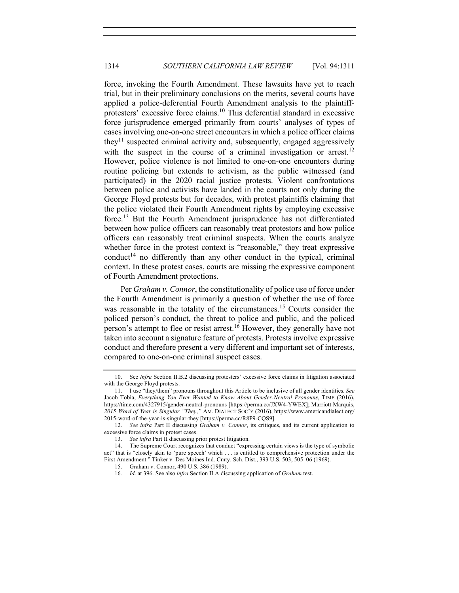force, invoking the Fourth Amendment. These lawsuits have yet to reach trial, but in their preliminary conclusions on the merits, several courts have applied a police-deferential Fourth Amendment analysis to the plaintiffprotesters' excessive force claims.<sup>10</sup> This deferential standard in excessive force jurisprudence emerged primarily from courts' analyses of types of cases involving one-on-one street encounters in which a police officer claims they<sup>11</sup> suspected criminal activity and, subsequently, engaged aggressively with the suspect in the course of a criminal investigation or arrest.<sup>12</sup> However, police violence is not limited to one-on-one encounters during routine policing but extends to activism, as the public witnessed (and participated) in the 2020 racial justice protests. Violent confrontations between police and activists have landed in the courts not only during the George Floyd protests but for decades, with protest plaintiffs claiming that the police violated their Fourth Amendment rights by employing excessive force.<sup>13</sup> But the Fourth Amendment jurisprudence has not differentiated between how police officers can reasonably treat protestors and how police officers can reasonably treat criminal suspects. When the courts analyze whether force in the protest context is "reasonable," they treat expressive conduct<sup>14</sup> no differently than any other conduct in the typical, criminal context. In these protest cases, courts are missing the expressive component of Fourth Amendment protections.

Per *Graham v. Connor*, the constitutionality of police use of force under the Fourth Amendment is primarily a question of whether the use of force was reasonable in the totality of the circumstances.<sup>15</sup> Courts consider the policed person's conduct, the threat to police and public, and the policed person's attempt to flee or resist arrest.<sup>16</sup> However, they generally have not taken into account a signature feature of protests. Protests involve expressive conduct and therefore present a very different and important set of interests, compared to one-on-one criminal suspect cases.

<sup>10.</sup> See *infra* Section II.B.2 discussing protesters' excessive force claims in litigation associated with the George Floyd protests.

<sup>11.</sup> I use "they/them" pronouns throughout this Article to be inclusive of all gender identities. *See*  Jacob Tobia, *Everything You Ever Wanted to Know About Gender-Neutral Pronouns*, TIME (2016), https://time.com/4327915/gender-neutral-pronouns [https://perma.cc/JXW4-YWEX]; Marriott Marquis, *2015 Word of Year is Singular "They*,*"* AM. DIALECT SOC'Y (2016), https://www.americandialect.org/ 2015-word-of-the-year-is-singular-they [https://perma.cc/R8P9-CQS9].

<sup>12.</sup> *See infra* Part II discussing *Graham v. Connor*, its critiques, and its current application to excessive force claims in protest cases.

<sup>13.</sup> *See infra* Part II discussing prior protest litigation.

<sup>14.</sup> The Supreme Court recognizes that conduct "expressing certain views is the type of symbolic act" that is "closely akin to 'pure speech' which . . . is entitled to comprehensive protection under the First Amendment." Tinker v. Des Moines Ind. Cmty. Sch. Dist., 393 U.S. 503, 505–06 (1969).

<sup>15.</sup> Graham v. Connor, 490 U.S. 386 (1989).

<sup>16.</sup> *Id*. at 396. See also *infra* Section II.A discussing application of *Graham* test.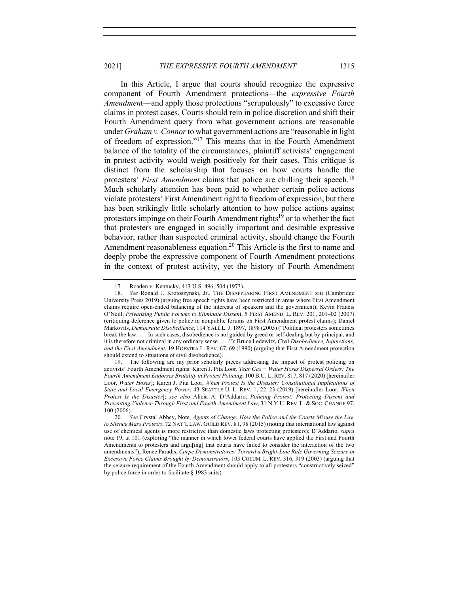In this Article, I argue that courts should recognize the expressive component of Fourth Amendment protections—the *expressive Fourth Amendmen*t—and apply those protections "scrupulously" to excessive force claims in protest cases. Courts should rein in police discretion and shift their Fourth Amendment query from what government actions are reasonable under *Graham v. Connor* to what government actions are "reasonable in light of freedom of expression."17 This means that in the Fourth Amendment balance of the totality of the circumstances, plaintiff activists' engagement in protest activity would weigh positively for their cases. This critique is distinct from the scholarship that focuses on how courts handle the protesters' *First Amendment* claims that police are chilling their speech.<sup>18</sup> Much scholarly attention has been paid to whether certain police actions violate protesters' First Amendment right to freedom of expression, but there has been strikingly little scholarly attention to how police actions against protestors impinge on their Fourth Amendment rights<sup>19</sup> or to whether the fact that protesters are engaged in socially important and desirable expressive behavior, rather than suspected criminal activity, should change the Fourth Amendment reasonableness equation.<sup>20</sup> This Article is the first to name and deeply probe the expressive component of Fourth Amendment protections in the context of protest activity, yet the history of Fourth Amendment

<sup>17.</sup> Roaden v. Kentucky, 413 U.S. 496, 504 (1973).

<sup>18.</sup> *See* Ronald J. Krotoszynski, Jr., THE DISAPPEARING FIRST AMENDMENT xiii (Cambridge University Press 2019) (arguing free speech rights have been restricted in areas where First Amendment claims require open-ended balancing of the interests of speakers and the government); Kevin Francis O'Neill, *Privatizing Public Forums to Eliminate Dissen*t, 5 FIRST AMEND. L. REV. 201, 201–02 (2007) (critiquing deference given to police in nonpublic forums on First Amendment protest claims); Daniel Markovits, *Democratic Disobedience*, 114 YALE L.J. 1897, 1898 (2005) ("Political protesters sometimes break the law. . . . In such cases, disobedience is not guided by greed or self-dealing but by principal, and it is therefore not criminal in any ordinary sense . . . ."); Bruce Ledewitz, *Civil Disobedience, Injunctions, and the First Amendment*, 19 HOFSTRA L. REV. 67, 69 (1990) (arguing that First Amendment protection should extend to situations of civil disobedience).

<sup>19.</sup> The following are my prior scholarly pieces addressing the impact of protest policing on activists' Fourth Amendment rights: Karen J. Pita Loor, *Tear Gas + Water Hoses Dispersal Orders: The Fourth Amendment Endorses Brutality in Protest Policing*, 100 B.U. L. REV. 817, 817 (2020) [hereinafter Loor, *Water Hoses*]; Karen J. Pita Loor, *When Protest Is the Disaster: Constitutional Implications of State and Local Emergency Power*, 43 SEATTLE U. L. REV. 1, 22–23 (2019) [hereinafter Loor, *When Protest Is the Disaster*]; *see also* Alicia A. D'Addario, *Policing Protest: Protecting Dissent and Preventing Violence Through First and Fourth Amendment Law*, 31 N.Y.U. REV. L. & SOC. CHANGE 97, 100 (2006).

<sup>20.</sup> *See* Crystal Abbey, Note, *Agents of Change: How the Police and the Courts Misuse the Law to Silence Mass Protests*, 72 NAT'L LAW. GUILD REV. 81, 98 (2015) (noting that international law against use of chemical agents is more restrictive than domestic laws protecting protesters); D'Addario, *supra*  note 19, at 101 (exploring "the manner in which lower federal courts have applied the First and Fourth Amendments to protesters and argu[ing] that courts have failed to consider the interaction of the two amendments"); Renee Paradis, *Carpe Demonstratores: Toward a Bright-Line Rule Governing Seizure in Excessive Force Claims Brought by Demonstrators*, 103 COLUM. L. REV. 316, 319 (2003) (arguing that the seizure requirement of the Fourth Amendment should apply to all protesters "constructively seized" by police force in order to facilitate § 1983 suits).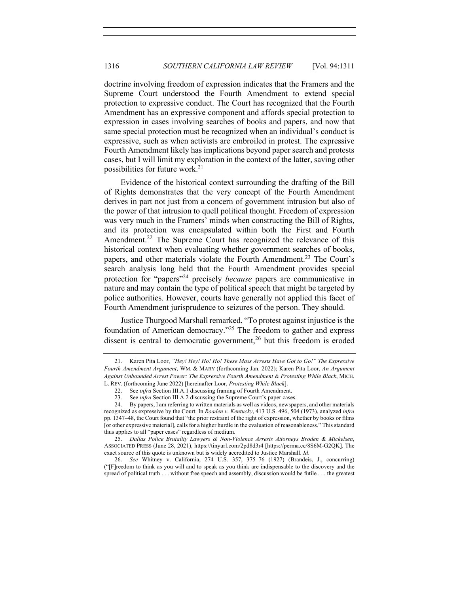doctrine involving freedom of expression indicates that the Framers and the Supreme Court understood the Fourth Amendment to extend special protection to expressive conduct. The Court has recognized that the Fourth Amendment has an expressive component and affords special protection to expression in cases involving searches of books and papers, and now that same special protection must be recognized when an individual's conduct is expressive, such as when activists are embroiled in protest. The expressive Fourth Amendment likely has implications beyond paper search and protests cases, but I will limit my exploration in the context of the latter, saving other possibilities for future work.<sup>21</sup>

Evidence of the historical context surrounding the drafting of the Bill of Rights demonstrates that the very concept of the Fourth Amendment derives in part not just from a concern of government intrusion but also of the power of that intrusion to quell political thought. Freedom of expression was very much in the Framers' minds when constructing the Bill of Rights, and its protection was encapsulated within both the First and Fourth Amendment.<sup>22</sup> The Supreme Court has recognized the relevance of this historical context when evaluating whether government searches of books, papers, and other materials violate the Fourth Amendment.<sup>23</sup> The Court's search analysis long held that the Fourth Amendment provides special protection for "papers"24 precisely *because* papers are communicative in nature and may contain the type of political speech that might be targeted by police authorities. However, courts have generally not applied this facet of Fourth Amendment jurisprudence to seizures of the person. They should.

Justice Thurgood Marshall remarked, "To protest against injustice is the foundation of American democracy."<sup>25</sup> The freedom to gather and express dissent is central to democratic government,<sup>26</sup> but this freedom is eroded

<sup>21.</sup> Karen Pita Loor, *"Hey! Hey! Ho! Ho! These Mass Arrests Have Got to Go!" The Expressive Fourth Amendment Argument*, WM. & MARY (forthcoming Jan. 2022); Karen Pita Loor, *An Argument Against Unbounded Arrest Power: The Expressive Fourth Amendment & Protesting While Black*, MICH. L. REV. (forthcoming June 2022) [hereinafter Loor, *Protesting While Black*].

<sup>22.</sup> See *infra* Section III.A.1 discussing framing of Fourth Amendment.<br>23. See *infra* Section III.A.2 discussing the Supreme Court's paper case.

See *infra* Section III.A.2 discussing the Supreme Court's paper cases.

<sup>24.</sup> By papers, I am referring to written materials as well as videos, newspapers, and other materials recognized as expressive by the Court. In *Roaden v. Kentucky*, 413 U.S. 496, 504 (1973), analyzed *infra* pp. 1347–48, the Court found that "the prior restraint of the right of expression, whether by books or films [or other expressive material], calls for a higher hurdle in the evaluation of reasonableness." This standard thus applies to all "paper cases" regardless of medium.

<sup>25.</sup> *Dallas Police Brutality Lawyers & Non-Violence Arrests Attorneys Broden & Mickelsen*, ASSOCIATED PRESS (June 28, 2021), https://tinyurl.com/2pd8d3r4 [https://perma.cc/8S6M-G2QK]. The exact source of this quote is unknown but is widely accredited to Justice Marshall. *Id*.

<sup>26.</sup> *See* Whitney v. California, 274 U.S. 357, 375–76 (1927) (Brandeis, J., concurring) ("[F]reedom to think as you will and to speak as you think are indispensable to the discovery and the spread of political truth . . . without free speech and assembly, discussion would be futile . . . the greatest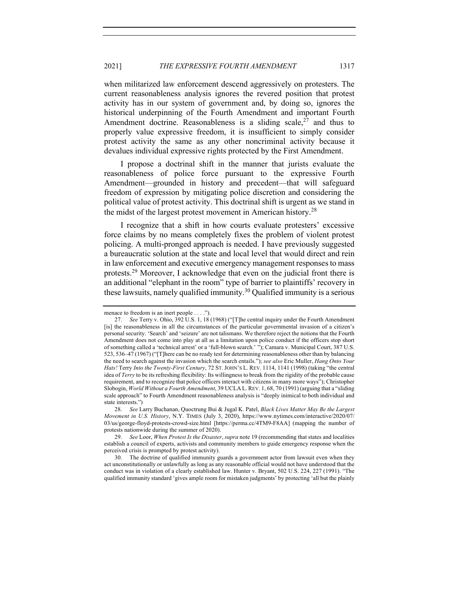## 2021] *THE EXPRESSIVE FOURTH AMENDMENT* 1317

when militarized law enforcement descend aggressively on protesters. The current reasonableness analysis ignores the revered position that protest activity has in our system of government and, by doing so, ignores the historical underpinning of the Fourth Amendment and important Fourth Amendment doctrine. Reasonableness is a sliding scale, $27$  and thus to properly value expressive freedom, it is insufficient to simply consider protest activity the same as any other noncriminal activity because it devalues individual expressive rights protected by the First Amendment.

I propose a doctrinal shift in the manner that jurists evaluate the reasonableness of police force pursuant to the expressive Fourth Amendment—grounded in history and precedent—that will safeguard freedom of expression by mitigating police discretion and considering the political value of protest activity. This doctrinal shift is urgent as we stand in the midst of the largest protest movement in American history.<sup>28</sup>

I recognize that a shift in how courts evaluate protesters' excessive force claims by no means completely fixes the problem of violent protest policing. A multi-pronged approach is needed. I have previously suggested a bureaucratic solution at the state and local level that would direct and rein in law enforcement and executive emergency management responsesto mass protests.29 Moreover, I acknowledge that even on the judicial front there is an additional "elephant in the room" type of barrier to plaintiffs' recovery in these lawsuits, namely qualified immunity.<sup>30</sup> Qualified immunity is a serious

menace to freedom is an inert people . . . .").

<sup>27.</sup> *See* Terry v. Ohio, 392 U.S. 1, 18 (1968) ("[T]he central inquiry under the Fourth Amendment [is] the reasonableness in all the circumstances of the particular governmental invasion of a citizen's personal security. 'Search' and 'seizure' are not talismans. We therefore reject the notions that the Fourth Amendment does not come into play at all as a limitation upon police conduct if the officers stop short of something called a 'technical arrest' or a 'full-blown search.' "); Camara v. Municipal Court, 387 U.S. 523, 536–47 (1967) ("[T]here can be no ready test for determining reasonableness other than by balancing the need to search against the invasion which the search entails."); *see also* Eric Muller, *Hang Onto Your Hats!* Terry *Into the Twenty-First Century*, 72 ST. JOHN'S L. REV. 1114, 1141 (1998) (taking "the central idea of *Terry* to be its refreshing flexibility: Its willingness to break from the rigidity of the probable cause requirement, and to recognize that police officers interact with citizens in many more ways"); Christopher Slobogin, *World Without a Fourth Amendment*, 39 UCLA L.REV. 1, 68, 70 (1991) (arguing that a "sliding scale approach" to Fourth Amendment reasonableness analysis is "deeply inimical to both individual and state interests.")

<sup>28.</sup> *See* Larry Buchanan, Quoctrung Bui & Jugal K. Patel, *Black Lives Matter May Be the Largest Movement in U.S. History*, N.Y. TIMES (July 3, 2020), https://www.nytimes.com/interactive/2020/07/ 03/us/george-floyd-protests-crowd-size.html [https://perma.cc/4TM9-F8AA] (mapping the number of protests nationwide during the summer of 2020).

<sup>29.</sup> *See* Loor, *When Protest Is the Disaster*, *supra* note 19 (recommending that states and localities establish a council of experts, activists and community members to guide emergency response when the perceived crisis is prompted by protest activity).

<sup>30.</sup> The doctrine of qualified immunity guards a government actor from lawsuit even when they act unconstitutionally or unlawfully as long as any reasonable official would not have understood that the conduct was in violation of a clearly established law. Hunter v. Bryant, 502 U.S. 224, 227 (1991). "The qualified immunity standard 'gives ample room for mistaken judgments' by protecting 'all but the plainly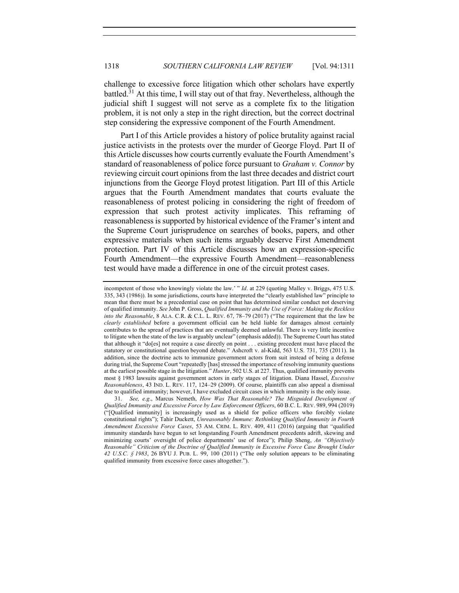challenge to excessive force litigation which other scholars have expertly battled.<sup>31</sup> At this time, I will stay out of that fray. Nevertheless, although the judicial shift I suggest will not serve as a complete fix to the litigation problem, it is not only a step in the right direction, but the correct doctrinal step considering the expressive component of the Fourth Amendment.

Part I of this Article provides a history of police brutality against racial justice activists in the protests over the murder of George Floyd. Part II of this Article discusses how courts currently evaluate the Fourth Amendment's standard of reasonableness of police force pursuant to *Graham v. Connor* by reviewing circuit court opinions from the last three decades and district court injunctions from the George Floyd protest litigation. Part III of this Article argues that the Fourth Amendment mandates that courts evaluate the reasonableness of protest policing in considering the right of freedom of expression that such protest activity implicates. This reframing of reasonableness is supported by historical evidence of the Framer's intent and the Supreme Court jurisprudence on searches of books, papers, and other expressive materials when such items arguably deserve First Amendment protection. Part IV of this Article discusses how an expression-specific Fourth Amendment—the expressive Fourth Amendment—reasonableness test would have made a difference in one of the circuit protest cases.

incompetent of those who knowingly violate the law.' " *Id*. at 229 (quoting Malley v. Briggs, 475 U.S. 335, 343 (1986)). In some jurisdictions, courts have interpreted the "clearly established law" principle to mean that there must be a precedential case on point that has determined similar conduct not deserving of qualified immunity. *See* John P. Gross, *Qualified Immunity and the Use of Force: Making the Reckless into the Reasonable*, 8 ALA. C.R. & C.L. L. REV. 67, 78–79 (2017) ("The requirement that the law be *clearly established* before a government official can be held liable for damages almost certainly contributes to the spread of practices that are eventually deemed unlawful. There is very little incentive to litigate when the state of the law is arguably unclear" (emphasis added)). The Supreme Court has stated that although it "do[es] not require a case directly on point . . . existing precedent must have placed the statutory or constitutional question beyond debate." Ashcroft v. al-Kidd, 563 U.S. 731, 735 (2011). In addition, since the doctrine acts to immunize government actors from suit instead of being a defense during trial, the Supreme Court "repeatedly [has] stressed the importance of resolving immunity questions at the earliest possible stage in the litigation." *Hunter*, 502 U.S. at 227. Thus, qualified immunity prevents most § 1983 lawsuits against government actors in early stages of litigation. Diana Hassel, *Excessive Reasonableness*, 43 IND. L. REV. 117, 124–29 (2009). Of course, plaintiffs can also appeal a dismissal due to qualified immunity; however, I have excluded circuit cases in which immunity is the only issue.

<sup>31.</sup> *See, e.g*., Marcus Nemeth, *How Was That Reasonable? The Misguided Development of Qualified Immunity and Excessive Force by Law Enforcement Officers*, 60 B.C. L. REV. 989, 994 (2019) ("[Qualified immunity] is increasingly used as a shield for police officers who forcibly violate constitutional rights"); Tahir Duckett, *Unreasonably Immune: Rethinking Qualified Immunity in Fourth Amendment Excessive Force Cases*, 53 AM. CRIM. L. REV. 409, 411 (2016) (arguing that "qualified immunity standards have begun to set longstanding Fourth Amendment precedents adrift, skewing and minimizing courts' oversight of police departments' use of force"); Philip Sheng, *An "Objectively Reasonable" Criticism of the Doctrine of Qualified Immunity in Excessive Force Case Brought Under 42 U.S.C. § 1983*, 26 BYU J. PUB. L. 99, 100 (2011) ("The only solution appears to be eliminating qualified immunity from excessive force cases altogether.").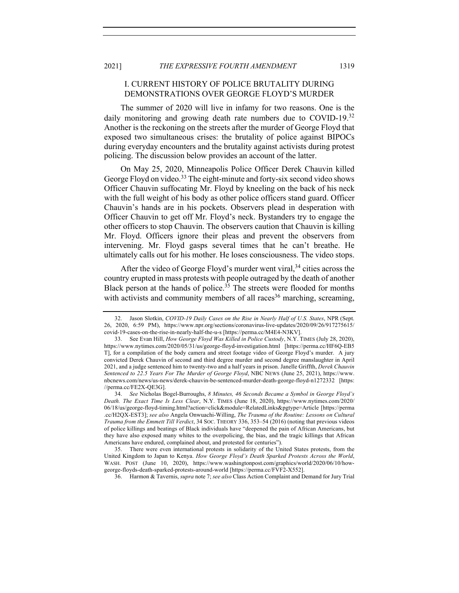# I. CURRENT HISTORY OF POLICE BRUTALITY DURING DEMONSTRATIONS OVER GEORGE FLOYD'S MURDER

The summer of 2020 will live in infamy for two reasons. One is the daily monitoring and growing death rate numbers due to  $COVID-19<sup>32</sup>$ Another is the reckoning on the streets after the murder of George Floyd that exposed two simultaneous crises: the brutality of police against BIPOCs during everyday encounters and the brutality against activists during protest policing. The discussion below provides an account of the latter.

On May 25, 2020, Minneapolis Police Officer Derek Chauvin killed George Floyd on video.<sup>33</sup> The eight-minute and forty-six second video shows Officer Chauvin suffocating Mr. Floyd by kneeling on the back of his neck with the full weight of his body as other police officers stand guard. Officer Chauvin's hands are in his pockets. Observers plead in desperation with Officer Chauvin to get off Mr. Floyd's neck. Bystanders try to engage the other officers to stop Chauvin. The observers caution that Chauvin is killing Mr. Floyd. Officers ignore their pleas and prevent the observers from intervening. Mr. Floyd gasps several times that he can't breathe. He ultimately calls out for his mother. He loses consciousness. The video stops.

After the video of George Floyd's murder went viral,<sup>34</sup> cities across the country erupted in mass protests with people outraged by the death of another Black person at the hands of police.<sup>35</sup> The streets were flooded for months with activists and community members of all races<sup>36</sup> marching, screaming,

<sup>32.</sup> Jason Slotkin, *COVID-19 Daily Cases on the Rise in Nearly Half of U.S. States*, NPR (Sept. 26, 2020, 6:59 PM), https://www.npr.org/sections/coronavirus-live-updates/2020/09/26/917275615/ covid-19-cases-on-the-rise-in-nearly-half-the-u-s [https://perma.cc/M4E4-N3KV].

<sup>33.</sup> See Evan Hill, *How George Floyd Was Killed in Police Custody*, N.Y. TIMES (July 28, 2020), https://www.nytimes.com/2020/05/31/us/george-floyd-investigation.html [https://perma.cc/HF6Q-EB5 T], for a compilation of the body camera and street footage video of George Floyd's murder. A jury convicted Derek Chauvin of second and third degree murder and second degree manslaughter in April 2021, and a judge sentenced him to twenty-two and a half years in prison. Janelle Griffth, *Derek Chauvin Sentenced to 22.5 Years For The Murder of George Floyd*, NBC NEWS (June 25, 2021), https://www. nbcnews.com/news/us-news/derek-chauvin-be-sentenced-murder-death-george-floyd-n1272332 [https: //perma.cc/FE2X-QE3G].

<sup>34.</sup> *See* Nicholas Bogel-Burroughs, *8 Minutes, 46 Seconds Became a Symbol in George Floyd's Death. The Exact Time Is Less Clear*, N.Y. TIMES (June 18, 2020), https://www.nytimes.com/2020/ 06/18/us/george-floyd-timing.html?action=click&module=RelatedLinks&pgtype=Article [https://perma .cc/H2QX-EST3]; *see also* Angela Onwuachi-Willing, *The Trauma of the Routine: Lessons on Cultural Trauma from the Emmett Till Verdict*, 34 SOC. THEORY 336, 353–54 (2016) (noting that previous videos of police killings and beatings of Black individuals have "deepened the pain of African Americans, but they have also exposed many whites to the overpolicing, the bias, and the tragic killings that African Americans have endured, complained about, and protested for centuries").

<sup>35.</sup> There were even international protests in solidarity of the United States protests, from the United Kingdom to Japan to Kenya. *How George Floyd's Death Sparked Protests Across the World*, WASH. POST (June 10, 2020), https://www.washingtonpost.com/graphics/world/2020/06/10/howgeorge-floyds-death-sparked-protests-around-world [https://perma.cc/FVF2-X552].

<sup>36.</sup> Harmon & Tavernis, *supra* note 7; *see also* Class Action Complaint and Demand for Jury Trial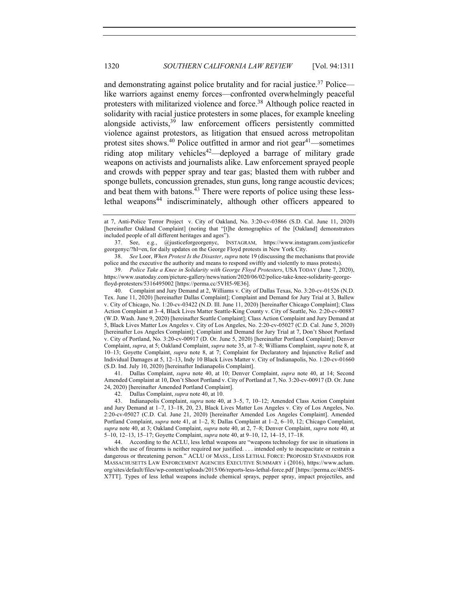and demonstrating against police brutality and for racial justice.<sup>37</sup> Police like warriors against enemy forces—confronted overwhelmingly peaceful protesters with militarized violence and force.<sup>38</sup> Although police reacted in solidarity with racial justice protesters in some places, for example kneeling alongside activists,<sup>39</sup> law enforcement officers persistently committed violence against protestors, as litigation that ensued across metropolitan protest sites shows.<sup>40</sup> Police outfitted in armor and riot gear<sup>41</sup>—sometimes riding atop military vehicles<sup>42</sup>—deployed a barrage of military grade weapons on activists and journalists alike. Law enforcement sprayed people and crowds with pepper spray and tear gas; blasted them with rubber and sponge bullets, concussion grenades, stun guns, long range acoustic devices; and beat them with batons.<sup>43</sup> There were reports of police using these lesslethal weapons<sup>44</sup> indiscriminately, although other officers appeared to

41. Dallas Complaint, *supra* note 40, at 10; Denver Complaint, *supra* note 40, at 14; Second Amended Complaint at 10, Don't Shoot Portland v. City of Portland at 7, No. 3:20-cv-00917 (D. Or. June 24, 2020) [hereinafter Amended Portland Complaint].

44. According to the ACLU, less lethal weapons are "weapons technology for use in situations in which the use of firearms is neither required nor justified. . . . intended only to incapacitate or restrain a dangerous or threatening person." ACLU OF MASS., LESS LETHAL FORCE: PROPOSED STANDARDS FOR MASSACHUSETTS LAW ENFORCEMENT AGENCIES EXECUTIVE SUMMARY i (2016), https://www.aclum. org/sites/default/files/wp-content/uploads/2015/06/reports-less-lethal-force.pdf [https://perma.cc/4M5S-X7TT]. Types of less lethal weapons include chemical sprays, pepper spray, impact projectiles, and

at 7, Anti-Police Terror Project v. City of Oakland, No. 3:20-cv-03866 (S.D. Cal. June 11, 2020) [hereinafter Oakland Complaint] (noting that "[t]he demographics of the [Oakland] demonstrators included people of all different heritages and ages").

<sup>37.</sup> See, e.g*.*, @justiceforgeorgenyc, INSTAGRAM, https://www.instagram.com/justicefor georgenyc/?hl=en, for daily updates on the George Floyd protests in New York City.

<sup>38.</sup> *See* Loor, *When Protest Is the Disaster*, *supra* note 19 (discussing the mechanisms that provide police and the executive the authority and means to respond swiftly and violently to mass protests).

<sup>39.</sup> *Police Take a Knee in Solidarity with George Floyd Protesters*, USA TODAY (June 7, 2020), https://www.usatoday.com/picture-gallery/news/nation/2020/06/02/police-take-knee-solidarity-georgefloyd-protesters/5316495002 [https://perma.cc/5VH5-9E36].

<sup>40.</sup> Complaint and Jury Demand at 2, Williams v. City of Dallas Texas, No. 3:20-cv-01526 (N.D. Tex. June 11, 2020) [hereinafter Dallas Complaint]; Complaint and Demand for Jury Trial at 3, Ballew v. City of Chicago, No. 1:20-cv-03422 (N.D. Ill. June 11, 2020) [hereinafter Chicago Complaint]; Class Action Complaint at 3–4, Black Lives Matter Seattle-King County v. City of Seattle, No. 2:20-cv-00887 (W.D. Wash. June 9, 2020) [hereinafter Seattle Complaint]; Class Action Complaint and Jury Demand at 5, Black Lives Matter Los Angeles v. City of Los Angeles, No. 2:20-cv-05027 (C.D. Cal. June 5, 2020) [hereinafter Los Angeles Complaint]; Complaint and Demand for Jury Trial at 7, Don't Shoot Portland v. City of Portland, No. 3:20-cv-00917 (D. Or. June 5, 2020) [hereinafter Portland Complaint]; Denver Complaint, *supra*, at 5; Oakland Complaint, *supra* note 35, at 7–8; Williams Complaint, *supra* note 8, at 10–13; Goyette Complaint, *supra* note 8, at 7; Complaint for Declaratory and Injunctive Relief and Individual Damages at 5, 12–13, Indy 10 Black Lives Matter v. City of Indianapolis, No. 1:20-cv-01660 (S.D. Ind. July 10, 2020) [hereinafter Indianapolis Complaint].

<sup>42.</sup> Dallas Complaint, *supra* note 40, at 10.

<sup>43.</sup> Indianapolis Complaint, *supra* note 40, at 3–5, 7, 10–12; Amended Class Action Complaint and Jury Demand at 1–7, 13–18, 20, 23, Black Lives Matter Los Angeles v. City of Los Angeles, No. 2:20-cv-05027 (C.D. Cal. June 21, 2020) [hereinafter Amended Los Angeles Complaint]. Amended Portland Complaint, *supra* note 41, at 1–2, 8; Dallas Complaint at 1–2, 6–10, 12; Chicago Complaint, *supra* note 40, at 3; Oakland Complaint, *supra* note 40, at 2, 7–8; Denver Complaint, *supra* note 40, at 5–10, 12–13, 15–17; Goyette Complaint, *supra* note 40, at 9–10, 12, 14–15, 17–18.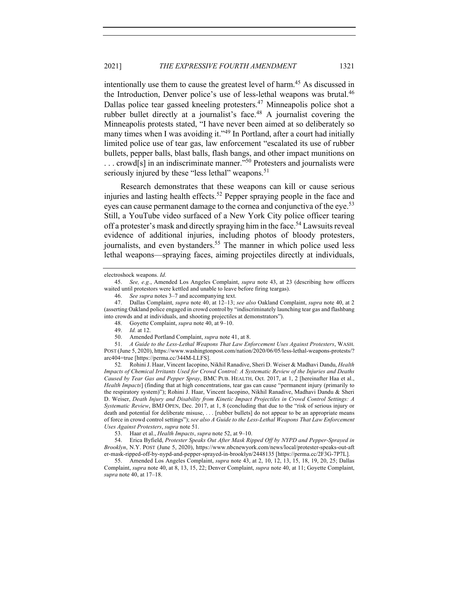intentionally use them to cause the greatest level of harm.<sup>45</sup> As discussed in the Introduction, Denver police's use of less-lethal weapons was brutal.<sup>46</sup> Dallas police tear gassed kneeling protesters.<sup>47</sup> Minneapolis police shot a rubber bullet directly at a journalist's face.<sup>48</sup> A journalist covering the Minneapolis protests stated, "I have never been aimed at so deliberately so many times when I was avoiding it."<sup>49</sup> In Portland, after a court had initially limited police use of tear gas, law enforcement "escalated its use of rubber bullets, pepper balls, blast balls, flash bangs, and other impact munitions on  $\dots$  crowd[s] in an indiscriminate manner."<sup>50</sup> Protesters and journalists were seriously injured by these "less lethal" weapons.<sup>51</sup>

Research demonstrates that these weapons can kill or cause serious injuries and lasting health effects.<sup>52</sup> Pepper spraying people in the face and eyes can cause permanent damage to the cornea and conjunctiva of the eye.<sup>53</sup> Still, a YouTube video surfaced of a New York City police officer tearing off a protester's mask and directly spraying him in the face.<sup>54</sup> Lawsuits reveal evidence of additional injuries, including photos of bloody protesters, journalists, and even bystanders.<sup>55</sup> The manner in which police used less lethal weapons—spraying faces, aiming projectiles directly at individuals,

51. *A Guide to the Less-Lethal Weapons That Law Enforcement Uses Against Protesters*, WASH. POST (June 5, 2020), https://www.washingtonpost.com/nation/2020/06/05/less-lethal-weapons-protests/? arc404=true [https://perma.cc/344M-LLFS].

52*.* Rohini J. Haar, Vincent Iacopino, Nikhil Ranadive, Sheri D. Weiser & Madhavi Dandu, *Health Impacts of Chemical Irritants Used for Crowd Control: A Systematic Review of the Injuries and Deaths Caused by Tear Gas and Pepper Spray*, BMC PUB. HEALTH, Oct. 2017, at 1, 2 [hereinafter Haa et al., *Health Impacts*] (finding that at high concentrations, tear gas can cause "permanent injury (primarily to the respiratory system)"); Rohini J. Haar, Vincent Iacopino, Nikhil Ranadive, Madhavi Dandu & Sheri D. Weiser, *Death Injury and Disability from Kinetic Impact Projectiles in Crowd Control Settings: A Systematic Review*, BMJ OPEN, Dec. 2017, at 1, 8 (concluding that due to the "risk of serious injury or death and potential for deliberate misuse, . . . [rubber bullets] do not appear to be an appropriate means of force in crowd control settings"); *see also A Guide to the Less-Lethal Weapons That Law Enforcement Uses Against Protesters*, *supra* note 51.

electroshock weapons. *Id*.

<sup>45.</sup> *See, e.g.*, Amended Los Angeles Complaint, *supra* note 43, at 23 (describing how officers waited until protestors were kettled and unable to leave before firing teargas).

See supra notes 3–7 and accompanying text.

<sup>47.</sup> Dallas Complaint, *supra* note 40, at 12–13; *see also* Oakland Complaint, *supra* note 40, at 2 (asserting Oakland police engaged in crowd control by "indiscriminately launching tear gas and flashbang into crowds and at individuals, and shooting projectiles at demonstrators").

<sup>48.</sup> Goyette Complaint, *supra* note 40, at 9–10.

<sup>49.</sup> *Id.* at 12.

<sup>50.</sup> Amended Portland Complaint, *supra* note 41, at 8.

<sup>53.</sup> Haar et al., *Health Impacts*, *supra* note 52, at 9–10.

<sup>54.</sup> Erica Byfield, *Protester Speaks Out After Mask Ripped Off by NYPD and Pepper-Sprayed in Brooklyn*, N.Y. POST (June 5, 2020), https://www.nbcnewyork.com/news/local/protester-speaks-out-aft er-mask-ripped-off-by-nypd-and-pepper-sprayed-in-brooklyn/2448135 [https://perma.cc/2F3G-7P7L].

<sup>55.</sup> Amended Los Angeles Complaint, *supra* note 43, at 2, 10, 12, 13, 15, 18, 19, 20, 25; Dallas Complaint, *supra* note 40, at 8, 13, 15, 22; Denver Complaint, *supra* note 40, at 11; Goyette Complaint, *supra* note 40, at 17–18.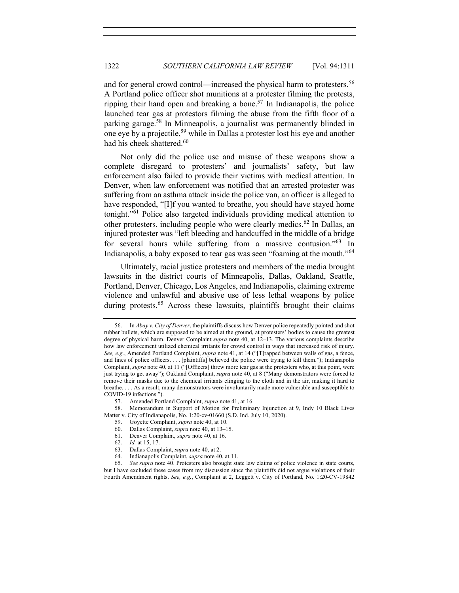and for general crowd control—increased the physical harm to protesters.<sup>56</sup> A Portland police officer shot munitions at a protester filming the protests, ripping their hand open and breaking a bone.<sup>57</sup> In Indianapolis, the police launched tear gas at protestors filming the abuse from the fifth floor of a parking garage.<sup>58</sup> In Minneapolis, a journalist was permanently blinded in one eye by a projectile,<sup>59</sup> while in Dallas a protester lost his eye and another had his cheek shattered.<sup>60</sup>

Not only did the police use and misuse of these weapons show a complete disregard to protesters' and journalists' safety, but law enforcement also failed to provide their victims with medical attention. In Denver, when law enforcement was notified that an arrested protester was suffering from an asthma attack inside the police van, an officer is alleged to have responded, "[I]f you wanted to breathe, you should have stayed home tonight."<sup>61</sup> Police also targeted individuals providing medical attention to other protesters, including people who were clearly medics.<sup>62</sup> In Dallas, an injured protester was "left bleeding and handcuffed in the middle of a bridge for several hours while suffering from a massive contusion."<sup>63</sup> In Indianapolis, a baby exposed to tear gas was seen "foaming at the mouth."<sup>64</sup>

Ultimately, racial justice protesters and members of the media brought lawsuits in the district courts of Minneapolis, Dallas, Oakland, Seattle, Portland, Denver, Chicago, Los Angeles, and Indianapolis, claiming extreme violence and unlawful and abusive use of less lethal weapons by police during protests.<sup>65</sup> Across these lawsuits, plaintiffs brought their claims

<sup>56.</sup> In *Abay v. City of Denver*, the plaintiffs discuss how Denver police repeatedly pointed and shot rubber bullets, which are supposed to be aimed at the ground, at protesters' bodies to cause the greatest degree of physical harm. Denver Complaint *supra* note 40, at 12–13. The various complaints describe how law enforcement utilized chemical irritants for crowd control in ways that increased risk of injury. *See, e.g.*, Amended Portland Complaint, *supra* note 41, at 14 ("[T]rapped between walls of gas, a fence, and lines of police officers. . . . [plaintiffs] believed the police were trying to kill them."); Indianapolis Complaint, *supra* note 40, at 11 ("[Officers] threw more tear gas at the protesters who, at this point, were just trying to get away"); Oakland Complaint, *supra* note 40, at 8 ("Many demonstrators were forced to remove their masks due to the chemical irritants clinging to the cloth and in the air, making it hard to breathe. . . . As a result, many demonstrators were involuntarily made more vulnerable and susceptible to COVID-19 infections.").

<sup>57.</sup> Amended Portland Complaint, *supra* note 41, at 16.

<sup>58.</sup> Memorandum in Support of Motion for Preliminary Injunction at 9, Indy 10 Black Lives Matter v. City of Indianapolis, No. 1:20-cv-01660 (S.D. Ind. July 10, 2020).

<sup>59.</sup> Goyette Complaint, *supra* note 40, at 10.

<sup>60.</sup> Dallas Complaint, *supra* note 40, at 13–15.

<sup>61.</sup> Denver Complaint, *supra* note 40, at 16.

<sup>62.</sup> *Id.* at 15, 17.

<sup>63.</sup> Dallas Complaint, *supra* note 40, at 2.

<sup>64.</sup> Indianapolis Complaint, *supra* note 40, at 11.

<sup>65.</sup> *See supra* note 40. Protesters also brought state law claims of police violence in state courts, but I have excluded these cases from my discussion since the plaintiffs did not argue violations of their Fourth Amendment rights. *See, e.g.*, Complaint at 2, Leggett v. City of Portland, No. 1:20-CV-19842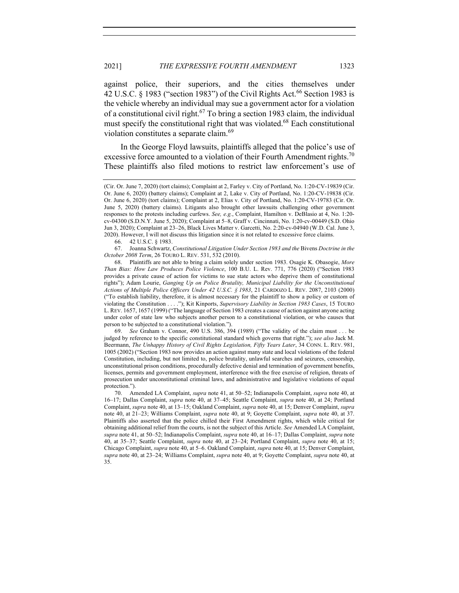against police, their superiors, and the cities themselves under 42 U.S.C. § 1983 ("section 1983") of the Civil Rights Act.<sup>66</sup> Section 1983 is the vehicle whereby an individual may sue a government actor for a violation of a constitutional civil right.<sup>67</sup> To bring a section 1983 claim, the individual must specify the constitutional right that was violated.<sup>68</sup> Each constitutional violation constitutes a separate claim.<sup>69</sup>

In the George Floyd lawsuits, plaintiffs alleged that the police's use of excessive force amounted to a violation of their Fourth Amendment rights.<sup>70</sup> These plaintiffs also filed motions to restrict law enforcement's use of

66. 42 U.S.C. § 1983.

69. *See* Graham v. Connor, 490 U.S. 386, 394 (1989) ("The validity of the claim must . . . be judged by reference to the specific constitutional standard which governs that right."); *see also* Jack M. Beermann, *The Unhappy History of Civil Rights Legislation, Fifty Years Later*, 34 CONN. L. REV. 981, 1005 (2002) ("Section 1983 now provides an action against many state and local violations of the federal Constitution, including, but not limited to, police brutality, unlawful searches and seizures, censorship, unconstitutional prison conditions, procedurally defective denial and termination of government benefits, licenses, permits and government employment, interference with the free exercise of religion, threats of prosecution under unconstitutional criminal laws, and administrative and legislative violations of equal protection.").

70. Amended LA Complaint, *supra* note 41, at 50–52; Indianapolis Complaint, *supra* note 40, at 16–17; Dallas Complaint, *supra* note 40, at 37–45; Seattle Complaint, *supra* note 40, at 24; Portland Complaint, *supra* note 40, at 13–15; Oakland Complaint, *supra* note 40, at 15; Denver Complaint, *supra*  note 40, at 21–23; Williams Complaint, *supra* note 40, at 9; Goyette Complaint, *supra* note 40, at 37. Plaintiffs also asserted that the police chilled their First Amendment rights, which while critical for obtaining additional relief from the courts, is not the subject of this Article. *See* Amended LA Complaint, *supra* note 41, at 50–52; Indianapolis Complaint, *supra* note 40, at 16–17; Dallas Complaint, *supra* note 40, at 35–37; Seattle Complaint, *supra* note 40, at 23–24; Portland Complaint, *supra* note 40, at 15; Chicago Complaint, *supra* note 40, at 5–6. Oakland Complaint, *supra* note 40, at 15; Denver Complaint, *supra* note 40, at 23–24; Williams Complaint, *supra* note 40, at 9; Goyette Complaint, *supra* note 40, at 35.

<sup>(</sup>Cir. Or. June 7, 2020) (tort claims); Complaint at 2, Farley v. City of Portland, No. 1:20-CV-19839 (Cir. Or. June 6, 2020) (battery claims); Complaint at 2, Lake v. City of Portland, No. 1:20-CV-19838 (Cir. Or. June 6, 2020) (tort claims); Complaint at 2, Elias v. City of Portland, No. 1:20-CV-19783 (Cir. Or. June 5, 2020) (battery claims). Litigants also brought other lawsuits challenging other government responses to the protests including curfews. *See, e.g.*, Complaint, Hamilton v. DeBlasio at 4, No. 1:20 cv-04300 (S.D.N.Y. June 5, 2020); Complaint at 5–8, Graff v. Cincinnati, No. 1:20-cv-00449 (S.D. Ohio Jun 3, 2020); Complaint at 23–26, Black Lives Matter v. Garcetti, No. 2:20-cv-04940 (W.D. Cal. June 3, 2020). However, I will not discuss this litigation since it is not related to excessive force claims.

<sup>67.</sup> Joanna Schwartz, *Constitutional Litigation Under Section 1983 and the* Bivens *Doctrine in the October 2008 Term*, 26 TOURO L. REV. 531, 532 (2010).

<sup>68.</sup> Plaintiffs are not able to bring a claim solely under section 1983. Osagie K. Obasogie, *More Than Bias: How Law Produces Police Violence*, 100 B.U. L. Rev. 771, 776 (2020) ("Section 1983 provides a private cause of action for victims to sue state actors who deprive them of constitutional rights"); Adam Lourie, *Ganging Up on Police Brutality, Municipal Liability for the Unconstitutional Actions of Multiple Police Officers Under 42 U.S.C. § 1983*, 21 CARDOZO L. REV. 2087, 2103 (2000) ("To establish liability, therefore, it is almost necessary for the plaintiff to show a policy or custom of violating the Constitution . . . ."); Kit Kinports, *Supervisory Liability in Section 1983 Cases*, 15 TOURO L.REV. 1657, 1657 (1999) ("The language of Section 1983 creates a cause of action against anyone acting under color of state law who subjects another person to a constitutional violation, or who causes that person to be subjected to a constitutional violation.").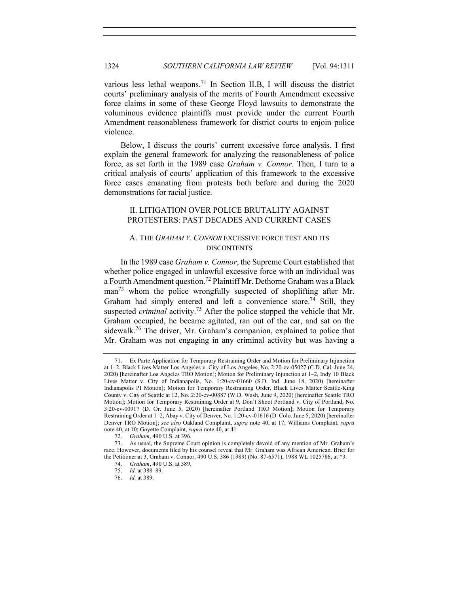various less lethal weapons.<sup>71</sup> In Section II.B, I will discuss the district courts' preliminary analysis of the merits of Fourth Amendment excessive force claims in some of these George Floyd lawsuits to demonstrate the voluminous evidence plaintiffs must provide under the current Fourth Amendment reasonableness framework for district courts to enjoin police violence.

Below, I discuss the courts' current excessive force analysis. I first explain the general framework for analyzing the reasonableness of police force, as set forth in the 1989 case *Graham v. Connor*. Then, I turn to a critical analysis of courts' application of this framework to the excessive force cases emanating from protests both before and during the 2020 demonstrations for racial justice.

# II. LITIGATION OVER POLICE BRUTALITY AGAINST PROTESTERS: PAST DECADES AND CURRENT CASES

# A. THE *GRAHAM V. CONNOR* EXCESSIVE FORCE TEST AND ITS **DISCONTENTS**

In the 1989 case *Graham v. Connor*, the Supreme Court established that whether police engaged in unlawful excessive force with an individual was a Fourth Amendment question.<sup>72</sup> Plaintiff Mr. Dethorne Graham was a Black man<sup>73</sup> whom the police wrongfully suspected of shoplifting after Mr. Graham had simply entered and left a convenience store.<sup>74</sup> Still, they suspected *criminal* activity.<sup>75</sup> After the police stopped the vehicle that Mr. Graham occupied, he became agitated, ran out of the car, and sat on the sidewalk.<sup>76</sup> The driver, Mr. Graham's companion, explained to police that Mr. Graham was not engaging in any criminal activity but was having a

<sup>71.</sup> Ex Parte Application for Temporary Restraining Order and Motion for Preliminary Injunction at 1–2, Black Lives Matter Los Angeles v. City of Los Angeles, No. 2:20-cv-05027 (C.D. Cal. June 24, 2020) [hereinafter Los Angeles TRO Motion]; Motion for Preliminary Injunction at 1–2, Indy 10 Black Lives Matter v. City of Indianapolis, No. 1:20-cv-01660 (S.D. Ind. June 18, 2020) [hereinafter Indianapolis PI Motion]; Motion for Temporary Restraining Order, Black Lives Matter Seattle-King County v. City of Seattle at 12, No. 2:20-cv-00887 (W.D. Wash. June 9, 2020) [hereinafter Seattle TRO Motion]; Motion for Temporary Restraining Order at 9, Don't Shoot Portland v. City of Portland, No. 3:20-cv-00917 (D. Or. June 5, 2020) [hereinafter Portland TRO Motion]; Motion for Temporary Restraining Order at 1–2, Abay v. City of Denver, No. 1:20-cv-01616 (D. Colo. June 5, 2020) [hereinafter Denver TRO Motion]; *see also* Oakland Complaint, *supra* note 40, at 17; Williams Complaint, *supra*  note 40, at 10; Goyette Complaint, *supra* note 40, at 41.

<sup>72.</sup> *Graham*, 490 U.S. at 396.

<sup>73.</sup> As usual, the Supreme Court opinion is completely devoid of any mention of Mr. Graham's race. However, documents filed by his counsel reveal that Mr. Graham was African American. Brief for the Petitioner at 3, Graham v. Connor, 490 U.S. 386 (1989) (No. 87-6571), 1988 WL 1025786, at \*3.

<sup>74.</sup> *Graham*, 490 U.S. at 389.

<sup>75.</sup> *Id.* at 388–89.

<sup>76.</sup> *Id.* at 389.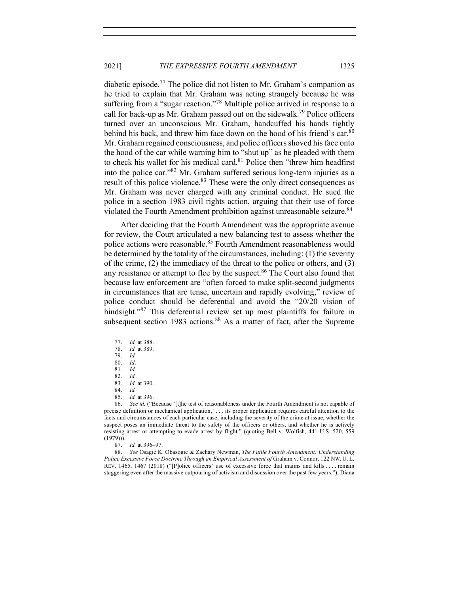diabetic episode.<sup>77</sup> The police did not listen to Mr. Graham's companion as he tried to explain that Mr. Graham was acting strangely because he was suffering from a "sugar reaction."<sup>78</sup> Multiple police arrived in response to a call for back-up as Mr. Graham passed out on the sidewalk.<sup>79</sup> Police officers turned over an unconscious Mr. Graham, handcuffed his hands tightly behind his back, and threw him face down on the hood of his friend's car.  $80$ Mr. Graham regained consciousness, and police officers shoved his face onto the hood of the car while warning him to "shut up" as he pleaded with them to check his wallet for his medical card. $81$  Police then "threw him headfirst into the police car."<sup>82</sup> Mr. Graham suffered serious long-term injuries as a result of this police violence.<sup>83</sup> These were the only direct consequences as Mr. Graham was never charged with any criminal conduct. He sued the police in a section 1983 civil rights action, arguing that their use of force violated the Fourth Amendment prohibition against unreasonable seizure.<sup>84</sup>

After deciding that the Fourth Amendment was the appropriate avenue for review, the Court articulated a new balancing test to assess whether the police actions were reasonable.<sup>85</sup> Fourth Amendment reasonableness would be determined by the totality of the circumstances, including: (1) the severity of the crime, (2) the immediacy of the threat to the police or others, and (3) any resistance or attempt to flee by the suspect.<sup>86</sup> The Court also found that because law enforcement are "often forced to make split-second judgments in circumstances that are tense, uncertain and rapidly evolving," review of police conduct should be deferential and avoid the "20/20 vision of hindsight."<sup>87</sup> This deferential review set up most plaintiffs for failure in subsequent section 1983 actions.<sup>88</sup> As a matter of fact, after the Supreme

82. *Id.*

<sup>77.</sup> *Id.* at 388.

<sup>78.</sup> *Id.* at 389.

<sup>79.</sup> *Id.*

<sup>80.</sup> *Id*. 81. *Id.*

<sup>83.</sup> *Id.* at 390. 84. *Id.*

<sup>85.</sup> *Id.* at 396.

<sup>86.</sup> *See id.* ("Because '[t]he test of reasonableness under the Fourth Amendment is not capable of precise definition or mechanical application,' . . . its proper application requires careful attention to the facts and circumstances of each particular case, including the severity of the crime at issue, whether the suspect poses an immediate threat to the safety of the officers or others, and whether he is actively resisting arrest or attempting to evade arrest by flight." (quoting Bell v. Wolfish, 441 U.S. 520, 559 (1979))).

<sup>87.</sup> *Id.* at 396–97.

<sup>88.</sup> *See* Osagie K. Obasogie & Zachary Newman, *The Futile Fourth Amendment: Understanding Police Excessive Force Doctrine Through an Empirical Assessment of* Graham v. Connor, 122 NW. U. L. REV. 1465, 1467 (2018) ("[P]olice officers' use of excessive force that maims and kills . . . . remain staggering even after the massive outpouring of activism and discussion over the past few years."); Diana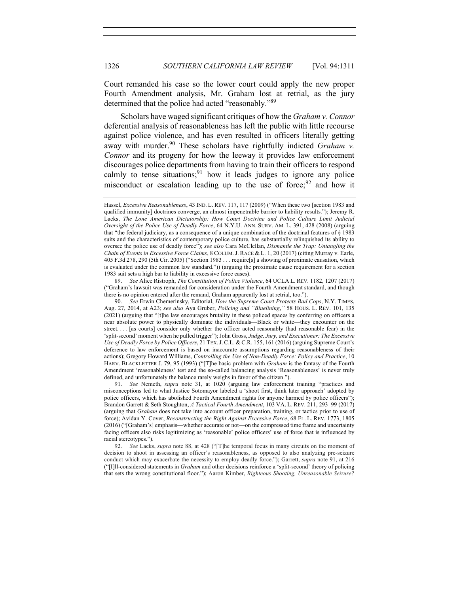Court remanded his case so the lower court could apply the new proper Fourth Amendment analysis, Mr. Graham lost at retrial, as the jury determined that the police had acted "reasonably."89

Scholars have waged significant critiques of how the *Graham v. Connor*  deferential analysis of reasonableness has left the public with little recourse against police violence, and has even resulted in officers literally getting away with murder.<sup>90</sup> These scholars have rightfully indicted *Graham v. Connor* and its progeny for how the leeway it provides law enforcement discourages police departments from having to train their officers to respond calmly to tense situations;<sup>91</sup> how it leads judges to ignore any police misconduct or escalation leading up to the use of force;  $92$  and how it

89. *See* Alice Ristroph, *The Constitution of Police Violence*, 64 UCLA L. REV. 1182, 1207 (2017) ("Graham's lawsuit was remanded for consideration under the Fourth Amendment standard, and though there is no opinion entered after the remand, Graham apparently lost at retrial, too.").

90. *See* Erwin Chemerinsky, Editorial, *How the Supreme Court Protects Bad Cops*, N.Y. TIMES, Aug. 27, 2014, at A23; *see also* Aya Gruber, *Policing and "Bluelining*,*"* 58 HOUS. L. REV. 101, 135 (2021) (arguing that "[t]he law encourages brutality in these policed spaces by conferring on officers a near absolute power to physically dominate the individuals—Black or white—they encounter on the street. . . . [as courts] consider only whether the officer acted reasonably (had reasonable fear) in the 'split-second' moment when he pulled trigger"); John Gross, *Judge, Jury, and Executioner: The Excessive Use of Deadly Force by Police Officers*, 21 TEX.J.C.L. & C.R. 155, 161 (2016) (arguing Supreme Court's deference to law enforcement is based on inaccurate assumptions regarding reasonableness of their actions); Gregory Howard Williams, *Controlling the Use of Non-Deadly Force: Policy and Practice*, 10 HARV. BLACKLETTER J. 79, 95 (1993) ("[T]he basic problem with *Graham* is the fantasy of the Fourth Amendment 'reasonableness' test and the so-called balancing analysis 'Reasonableness' is never truly defined, and unfortunately the balance rarely weighs in favor of the citizen.").

91. *See* Nemeth, *supra* note 31, at 1020 (arguing law enforcement training "practices and misconceptions led to what Justice Sotomayor labeled a 'shoot first, think later approach' adopted by police officers, which has abolished Fourth Amendment rights for anyone harmed by police officers"); Brandon Garrett & Seth Stoughton, *A Tactical Fourth Amendment*, 103 VA. L. REV. 211, 293–99 (2017) (arguing that *Graham* does not take into account officer preparation, training, or tactics prior to use of force); Avidan Y. Cover, *Reconstructing the Right Against Excessive Force*, 68 FL. L. REV. 1773, 1805 (2016) ("[Graham's] emphasis—whether accurate or not—on the compressed time frame and uncertainty facing officers also risks legitimizing as 'reasonable' police officers' use of force that is influenced by racial stereotypes.").

92. *See* Lacks, *supra* note 88, at 428 ("[T]he temporal focus in many circuits on the moment of decision to shoot in assessing an officer's reasonableness, as opposed to also analyzing pre-seizure conduct which may exacerbate the necessity to employ deadly force."); Garrett, *supra* note 91, at 216 ("[I]ll-considered statements in *Graham* and other decisions reinforce a 'split-second' theory of policing that sets the wrong constitutional floor."); Aaron Kimber, *Righteous Shooting, Unreasonable Seizure?* 

Hassel, *Excessive Reasonableness*, 43 IND. L. REV. 117, 117 (2009) ("When these two [section 1983 and qualified immunity] doctrines converge, an almost impenetrable barrier to liability results."); Jeremy R. Lacks, *The Lone American Dictatorship: How Court Doctrine and Police Culture Limit Judicial Oversight of the Police Use of Deadly Force*, 64 N.Y.U. ANN. SURV. AM. L. 391, 428 (2008) (arguing that "the federal judiciary, as a consequence of a unique combination of the doctrinal features of § 1983 suits and the characteristics of contemporary police culture, has substantially relinquished its ability to oversee the police use of deadly force"); *see also* Cara McClellan, *Dismantle the Trap: Untangling the Chain of Events in Excessive Force Claims*, 8 COLUM.J. RACE & L. 1, 20 (2017) (citing Murray v. Earle, 405 F.3d 278, 290 (5th Cir. 2005) ("Section 1983 . . . require[s] a showing of proximate causation, which is evaluated under the common law standard.")) (arguing the proximate cause requirement for a section 1983 suit sets a high bar to liability in excessive force cases).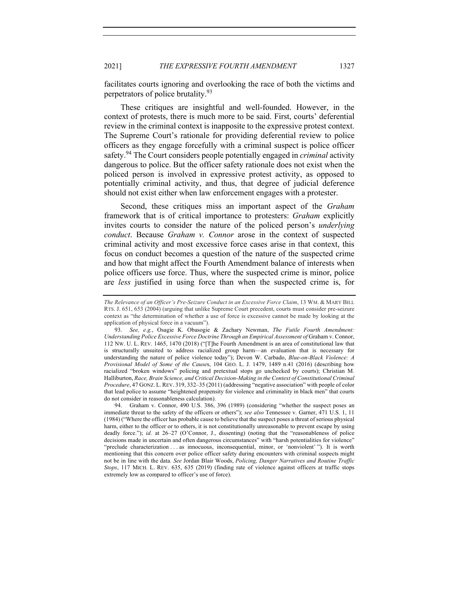2021] *THE EXPRESSIVE FOURTH AMENDMENT* 1327

facilitates courts ignoring and overlooking the race of both the victims and perpetrators of police brutality.<sup>93</sup>

These critiques are insightful and well-founded. However, in the context of protests, there is much more to be said. First, courts' deferential review in the criminal context is inapposite to the expressive protest context. The Supreme Court's rationale for providing deferential review to police officers as they engage forcefully with a criminal suspect is police officer safety.<sup>94</sup> The Court considers people potentially engaged in *criminal* activity dangerous to police. But the officer safety rationale does not exist when the policed person is involved in expressive protest activity, as opposed to potentially criminal activity, and thus, that degree of judicial deference should not exist either when law enforcement engages with a protester.

Second, these critiques miss an important aspect of the *Graham* framework that is of critical importance to protesters: *Graham* explicitly invites courts to consider the nature of the policed person's *underlying conduct*. Because *Graham v. Connor* arose in the context of suspected criminal activity and most excessive force cases arise in that context, this focus on conduct becomes a question of the nature of the suspected crime and how that might affect the Fourth Amendment balance of interests when police officers use force. Thus, where the suspected crime is minor, police are *less* justified in using force than when the suspected crime is, for

94. Graham v. Connor, 490 U.S. 386, 396 (1989) (considering "whether the suspect poses an immediate threat to the safety of the officers or others"); *see also* Tennessee v. Garner, 471 U.S. 1, 11 (1984) ("Where the officer has probable cause to believe that the suspect poses a threat of serious physical harm, either to the officer or to others, it is not constitutionally unreasonable to prevent escape by using deadly force."); *id.* at 26-27 (O'Connor, J., dissenting) (noting that the "reasonableness of police decisions made in uncertain and often dangerous circumstances" with "harsh potentialities for violence" "preclude characterization . . . as innocuous, inconsequential, minor, or 'nonviolent' "). It is worth mentioning that this concern over police officer safety during encounters with criminal suspects might not be in line with the data. *See* Jordan Blair Woods, *Policing, Danger Narratives and Routine Traffic Stops*, 117 MICH. L. REV. 635, 635 (2019) (finding rate of violence against officers at traffic stops extremely low as compared to officer's use of force).

*The Relevance of an Officer's Pre-Seizure Conduct in an Excessive Force Claim*, 13 WM. & MARY BILL RTS. J. 651, 653 (2004) (arguing that unlike Supreme Court precedent, courts must consider pre-seizure context as "the determination of whether a use of force is excessive cannot be made by looking at the application of physical force in a vacuum").

<sup>93.</sup> *See, e.g.*, Osagie K. Obasogie & Zachary Newman, *The Futile Fourth Amendment: Understanding Police Excessive Force Doctrine Through an Empirical Assessment of* Graham v. Connor, 112 NW. U. L. REV. 1465, 1470 (2018) ("[T]he Fourth Amendment is an area of constitutional law that is structurally unsuited to address racialized group harm—an evaluation that is necessary for understanding the nature of police violence today"); Devon W. Carbado, *Blue-on-Black Violence: A Provisional Model of Some of the Cause*s, 104 GEO. L. J. 1479, 1489 n.41 (2016) (describing how racialized "broken windows" policing and pretextual stops go unchecked by courts); Christian M. Halliburton, *Race, Brain Science, and Critical Decision-Making in the Context of Constitutional Criminal Procedure*, 47 GONZ. L.REV. 319, 332–35 (2011) (addressing "negative association" with people of color that lead police to assume "heightened propensity for violence and criminality in black men" that courts do not consider in reasonableness calculation).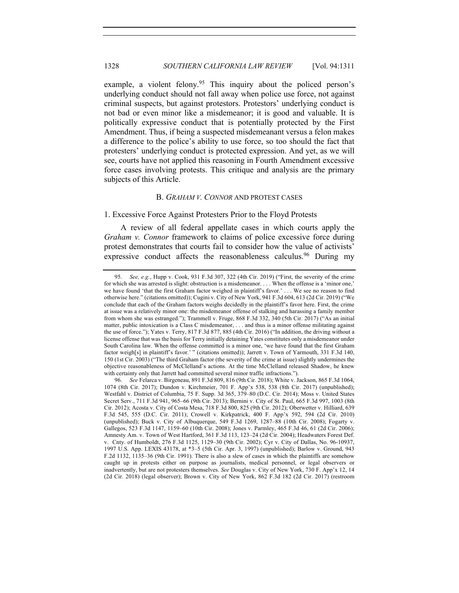example, a violent felony.<sup>95</sup> This inquiry about the policed person's underlying conduct should not fall away when police use force, not against criminal suspects, but against protestors. Protestors' underlying conduct is not bad or even minor like a misdemeanor; it is good and valuable. It is politically expressive conduct that is potentially protected by the First Amendment. Thus, if being a suspected misdemeanant versus a felon makes a difference to the police's ability to use force, so too should the fact that protesters' underlying conduct is protected expression. And yet, as we will see, courts have not applied this reasoning in Fourth Amendment excessive force cases involving protests. This critique and analysis are the primary subjects of this Article.

#### B. *GRAHAM V. CONNOR* AND PROTEST CASES

1. Excessive Force Against Protesters Prior to the Floyd Protests

A review of all federal appellate cases in which courts apply the *Graham v. Connor* framework to claims of police excessive force during protest demonstrates that courts fail to consider how the value of activists' expressive conduct affects the reasonableness calculus.<sup>96</sup> During my

<sup>95.</sup> *See, e.g.*, Hupp v. Cook, 931 F.3d 307, 322 (4th Cir. 2019) ("First, the severity of the crime for which she was arrested is slight: obstruction is a misdemeanor. . . . When the offense is a 'minor one,' we have found 'that the first Graham factor weighed in plaintiff's favor.' . . . We see no reason to find otherwise here." (citations omitted)); Cugini v. City of New York, 941 F.3d 604, 613 (2d Cir. 2019) ("We conclude that each of the Graham factors weighs decidedly in the plaintiff's favor here. First, the crime at issue was a relatively minor one: the misdemeanor offense of stalking and harassing a family member from whom she was estranged."); Trammell v. Fruge, 868 F.3d 332, 340 (5th Cir. 2017) ("As an initial matter, public intoxication is a Class C misdemeanor, . . . and thus is a minor offense militating against the use of force."); Yates v. Terry, 817 F.3d 877, 885 (4th Cir. 2016) ("In addition, the driving without a license offense that was the basis for Terry initially detaining Yates constitutes only a misdemeanor under South Carolina law. When the offense committed is a minor one, 'we have found that the first Graham factor weigh[s] in plaintiff's favor.' " (citations omitted)); Jarrett v. Town of Yarmouth, 331 F.3d 140, 150 (1st Cir. 2003) ("The third Graham factor (the severity of the crime at issue) slightly undermines the objective reasonableness of McClelland's actions. At the time McClelland released Shadow, he knew with certainty only that Jarrett had committed several minor traffic infractions.").

<sup>96.</sup> *See* Felarca v. Birgeneau, 891 F.3d 809, 816 (9th Cir. 2018); White v. Jackson, 865 F.3d 1064, 1074 (8th Cir. 2017); Dundon v. Kirchmeier, 701 F. App'x 538, 538 (8th Cir. 2017) (unpublished); Westfahl v. District of Columbia, 75 F. Supp. 3d 365, 379–80 (D.C. Cir. 2014); Moss v. United States Secret Serv., 711 F.3d 941, 965–66 (9th Cir. 2013); Bernini v. City of St. Paul, 665 F.3d 997, 1003 (8th Cir. 2012); Acosta v. City of Costa Mesa, 718 F.3d 800, 825 (9th Cir. 2012); Oberwetter v. Hilliard, 639 F.3d 545, 555 (D.C. Cir. 2011); Crowell v. Kirkpatrick, 400 F. App'x 592, 594 (2d Cir. 2010) (unpublished); Buck v. City of Albuquerque, 549 F.3d 1269, 1287–88 (10th Cir. 2008); Fogarty v. Gallegos, 523 F.3d 1147, 1159–60 (10th Cir. 2008); Jones v. Parmley, 465 F.3d 46, 61 (2d Cir. 2006); Amnesty Am. v. Town of West Hartford, 361 F.3d 113, 123–24 (2d Cir. 2004); Headwaters Forest Def. v. Cnty. of Humboldt, 276 F.3d 1125, 1129–30 (9th Cir. 2002); Cyr v. City of Dallas, No. 96-10937, 1997 U.S. App. LEXIS 43178, at \*3–5 (5th Cir. Apr. 3, 1997) (unpublished); Barlow v. Ground, 943 F.2d 1132, 1135–36 (9th Cir. 1991). There is also a slew of cases in which the plaintiffs are somehow caught up in protests either on purpose as journalists, medical personnel, or legal observers or inadvertently, but are not protesters themselves. *See* Douglas v. City of New York, 730 F. App'x 12, 14 (2d Cir. 2018) (legal observer); Brown v. City of New York, 862 F.3d 182 (2d Cir. 2017) (restroom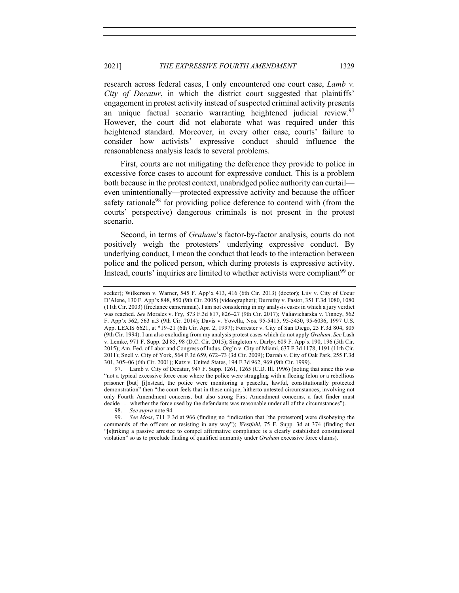research across federal cases, I only encountered one court case, *Lamb v. City of Decatur*, in which the district court suggested that plaintiffs' engagement in protest activity instead of suspected criminal activity presents an unique factual scenario warranting heightened judicial review.<sup>97</sup> However, the court did not elaborate what was required under this heightened standard. Moreover, in every other case, courts' failure to consider how activists' expressive conduct should influence the reasonableness analysis leads to several problems.

First, courts are not mitigating the deference they provide to police in excessive force cases to account for expressive conduct. This is a problem both because in the protest context, unabridged police authority can curtail even unintentionally—protected expressive activity and because the officer safety rationale<sup>98</sup> for providing police deference to contend with (from the courts' perspective) dangerous criminals is not present in the protest scenario.

Second, in terms of *Graham*'s factor-by-factor analysis, courts do not positively weigh the protesters' underlying expressive conduct. By underlying conduct, I mean the conduct that leads to the interaction between police and the policed person, which during protests is expressive activity. Instead, courts' inquiries are limited to whether activists were compliant<sup>99</sup> or

97. Lamb v. City of Decatur, 947 F. Supp. 1261, 1265 (C.D. Ill. 1996) (noting that since this was "not a typical excessive force case where the police were struggling with a fleeing felon or a rebellious prisoner [but] [i]nstead, the police were monitoring a peaceful, lawful, constitutionally protected demonstration" then "the court feels that in these unique, hitherto untested circumstances, involving not only Fourth Amendment concerns, but also strong First Amendment concerns, a fact finder must decide . . . whether the force used by the defendants was reasonable under all of the circumstances").

98. *See supra* note 94.

seeker); Wilkerson v. Warner, 545 F. App'x 413, 416 (6th Cir. 2013) (doctor); Liiv v. City of Coeur D'Alene, 130 F. App'x 848, 850 (9th Cir. 2005) (videographer); Durruthy v. Pastor, 351 F.3d 1080, 1080 (11th Cir. 2003) (freelance cameraman). I am not considering in my analysis cases in which a jury verdict was reached. *See* Morales v. Fry, 873 F.3d 817, 826–27 (9th Cir. 2017); Valiavicharska v. Tinney, 562 F. App'x 562, 563 n.3 (9th Cir. 2014); Davis v. Yovella, Nos. 95-5415, 95-5450, 95-6036, 1997 U.S. App. LEXIS 6621, at \*19–21 (6th Cir. Apr. 2, 1997); Forrester v. City of San Diego, 25 F.3d 804, 805 (9th Cir. 1994). I am also excluding from my analysis protest cases which do not apply *Graham*. *See* Lash v. Lemke, 971 F. Supp. 2d 85, 98 (D.C. Cir. 2015); Singleton v. Darb*y*, 609 F. App'x 190, 196 (5th Cir. 2015); Am. Fed. of Labor and Congress of Indus. Org'n v. City of Miami, 637 F.3d 1178, 1191 (11th Cir. 2011); Snell v. City of York, 564 F.3d 659, 672–73 (3d Cir. 2009); Darrah v. City of Oak Park, 255 F.3d 301, 305–06 (6th Cir. 2001); Katz v. United States, 194 F.3d 962, 969 (9th Cir. 1999).

<sup>99.</sup> *See Moss*, 711 F.3d at 966 (finding no "indication that [the protestors] were disobeying the commands of the officers or resisting in any way"); *Westfahl*, 75 F. Supp. 3d at 374 (finding that "[s]triking a passive arrestee to compel affirmative compliance is a clearly established constitutional violation" so as to preclude finding of qualified immunity under *Graham* excessive force claims).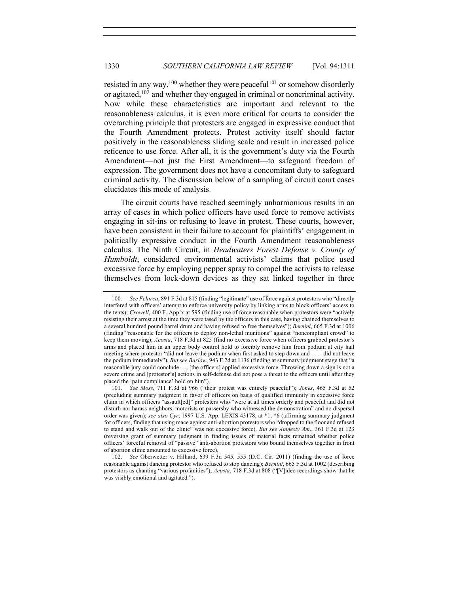resisted in any way,<sup>100</sup> whether they were peaceful<sup>101</sup> or somehow disorderly or agitated,<sup>102</sup> and whether they engaged in criminal or noncriminal activity. Now while these characteristics are important and relevant to the reasonableness calculus, it is even more critical for courts to consider the overarching principle that protesters are engaged in expressive conduct that the Fourth Amendment protects. Protest activity itself should factor positively in the reasonableness sliding scale and result in increased police reticence to use force. After all, it is the government's duty via the Fourth Amendment—not just the First Amendment—to safeguard freedom of expression. The government does not have a concomitant duty to safeguard criminal activity. The discussion below of a sampling of circuit court cases elucidates this mode of analysis.

The circuit courts have reached seemingly unharmonious results in an array of cases in which police officers have used force to remove activists engaging in sit-ins or refusing to leave in protest. These courts, however, have been consistent in their failure to account for plaintiffs' engagement in politically expressive conduct in the Fourth Amendment reasonableness calculus. The Ninth Circuit, in *Headwaters Forest Defense v. County of Humboldt*, considered environmental activists' claims that police used excessive force by employing pepper spray to compel the activists to release themselves from lock-down devices as they sat linked together in three

<sup>100.</sup> *See Felarca*, 891 F.3d at 815 (finding "legitimate" use of force against protestors who "directly interfered with officers' attempt to enforce university policy by linking arms to block officers' access to the tents); *Crowell*, 400 F. App'x at 595 (finding use of force reasonable when protestors were "actively resisting their arrest at the time they were tased by the officers in this case, having chained themselves to a several hundred pound barrel drum and having refused to free themselves"); *Bernini*, 665 F.3d at 1006 (finding "reasonable for the officers to deploy non-lethal munitions" against "noncompliant crowd" to keep them moving); *Acosta*, 718 F.3d at 825 (find no excessive force when officers grabbed protestor's arms and placed him in an upper body control hold to forcibly remove him from podium at city hall meeting where protestor "did not leave the podium when first asked to step down and . . . . did not leave the podium immediately"). *But see Barlow*, 943 F.2d at 1136 (finding at summary judgment stage that "a reasonable jury could conclude . . . [the officers] applied excessive force. Throwing down a sign is not a severe crime and [protestor's] actions in self-defense did not pose a threat to the officers until after they placed the 'pain compliance' hold on him").

<sup>101.</sup> *See Moss*, 711 F.3d at 966 ("their protest was entirely peaceful"); *Jones*, 465 F.3d at 52 (precluding summary judgment in favor of officers on basis of qualified immunity in excessive force claim in which officers "assault[ed]" protesters who "were at all times orderly and peaceful and did not disturb nor harass neighbors, motorists or passersby who witnessed the demonstration" and no dispersal order was given); *see also Cyr*, 1997 U.S. App. LEXIS 43178, at \*1, \*6 (affirming summary judgment for officers, finding that using mace against anti-abortion protestors who "dropped to the floor and refused to stand and walk out of the clinic" was not excessive force). *But see Amnesty Am*., 361 F.3d at 123 (reversing grant of summary judgment in finding issues of material facts remained whether police officers' forceful removal of "passive" anti-abortion protestors who bound themselves together in front of abortion clinic amounted to excessive force).

<sup>102.</sup> *See* Oberwetter v. Hilliard, 639 F.3d 545, 555 (D.C. Cir. 2011) (finding the use of force reasonable against dancing protestor who refused to stop dancing); *Bernini*, 665 F.3d at 1002 (describing protestors as chanting "various profanities"); *Acosta*, 718 F.3d at 808 ("[V]ideo recordings show that he was visibly emotional and agitated.").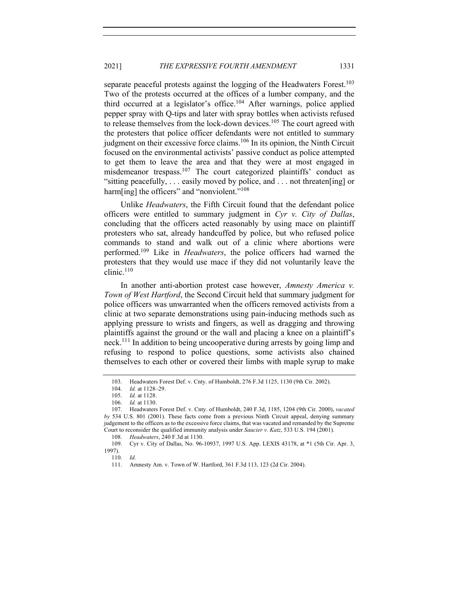separate peaceful protests against the logging of the Headwaters Forest.<sup>103</sup> Two of the protests occurred at the offices of a lumber company, and the third occurred at a legislator's office.<sup>104</sup> After warnings, police applied pepper spray with Q-tips and later with spray bottles when activists refused to release themselves from the lock-down devices.<sup>105</sup> The court agreed with the protesters that police officer defendants were not entitled to summary judgment on their excessive force claims.<sup>106</sup> In its opinion, the Ninth Circuit focused on the environmental activists' passive conduct as police attempted to get them to leave the area and that they were at most engaged in misdemeanor trespass.<sup>107</sup> The court categorized plaintiffs' conduct as "sitting peacefully, . . . easily moved by police, and . . . not threaten[ing] or harm[ing] the officers" and "nonviolent."<sup>108</sup>

Unlike *Headwaters*, the Fifth Circuit found that the defendant police officers were entitled to summary judgment in *Cyr v. City of Dallas*, concluding that the officers acted reasonably by using mace on plaintiff protesters who sat, already handcuffed by police, but who refused police commands to stand and walk out of a clinic where abortions were performed.109 Like in *Headwaters*, the police officers had warned the protesters that they would use mace if they did not voluntarily leave the clinic.110

In another anti-abortion protest case however, *Amnesty America v. Town of West Hartford*, the Second Circuit held that summary judgment for police officers was unwarranted when the officers removed activists from a clinic at two separate demonstrations using pain-inducing methods such as applying pressure to wrists and fingers, as well as dragging and throwing plaintiffs against the ground or the wall and placing a knee on a plaintiff's neck.<sup>111</sup> In addition to being uncooperative during arrests by going limp and refusing to respond to police questions, some activists also chained themselves to each other or covered their limbs with maple syrup to make

<sup>103.</sup> Headwaters Forest Def. v. Cnty. of Humboldt, 276 F.3d 1125, 1130 (9th Cir. 2002).

<sup>104.</sup> *Id.* at 1128–29.

<sup>105.</sup> *Id.* at 1128.

<sup>106.</sup> *Id.* at 1130.

<sup>107.</sup> Headwaters Forest Def. v. Cnty. of Humboldt, 240 F.3d, 1185, 1204 (9th Cir. 2000), *vacated by* 534 U.S. 801 (2001). These facts come from a previous Ninth Circuit appeal, denying summary judgement to the officers as to the excessive force claims, that was vacated and remanded by the Supreme Court to reconsider the qualified immunity analysis under *Saucier v. Katz*, 533 U.S. 194 (2001).

<sup>108.</sup> *Headwaters*, 240 F.3d at 1130.

<sup>109.</sup> Cyr v. City of Dallas, No. 96-10937, 1997 U.S. App. LEXIS 43178, at \*1 (5th Cir. Apr. 3, 1997).

<sup>110.</sup> *Id.*

<sup>111.</sup> Amnesty Am. v. Town of W. Hartford, 361 F.3d 113, 123 (2d Cir. 2004).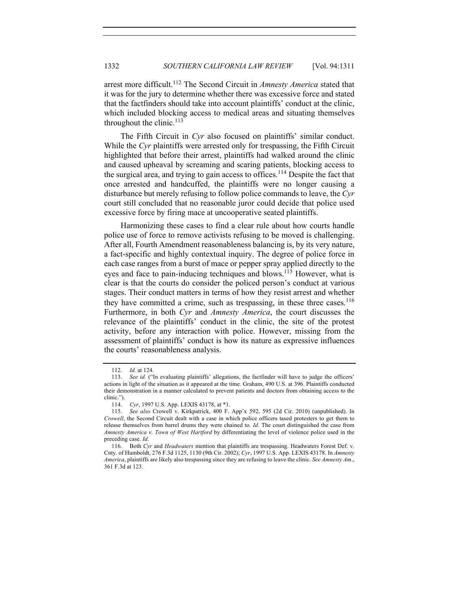arrest more difficult.<sup>112</sup> The Second Circuit in *Amnesty America* stated that it was for the jury to determine whether there was excessive force and stated that the factfinders should take into account plaintiffs' conduct at the clinic, which included blocking access to medical areas and situating themselves throughout the clinic. $113$ 

The Fifth Circuit in *Cyr* also focused on plaintiffs' similar conduct. While the *Cyr* plaintiffs were arrested only for trespassing, the Fifth Circuit highlighted that before their arrest, plaintiffs had walked around the clinic and caused upheaval by screaming and scaring patients, blocking access to the surgical area, and trying to gain access to offices.<sup>114</sup> Despite the fact that once arrested and handcuffed, the plaintiffs were no longer causing a disturbance but merely refusing to follow police commands to leave, the *Cyr*  court still concluded that no reasonable juror could decide that police used excessive force by firing mace at uncooperative seated plaintiffs.

Harmonizing these cases to find a clear rule about how courts handle police use of force to remove activists refusing to be moved is challenging. After all, Fourth Amendment reasonableness balancing is, by its very nature, a fact-specific and highly contextual inquiry. The degree of police force in each case ranges from a burst of mace or pepper spray applied directly to the eyes and face to pain-inducing techniques and blows.<sup>115</sup> However, what is clear is that the courts do consider the policed person's conduct at various stages. Their conduct matters in terms of how they resist arrest and whether they have committed a crime, such as trespassing, in these three cases.<sup>116</sup> Furthermore, in both *Cyr* and *Amnesty America*, the court discusses the relevance of the plaintiffs' conduct in the clinic, the site of the protest activity, before any interaction with police. However, missing from the assessment of plaintiffs' conduct is how its nature as expressive influences the courts' reasonableness analysis.

<sup>112.</sup> *Id.* at 124.

<sup>113.</sup> *See id.* ("In evaluating plaintiffs' allegations, the factfinder will have to judge the officers' actions in light of the situation as it appeared at the time. Graham, 490 U.S. at 396. Plaintiffs conducted their demonstration in a manner calculated to prevent patients and doctors from obtaining access to the clinic.").

<sup>114.</sup> *Cyr*, 1997 U.S. App. LEXIS 43178, at \*1.

<sup>115.</sup> *See also* Crowell v. Kirkpatrick, 400 F. App'x 592, 595 (2d Cir. 2010) (unpublished). In *Crowell*, the Second Circuit dealt with a case in which police officers tased protesters to get them to release themselves from barrel drums they were chained to. *Id*. The court distinguished the case from *Amnesty America v. Town of West Hartford* by differentiating the level of violence police used in the preceding case. *Id*.

<sup>116.</sup> Both *Cyr* and *Headwaters* mention that plaintiffs are trespassing. Headwaters Forest Def. v. Cnty. of Humboldt, 276 F.3d 1125, 1130 (9th Cir. 2002); *Cyr*, 1997 U.S. App. LEXIS 43178. In *Amnesty America*, plaintiffs are likely also trespassing since they are refusing to leave the clinic. *See Amnesty Am*., 361 F.3d at 123.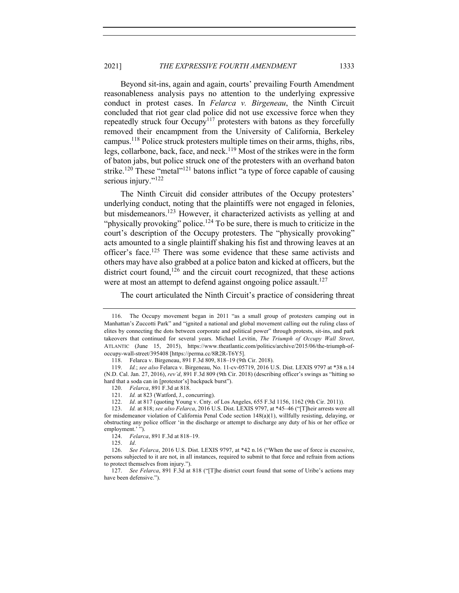## 2021] *THE EXPRESSIVE FOURTH AMENDMENT* 1333

Beyond sit-ins, again and again, courts' prevailing Fourth Amendment reasonableness analysis pays no attention to the underlying expressive conduct in protest cases. In *Felarca v. Birgeneau*, the Ninth Circuit concluded that riot gear clad police did not use excessive force when they repeatedly struck four Occupy<sup>117</sup> protesters with batons as they forcefully removed their encampment from the University of California, Berkeley campus.118 Police struck protesters multiple times on their arms, thighs, ribs, legs, collarbone, back, face, and neck.<sup>119</sup> Most of the strikes were in the form of baton jabs, but police struck one of the protesters with an overhand baton strike.<sup>120</sup> These "metal"<sup>121</sup> batons inflict "a type of force capable of causing serious injury."<sup>122</sup>

The Ninth Circuit did consider attributes of the Occupy protesters' underlying conduct, noting that the plaintiffs were not engaged in felonies, but misdemeanors.<sup>123</sup> However, it characterized activists as yelling at and "physically provoking" police.<sup>124</sup> To be sure, there is much to criticize in the court's description of the Occupy protesters. The "physically provoking" acts amounted to a single plaintiff shaking his fist and throwing leaves at an officer's face.125 There was some evidence that these same activists and others may have also grabbed at a police baton and kicked at officers, but the district court found, $126$  and the circuit court recognized, that these actions were at most an attempt to defend against ongoing police assault.<sup>127</sup>

#### The court articulated the Ninth Circuit's practice of considering threat

<sup>116.</sup> The Occupy movement began in 2011 "as a small group of protesters camping out in Manhattan's Zuccotti Park" and "ignited a national and global movement calling out the ruling class of elites by connecting the dots between corporate and political power" through protests, sit-ins, and park takeovers that continued for several years. Michael Levitin, *The Triumph of Occupy Wall Street*, ATLANTIC (June 15, 2015), https://www.theatlantic.com/politics/archive/2015/06/the-triumph-ofoccupy-wall-street/395408 [https://perma.cc/8R2R-T6Y5].

<sup>118.</sup> Felarca v. Birgeneau, 891 F.3d 809, 818–19 (9th Cir. 2018).

<sup>119.</sup> *Id.*; *see also* Felarca v. Birgeneau, No. 11-cv-05719, 2016 U.S. Dist. LEXIS 9797 at \*38 n.14 (N.D. Cal. Jan. 27, 2016), *rev'd*, 891 F.3d 809 (9th Cir. 2018) (describing officer's swings as "hitting so hard that a soda can in [protestor's] backpack burst").

<sup>120.</sup> *Felarca*, 891 F.3d at 818.

<sup>121.</sup> *Id.* at 823 (Watford, J., concurring).

<sup>122.</sup> *Id*. at 817 (quoting Young v. Cnty. of Los Angeles, 655 F.3d 1156, 1162 (9th Cir. 2011)).

<sup>123.</sup> *Id.* at 818; *see also Felarca*, 2016 U.S. Dist. LEXIS 9797, at \*45–46 ("[T]heir arrests were all for misdemeanor violation of California Penal Code section 148(a)(1), willfully resisting, delaying, or obstructing any police officer 'in the discharge or attempt to discharge any duty of his or her office or employment.' ").

<sup>124.</sup> *Felarca*, 891 F.3d at 818–19.

<sup>125.</sup> *Id*.

<sup>126.</sup> *See Felarca*, 2016 U.S. Dist. LEXIS 9797, at \*42 n.16 ("When the use of force is excessive, persons subjected to it are not, in all instances, required to submit to that force and refrain from actions to protect themselves from injury.").

<sup>127.</sup> *See Felarca*, 891 F.3d at 818 ("[T]he district court found that some of Uribe's actions may have been defensive.").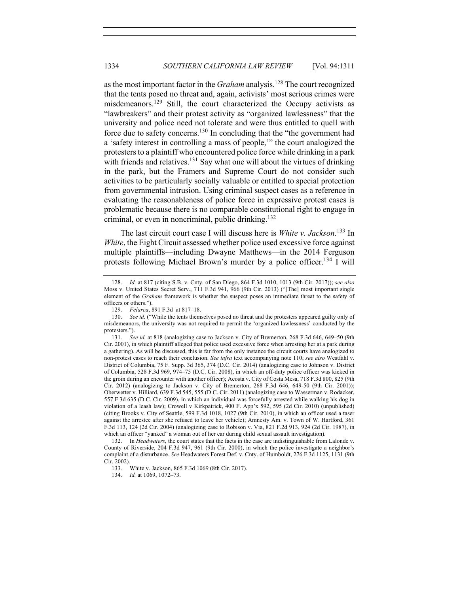as the most important factor in the *Graham* analysis.128 The court recognized that the tents posed no threat and, again, activists' most serious crimes were misdemeanors.129 Still, the court characterized the Occupy activists as "lawbreakers" and their protest activity as "organized lawlessness" that the university and police need not tolerate and were thus entitled to quell with force due to safety concerns.<sup>130</sup> In concluding that the "the government had a 'safety interest in controlling a mass of people,'" the court analogized the protesters to a plaintiff who encountered police force while drinking in a park with friends and relatives.<sup>131</sup> Say what one will about the virtues of drinking in the park, but the Framers and Supreme Court do not consider such activities to be particularly socially valuable or entitled to special protection from governmental intrusion. Using criminal suspect cases as a reference in evaluating the reasonableness of police force in expressive protest cases is problematic because there is no comparable constitutional right to engage in criminal, or even in noncriminal, public drinking.<sup>132</sup>

The last circuit court case I will discuss here is *White v. Jackson*. <sup>133</sup> In *White*, the Eight Circuit assessed whether police used excessive force against multiple plaintiffs—including Dwayne Matthews—in the 2014 Ferguson protests following Michael Brown's murder by a police officer.<sup>134</sup> I will

<sup>128.</sup> *Id.* at 817 (citing S.B. v. Cnty. of San Diego, 864 F.3d 1010, 1013 (9th Cir. 2017)); *see also* Moss v. United States Secret Serv., 711 F.3d 941, 966 (9th Cir. 2013) ("[The] most important single element of the *Graham* framework is whether the suspect poses an immediate threat to the safety of officers or others.").

<sup>129.</sup> *Felarca*, 891 F.3d at 817–18.

<sup>130.</sup> *See id.* ("While the tents themselves posed no threat and the protesters appeared guilty only of misdemeanors, the university was not required to permit the 'organized lawlessness' conducted by the protesters.").

<sup>131.</sup> *See id.* at 818 (analogizing case to Jackson v. City of Bremerton, 268 F.3d 646, 649–50 (9th Cir. 2001), in which plaintiff alleged that police used excessive force when arresting her at a park during a gathering). As will be discussed, this is far from the only instance the circuit courts have analogized to non-protest cases to reach their conclusion. *See infra* text accompanying note 110; *see also* Westfahl v. District of Columbia, 75 F. Supp. 3d 365, 374 (D.C. Cir. 2014) (analogizing case to Johnson v. District of Columbia, 528 F.3d 969, 974–75 (D.C. Cir. 2008), in which an off-duty police officer was kicked in the groin during an encounter with another officer); Acosta v. City of Costa Mesa, 718 F.3d 800, 825 (9th Cir. 2012) (analogizing to Jackson v. City of Bremerton, 268 F.3d 646, 649-50 (9th Cir. 2001)); Oberwetter v. Hilliard, 639 F.3d 545, 555 (D.C. Cir. 2011) (analogizing case to Wasserman v. Rodacker, 557 F.3d 635 (D.C. Cir. 2009), in which an individual was forcefully arrested while walking his dog in violation of a leash law); Crowell v Kirkpatrick, 400 F. App'x 592, 595 (2d Cir. 2010) (unpublished) (citing Brooks v. City of Seattle, 599 F.3d 1018, 1027 (9th Cir. 2010), in which an officer used a taser against the arrestee after she refused to leave her vehicle); Amnesty Am. v. Town of W. Hartford, 361 F.3d 113, 124 (2d Cir. 2004) (analogizing case to Robison v. Via, 821 F.2d 913, 924 (2d Cir. 1987), in which an officer "yanked" a woman out of her car during child sexual assault investigation).

<sup>132.</sup> In *Headwaters*, the court states that the facts in the case are indistinguishable from Lalonde v. County of Riverside, 204 F.3d 947, 961 (9th Cir. 2000), in which the police investigate a neighbor's complaint of a disturbance. *See* Headwaters Forest Def. v. Cnty. of Humboldt, 276 F.3d 1125, 1131 (9th Cir. 2002).

<sup>133.</sup> White v. Jackson, 865 F.3d 1069 (8th Cir. 2017).

<sup>134.</sup> *Id.* at 1069, 1072–73.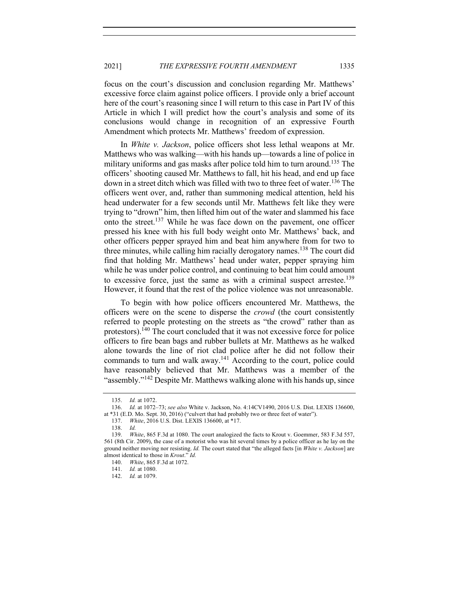## 2021] *THE EXPRESSIVE FOURTH AMENDMENT* 1335

focus on the court's discussion and conclusion regarding Mr. Matthews' excessive force claim against police officers. I provide only a brief account here of the court's reasoning since I will return to this case in Part IV of this Article in which I will predict how the court's analysis and some of its conclusions would change in recognition of an expressive Fourth Amendment which protects Mr. Matthews' freedom of expression.

In *White v. Jackson*, police officers shot less lethal weapons at Mr. Matthews who was walking—with his hands up—towards a line of police in military uniforms and gas masks after police told him to turn around.<sup>135</sup> The officers' shooting caused Mr. Matthews to fall, hit his head, and end up face down in a street ditch which was filled with two to three feet of water.<sup>136</sup> The officers went over, and, rather than summoning medical attention, held his head underwater for a few seconds until Mr. Matthews felt like they were trying to "drown" him, then lifted him out of the water and slammed his face onto the street.<sup>137</sup> While he was face down on the pavement, one officer pressed his knee with his full body weight onto Mr. Matthews' back, and other officers pepper sprayed him and beat him anywhere from for two to three minutes, while calling him racially derogatory names.<sup>138</sup> The court did find that holding Mr. Matthews' head under water, pepper spraying him while he was under police control, and continuing to beat him could amount to excessive force, just the same as with a criminal suspect arrestee.<sup>139</sup> However, it found that the rest of the police violence was not unreasonable.

To begin with how police officers encountered Mr. Matthews, the officers were on the scene to disperse the *crowd* (the court consistently referred to people protesting on the streets as "the crowd" rather than as protestors).<sup>140</sup> The court concluded that it was not excessive force for police officers to fire bean bags and rubber bullets at Mr. Matthews as he walked alone towards the line of riot clad police after he did not follow their commands to turn and walk away.<sup>141</sup> According to the court, police could have reasonably believed that Mr. Matthews was a member of the "assembly."<sup>142</sup> Despite Mr. Matthews walking alone with his hands up, since

<sup>135.</sup> *Id.* at 1072.

<sup>136.</sup> *Id.* at 1072–73; *see also* White v. Jackson, No. 4:14CV1490, 2016 U.S. Dist. LEXIS 136600, at \*31 (E.D. Mo. Sept. 30, 2016) ("culvert that had probably two or three feet of water").

<sup>137.</sup> *White*, 2016 U.S. Dist. LEXIS 136600, at \*17.

<sup>138.</sup> *Id.*

<sup>139.</sup> *White*, 865 F.3d at 1080. The court analogized the facts to Krout v. Goemmer, 583 F.3d 557, 561 (8th Cir. 2009), the case of a motorist who was hit several times by a police officer as he lay on the ground neither moving nor resisting. *Id.* The court stated that "the alleged facts [in *White v. Jackson*] are almost identical to those in *Krout*." *Id.*

<sup>140.</sup> *White*, 865 F.3d at 1072.

<sup>141.</sup> *Id.* at 1080.

<sup>142.</sup> *Id.* at 1079.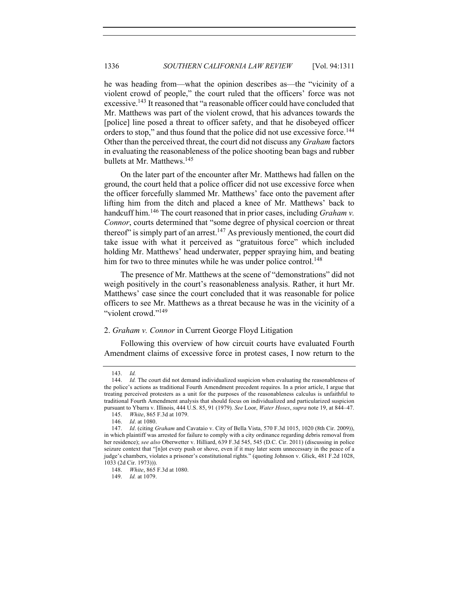he was heading from—what the opinion describes as—the "vicinity of a violent crowd of people," the court ruled that the officers' force was not excessive.<sup>143</sup> It reasoned that "a reasonable officer could have concluded that Mr. Matthews was part of the violent crowd, that his advances towards the [police] line posed a threat to officer safety, and that he disobeyed officer orders to stop," and thus found that the police did not use excessive force.<sup>144</sup> Other than the perceived threat, the court did not discuss any *Graham* factors in evaluating the reasonableness of the police shooting bean bags and rubber bullets at Mr. Matthews.<sup>145</sup>

On the later part of the encounter after Mr. Matthews had fallen on the ground, the court held that a police officer did not use excessive force when the officer forcefully slammed Mr. Matthews' face onto the pavement after lifting him from the ditch and placed a knee of Mr. Matthews' back to handcuff him.<sup>146</sup> The court reasoned that in prior cases, including *Graham v. Connor*, courts determined that "some degree of physical coercion or threat thereof" is simply part of an arrest.<sup>147</sup> As previously mentioned, the court did take issue with what it perceived as "gratuitous force" which included holding Mr. Matthews' head underwater, pepper spraying him, and beating him for two to three minutes while he was under police control.<sup>148</sup>

The presence of Mr. Matthews at the scene of "demonstrations" did not weigh positively in the court's reasonableness analysis. Rather, it hurt Mr. Matthews' case since the court concluded that it was reasonable for police officers to see Mr. Matthews as a threat because he was in the vicinity of a "violent crowd."<sup>149</sup>

#### 2. *Graham v. Connor* in Current George Floyd Litigation

Following this overview of how circuit courts have evaluated Fourth Amendment claims of excessive force in protest cases, I now return to the

<sup>143.</sup> *Id.*

<sup>144.</sup> *Id.* The court did not demand individualized suspicion when evaluating the reasonableness of the police's actions as traditional Fourth Amendment precedent requires. In a prior article, I argue that treating perceived protesters as a unit for the purposes of the reasonableness calculus is unfaithful to traditional Fourth Amendment analysis that should focus on individualized and particularized suspicion pursuant to Ybarra v. Illinois, 444 U.S. 85, 91 (1979). *See* Loor, *Water Hoses*, *supra* note 19, at 844–47.

<sup>145.</sup> *White*, 865 F.3d at 1079.

<sup>146.</sup> *Id*. at 1080.

<sup>147.</sup> *Id*. (citing *Graham* and Cavataio v. City of Bella Vista, 570 F.3d 1015, 1020 (8th Cir. 2009)), in which plaintiff was arrested for failure to comply with a city ordinance regarding debris removal from her residence); *see also* Oberwetter v. Hilliard, 639 F.3d 545, 545 (D.C. Cir. 2011) (discussing in police seizure context that "[n]ot every push or shove, even if it may later seem unnecessary in the peace of a judge's chambers, violates a prisoner's constitutional rights." (quoting Johnson v. Glick, 481 F.2d 1028, 1033 (2d Cir. 1973))).

<sup>148.</sup> *White*, 865 F.3d at 1080.

<sup>149.</sup> *Id.* at 1079.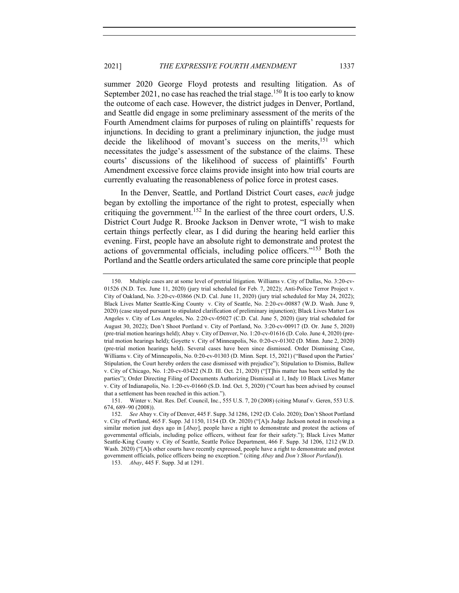summer 2020 George Floyd protests and resulting litigation. As of September 2021, no case has reached the trial stage.<sup>150</sup> It is too early to know the outcome of each case. However, the district judges in Denver, Portland, and Seattle did engage in some preliminary assessment of the merits of the Fourth Amendment claims for purposes of ruling on plaintiffs' requests for injunctions. In deciding to grant a preliminary injunction, the judge must decide the likelihood of movant's success on the merits,<sup>151</sup> which necessitates the judge's assessment of the substance of the claims. These courts' discussions of the likelihood of success of plaintiffs' Fourth Amendment excessive force claims provide insight into how trial courts are currently evaluating the reasonableness of police force in protest cases.

In the Denver, Seattle, and Portland District Court cases, *each* judge began by extolling the importance of the right to protest, especially when critiquing the government.<sup>152</sup> In the earliest of the three court orders, U.S. District Court Judge R. Brooke Jackson in Denver wrote, "I wish to make certain things perfectly clear, as I did during the hearing held earlier this evening. First, people have an absolute right to demonstrate and protest the actions of governmental officials, including police officers."153 Both the Portland and the Seattle orders articulated the same core principle that people

<sup>150.</sup> Multiple cases are at some level of pretrial litigation. Williams v. City of Dallas, No. 3:20-cv-01526 (N.D. Tex. June 11, 2020) (jury trial scheduled for Feb. 7, 2022); Anti-Police Terror Project v. City of Oakland, No. 3:20-cv-03866 (N.D. Cal. June 11, 2020) (jury trial scheduled for May 24, 2022); Black Lives Matter Seattle-King County v. City of Seattle, No. 2:20-cv-00887 (W.D. Wash. June 9, 2020) (case stayed pursuant to stipulated clarification of preliminary injunction); Black Lives Matter Los Angeles v. City of Los Angeles, No. 2:20-cv-05027 (C.D. Cal. June 5, 2020) (jury trial scheduled for August 30, 2022); Don't Shoot Portland v. City of Portland, No. 3:20-cv-00917 (D. Or. June 5, 2020) (pre-trial motion hearings held); Abay v. City of Denver, No. 1:20-cv-01616 (D. Colo. June 4, 2020) (pretrial motion hearings held); Goyette v. City of Minneapolis, No. 0:20-cv-01302 (D. Minn. June 2, 2020) (pre-trial motion hearings held). Several cases have been since dismissed. Order Dismissing Case, Williams v. City of Minneapolis, No. 0:20-cv-01303 (D. Minn. Sept. 15, 2021) ("Based upon the Parties' Stipulation, the Court hereby orders the case dismissed with prejudice"); Stipulation to Dismiss, Ballew v. City of Chicago, No. 1:20-cv-03422 (N.D. Ill. Oct. 21, 2020) ("[T]his matter has been settled by the parties"); Order Directing Filing of Documents Authorizing Dismissal at 1, Indy 10 Black Lives Matter v. City of Indianapolis, No. 1:20-cv-01660 (S.D. Ind. Oct. 5, 2020) ("Court has been advised by counsel that a settlement has been reached in this action.").

<sup>151.</sup> Winter v. Nat. Res. Def. Council, Inc., 555 U.S. 7, 20 (2008) (citing Munaf v. Geren, 553 U.S. 674, 689–90 (2008)).

<sup>152.</sup> *See* Abay v. City of Denver, 445 F. Supp. 3d 1286, 1292 (D. Colo. 2020); Don't Shoot Portland v. City of Portland, 465 F. Supp. 3d 1150, 1154 (D. Or. 2020) ("[A]s Judge Jackson noted in resolving a similar motion just days ago in [*Abay*], people have a right to demonstrate and protest the actions of governmental officials, including police officers, without fear for their safety."); Black Lives Matter Seattle-King County v. City of Seattle, Seattle Police Department, 466 F. Supp. 3d 1206, 1212 (W.D. Wash. 2020) ("[A]s other courts have recently expressed, people have a right to demonstrate and protest government officials, police officers being no exception." (citing *Abay* and *Don't Shoot Portland*)).

<sup>153.</sup> *Abay*, 445 F. Supp. 3d at 1291.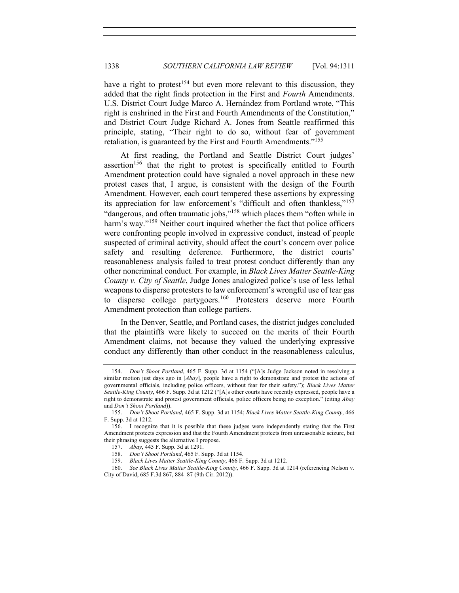have a right to protest<sup>154</sup> but even more relevant to this discussion, they added that the right finds protection in the First and *Fourth* Amendments. U.S. District Court Judge Marco A. Hernández from Portland wrote, "This right is enshrined in the First and Fourth Amendments of the Constitution," and District Court Judge Richard A. Jones from Seattle reaffirmed this principle, stating, "Their right to do so, without fear of government retaliation, is guaranteed by the First and Fourth Amendments."<sup>155</sup>

At first reading, the Portland and Seattle District Court judges' assertion<sup>156</sup> that the right to protest is specifically entitled to Fourth Amendment protection could have signaled a novel approach in these new protest cases that, I argue, is consistent with the design of the Fourth Amendment. However, each court tempered these assertions by expressing its appreciation for law enforcement's "difficult and often thankless,"<sup>157</sup> "dangerous, and often traumatic jobs,"<sup>158</sup> which places them "often while in harm's way."<sup>159</sup> Neither court inquired whether the fact that police officers were confronting people involved in expressive conduct, instead of people suspected of criminal activity, should affect the court's concern over police safety and resulting deference. Furthermore, the district courts' reasonableness analysis failed to treat protest conduct differently than any other noncriminal conduct. For example, in *Black Lives Matter Seattle-King County v. City of Seattle*, Judge Jones analogized police's use of less lethal weapons to disperse protesters to law enforcement's wrongful use of tear gas to disperse college partygoers.<sup>160</sup> Protesters deserve more Fourth Amendment protection than college partiers.

In the Denver, Seattle, and Portland cases, the district judges concluded that the plaintiffs were likely to succeed on the merits of their Fourth Amendment claims, not because they valued the underlying expressive conduct any differently than other conduct in the reasonableness calculus,

<sup>154.</sup> *Don't Shoot Portland*, 465 F. Supp. 3d at 1154 ("[A]s Judge Jackson noted in resolving a similar motion just days ago in [*Abay*], people have a right to demonstrate and protest the actions of governmental officials, including police officers, without fear for their safety."); *Black Lives Matter Seattle-King County*, 466 F. Supp. 3d at 1212 ("[A]s other courts have recently expressed, people have a right to demonstrate and protest government officials, police officers being no exception." (citing *Abay* and *Don't Shoot Portland*)).

<sup>155.</sup> *Don't Shoot Portland*, 465 F. Supp. 3d at 1154; *Black Lives Matter Seattle-King County*, 466 F. Supp. 3d at 1212.

<sup>156.</sup> I recognize that it is possible that these judges were independently stating that the First Amendment protects expression and that the Fourth Amendment protects from unreasonable seizure, but their phrasing suggests the alternative I propose.

<sup>157.</sup> *Abay*, 445 F. Supp. 3d at 1291.

<sup>158.</sup> *Don't Shoot Portland*, 465 F. Supp. 3d at 1154.

<sup>159.</sup> *Black Lives Matter Seattle-King County*, 466 F. Supp. 3d at 1212.

<sup>160.</sup> *See Black Lives Matter Seattle-King County*, 466 F. Supp. 3d at 1214 (referencing Nelson v. City of David, 685 F.3d 867, 884–87 (9th Cir. 2012)).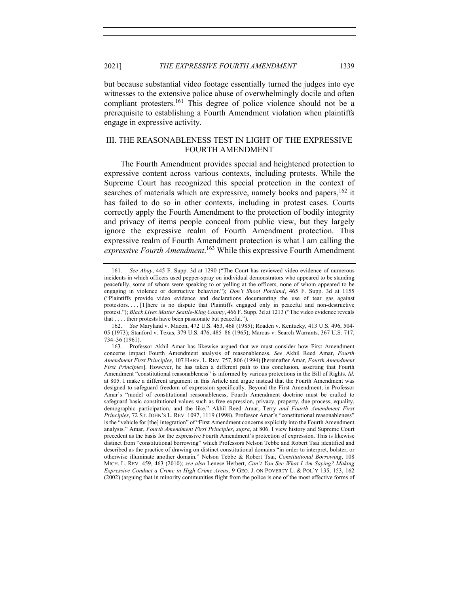but because substantial video footage essentially turned the judges into eye witnesses to the extensive police abuse of overwhelmingly docile and often compliant protesters.<sup>161</sup> This degree of police violence should not be a prerequisite to establishing a Fourth Amendment violation when plaintiffs engage in expressive activity.

# III. THE REASONABLENESS TEST IN LIGHT OF THE EXPRESSIVE FOURTH AMENDMENT

The Fourth Amendment provides special and heightened protection to expressive content across various contexts, including protests. While the Supreme Court has recognized this special protection in the context of searches of materials which are expressive, namely books and papers,  $^{162}$  it has failed to do so in other contexts, including in protest cases. Courts correctly apply the Fourth Amendment to the protection of bodily integrity and privacy of items people conceal from public view, but they largely ignore the expressive realm of Fourth Amendment protection. This expressive realm of Fourth Amendment protection is what I am calling the *expressive Fourth Amendment*. <sup>163</sup> While this expressive Fourth Amendment

<sup>161.</sup> *See Abay*, 445 F. Supp. 3d at 1290 ("The Court has reviewed video evidence of numerous incidents in which officers used pepper-spray on individual demonstrators who appeared to be standing peacefully, some of whom were speaking to or yelling at the officers, none of whom appeared to be engaging in violence or destructive behavior."); *Don't Shoot Portland*, 465 F. Supp. 3d at 1155 ("Plaintiffs provide video evidence and declarations documenting the use of tear gas against protestors. . . . [T]here is no dispute that Plaintiffs engaged only in peaceful and non-destructive protest."); *Black Lives Matter Seattle-King County*, 466 F. Supp. 3d at 1213 ("The video evidence reveals that . . . . their protests have been passionate but peaceful.").

<sup>162.</sup> *See* Maryland v. Macon, 472 U.S. 463, 468 (1985); Roaden v. Kentucky, 413 U.S. 496, 504- 05 (1973); Stanford v. Texas, 379 U.S. 476, 485–86 (1965); Marcus v. Search Warrants, 367 U.S. 717, 734–36 (1961).

<sup>163.</sup> Professor Akhil Amar has likewise argued that we must consider how First Amendment concerns impact Fourth Amendment analysis of reasonableness. *See* Akhil Reed Amar, *Fourth Amendment First Principles*, 107 HARV. L. REV. 757, 806 (1994) [hereinafter Amar, *Fourth Amendment First Principles*]. However, he has taken a different path to this conclusion, asserting that Fourth Amendment "constitutional reasonableness" is informed by various protections in the Bill of Rights. *Id*. at 805. I make a different argument in this Article and argue instead that the Fourth Amendment was designed to safeguard freedom of expression specifically. Beyond the First Amendment, in Professor Amar's "model of constitutional reasonableness, Fourth Amendment doctrine must be crafted to safeguard basic constitutional values such as free expression, privacy, property, due process, equality, demographic participation, and the like." Akhil Reed Amar, Terry *and Fourth Amendment First Principles*, 72 ST. JOHN'S L. REV. 1097, 1119 (1998). Professor Amar's "constitutional reasonableness" is the "vehicle for [the] integration" of "First Amendment concerns explicitly into the Fourth Amendment analysis." Amar, *Fourth Amendment First Principles*, *supra*, at 806. I view history and Supreme Court precedent as the basis for the expressive Fourth Amendment's protection of expression. This is likewise distinct from "constitutional borrowing" which Professors Nelson Tebbe and Robert Tsai identified and described as the practice of drawing on distinct constitutional domains "in order to interpret, bolster, or otherwise illuminate another domain." Nelson Tebbe & Robert Tsai, *Constitutional Borrowing*, 108 MICH. L. REV. 459, 463 (2010); *see also* Lenese Herbert, *Can't You See What I Am Saying? Making Expressive Conduct a Crime in High Crime Areas*, 9 GEO. J. ON POVERTY L. & POL'Y 135, 153, 162 (2002) (arguing that in minority communities flight from the police is one of the most effective forms of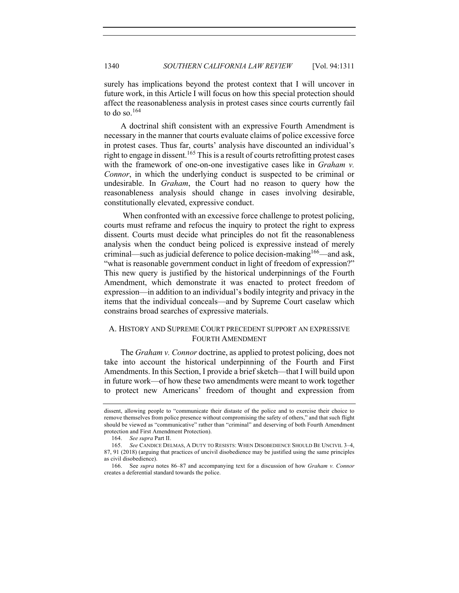surely has implications beyond the protest context that I will uncover in future work, in this Article I will focus on how this special protection should affect the reasonableness analysis in protest cases since courts currently fail to do so. $164$ 

A doctrinal shift consistent with an expressive Fourth Amendment is necessary in the manner that courts evaluate claims of police excessive force in protest cases. Thus far, courts' analysis have discounted an individual's right to engage in dissent.<sup>165</sup> This is a result of courts retrofitting protest cases with the framework of one-on-one investigative cases like in *Graham v. Connor*, in which the underlying conduct is suspected to be criminal or undesirable. In *Graham*, the Court had no reason to query how the reasonableness analysis should change in cases involving desirable, constitutionally elevated, expressive conduct.

When confronted with an excessive force challenge to protest policing, courts must reframe and refocus the inquiry to protect the right to express dissent. Courts must decide what principles do not fit the reasonableness analysis when the conduct being policed is expressive instead of merely criminal—such as judicial deference to police decision-making<sup>166</sup>—and ask, "what is reasonable government conduct in light of freedom of expression?" This new query is justified by the historical underpinnings of the Fourth Amendment, which demonstrate it was enacted to protect freedom of expression—in addition to an individual's bodily integrity and privacy in the items that the individual conceals—and by Supreme Court caselaw which constrains broad searches of expressive materials.

# A. HISTORY AND SUPREME COURT PRECEDENT SUPPORT AN EXPRESSIVE FOURTH AMENDMENT

The *Graham v. Connor* doctrine, as applied to protest policing, does not take into account the historical underpinning of the Fourth and First Amendments. In this Section, I provide a brief sketch—that I will build upon in future work—of how these two amendments were meant to work together to protect new Americans' freedom of thought and expression from

dissent, allowing people to "communicate their distaste of the police and to exercise their choice to remove themselves from police presence without compromising the safety of others," and that such flight should be viewed as "communicative" rather than "criminal" and deserving of both Fourth Amendment protection and First Amendment Protection).

<sup>164.</sup> *See supra* Part II.

<sup>165.</sup> *See* CANDICE DELMAS, A DUTY TO RESISTS: WHEN DISOBEDIENCE SHOULD BE UNCIVIL 3–4, 87, 91 (2018) (arguing that practices of uncivil disobedience may be justified using the same principles as civil disobedience).

<sup>166.</sup> See *supra* notes 86–87 and accompanying text for a discussion of how *Graham v. Connor* creates a deferential standard towards the police.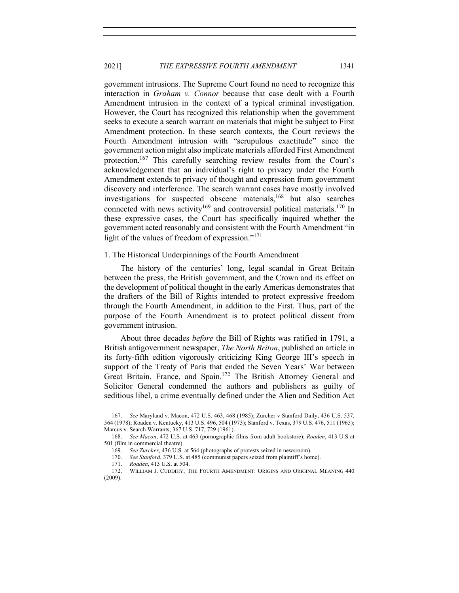## 2021] *THE EXPRESSIVE FOURTH AMENDMENT* 1341

government intrusions. The Supreme Court found no need to recognize this interaction in *Graham v. Connor* because that case dealt with a Fourth Amendment intrusion in the context of a typical criminal investigation. However, the Court has recognized this relationship when the government seeks to execute a search warrant on materials that might be subject to First Amendment protection. In these search contexts, the Court reviews the Fourth Amendment intrusion with "scrupulous exactitude" since the government action might also implicate materials afforded First Amendment protection.167 This carefully searching review results from the Court's acknowledgement that an individual's right to privacy under the Fourth Amendment extends to privacy of thought and expression from government discovery and interference. The search warrant cases have mostly involved investigations for suspected obscene materials,<sup>168</sup> but also searches connected with news activity<sup>169</sup> and controversial political materials.<sup>170</sup> In these expressive cases, the Court has specifically inquired whether the government acted reasonably and consistent with the Fourth Amendment "in light of the values of freedom of expression."<sup>171</sup>

## 1. The Historical Underpinnings of the Fourth Amendment

The history of the centuries' long, legal scandal in Great Britain between the press, the British government, and the Crown and its effect on the development of political thought in the early Americas demonstrates that the drafters of the Bill of Rights intended to protect expressive freedom through the Fourth Amendment, in addition to the First. Thus, part of the purpose of the Fourth Amendment is to protect political dissent from government intrusion.

About three decades *before* the Bill of Rights was ratified in 1791, a British antigovernment newspaper, *The North Briton*, published an article in its forty-fifth edition vigorously criticizing King George III's speech in support of the Treaty of Paris that ended the Seven Years' War between Great Britain, France, and Spain.<sup>172</sup> The British Attorney General and Solicitor General condemned the authors and publishers as guilty of seditious libel, a crime eventually defined under the Alien and Sedition Act

<sup>167.</sup> *See* Maryland v. Macon, 472 U.S. 463, 468 (1985); Zurcher v Stanford Daily, 436 U.S. 537, 564 (1978); Roaden v. Kentucky, 413 U.S. 496, 504 (1973); Stanford v. Texas, 379 U.S. 476, 511 (1965); Marcus v. Search Warrants, 367 U.S. 717, 729 (1961).

<sup>168.</sup> *See Macon*, 472 U.S. at 463 (pornographic films from adult bookstore); *Roaden*, 413 U.S at 501 (film in commercial theatre).

<sup>169.</sup> *See Zurcher*, 436 U.S. at 564 (photographs of protests seized in newsroom).

<sup>170.</sup> *See Stanford*, 379 U.S. at 485 (communist papers seized from plaintiff's home).

<sup>171.</sup> *Roaden*, 413 U.S. at 504.

<sup>172.</sup> WILLIAM J. CUDDIHY, THE FOURTH AMENDMENT: ORIGINS AND ORIGINAL MEANING 440 (2009).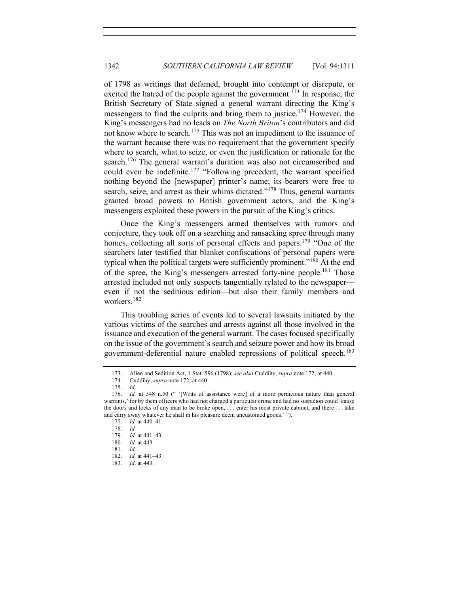of 1798 as writings that defamed, brought into contempt or disrepute, or excited the hatred of the people against the government.<sup>173</sup> In response, the British Secretary of State signed a general warrant directing the King's messengers to find the culprits and bring them to justice.<sup>174</sup> However, the King's messengers had no leads on *The North Briton*'s contributors and did not know where to search.<sup>175</sup> This was not an impediment to the issuance of the warrant because there was no requirement that the government specify where to search, what to seize, or even the justification or rationale for the search.<sup>176</sup> The general warrant's duration was also not circumscribed and could even be indefinite.<sup>177</sup> "Following precedent, the warrant specified nothing beyond the [newspaper] printer's name; its bearers were free to search, seize, and arrest as their whims dictated."<sup>178</sup> Thus, general warrants granted broad powers to British government actors, and the King's messengers exploited these powers in the pursuit of the King's critics.

Once the King's messengers armed themselves with rumors and conjecture, they took off on a searching and ransacking spree through many homes, collecting all sorts of personal effects and papers.<sup>179</sup> "One of the searchers later testified that blanket confiscations of personal papers were typical when the political targets were sufficiently prominent."<sup>180</sup> At the end of the spree, the King's messengers arrested forty-nine people.181 Those arrested included not only suspects tangentially related to the newspaper even if not the seditious edition—but also their family members and workers.182

This troubling series of events led to several lawsuits initiated by the various victims of the searches and arrests against all those involved in the issuance and execution of the general warrant. The cases focused specifically on the issue of the government's search and seizure power and how its broad government-deferential nature enabled repressions of political speech.<sup>183</sup>

<sup>173.</sup> Alien and Sedition Act, 1 Stat. 596 (1798); *see also* Cuddihy, *supra* note 172, at 440.

<sup>174.</sup> Cuddihy, *supra* note 172, at 440.

<sup>175.</sup> *Id.*

<sup>176.</sup> *Id.* at 548 n.50 (" '[Writs of assistance were] of a more pernicious nature than general warrants,' for by them officers who had not charged a particular crime and had no suspicion could 'cause the doors and locks of any man to be broke open, . . . enter his most private cabinet, and there . . . take and carry away whatever he shall in his pleasure deem uncustomed goods.' ").

<sup>177.</sup> *Id.* at 440–41.

<sup>178.</sup> *Id.*

<sup>179.</sup> *Id.* at 441–43.

<sup>180.</sup> *Id.* at 443.

<sup>181.</sup> *Id.*

<sup>182.</sup> *Id.* at 441–43.

<sup>183.</sup> *Id*. at 443.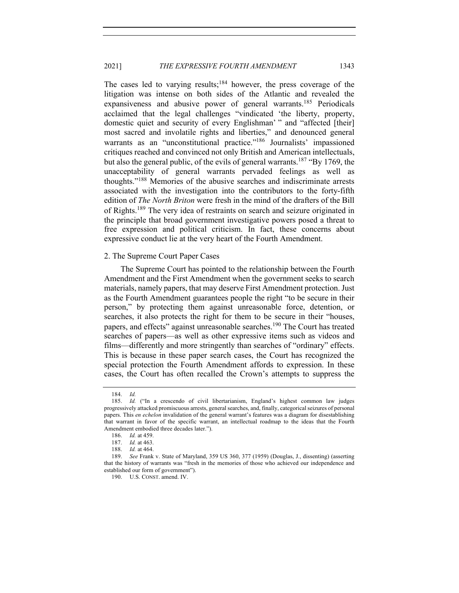# 2021] *THE EXPRESSIVE FOURTH AMENDMENT* 1343

The cases led to varying results;<sup>184</sup> however, the press coverage of the litigation was intense on both sides of the Atlantic and revealed the expansiveness and abusive power of general warrants.<sup>185</sup> Periodicals acclaimed that the legal challenges "vindicated 'the liberty, property, domestic quiet and security of every Englishman'" and "affected [their] most sacred and involatile rights and liberties," and denounced general warrants as an "unconstitutional practice."<sup>186</sup> Journalists' impassioned critiques reached and convinced not only British and American intellectuals, but also the general public, of the evils of general warrants.<sup>187</sup> "By 1769, the unacceptability of general warrants pervaded feelings as well as thoughts."<sup>188</sup> Memories of the abusive searches and indiscriminate arrests associated with the investigation into the contributors to the forty-fifth edition of *The North Briton* were fresh in the mind of the drafters of the Bill of Rights.<sup>189</sup> The very idea of restraints on search and seizure originated in the principle that broad government investigative powers posed a threat to free expression and political criticism. In fact, these concerns about expressive conduct lie at the very heart of the Fourth Amendment.

#### 2. The Supreme Court Paper Cases

The Supreme Court has pointed to the relationship between the Fourth Amendment and the First Amendment when the government seeks to search materials, namely papers, that may deserve First Amendment protection. Just as the Fourth Amendment guarantees people the right "to be secure in their person," by protecting them against unreasonable force, detention, or searches, it also protects the right for them to be secure in their "houses, papers, and effects" against unreasonable searches.<sup>190</sup> The Court has treated searches of papers—as well as other expressive items such as videos and films—differently and more stringently than searches of "ordinary" effects. This is because in these paper search cases, the Court has recognized the special protection the Fourth Amendment affords to expression. In these cases, the Court has often recalled the Crown's attempts to suppress the

<sup>184.</sup> *Id.*

<sup>185.</sup> *Id.* ("In a crescendo of civil libertarianism, England's highest common law judges progressively attacked promiscuous arrests, general searches, and, finally, categorical seizures of personal papers. This *en echelon* invalidation of the general warrant's features was a diagram for disestablishing that warrant in favor of the specific warrant, an intellectual roadmap to the ideas that the Fourth Amendment embodied three decades later.").

<sup>186.</sup> *Id.* at 459.

<sup>187.</sup> *Id.* at 463.

<sup>188.</sup> *Id.* at 464.

<sup>189.</sup> *See* Frank v. State of Maryland, 359 US 360, 377 (1959) (Douglas, J., dissenting) (asserting that the history of warrants was "fresh in the memories of those who achieved our independence and established our form of government").

<sup>190.</sup> U.S. CONST. amend. IV.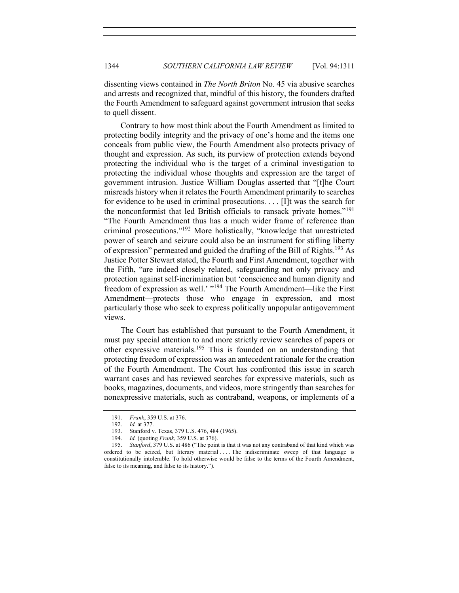dissenting views contained in *The North Briton* No. 45 via abusive searches and arrests and recognized that, mindful of this history, the founders drafted the Fourth Amendment to safeguard against government intrusion that seeks to quell dissent.

Contrary to how most think about the Fourth Amendment as limited to protecting bodily integrity and the privacy of one's home and the items one conceals from public view, the Fourth Amendment also protects privacy of thought and expression. As such, its purview of protection extends beyond protecting the individual who is the target of a criminal investigation to protecting the individual whose thoughts and expression are the target of government intrusion. Justice William Douglas asserted that "[t]he Court misreads history when it relates the Fourth Amendment primarily to searches for evidence to be used in criminal prosecutions. . . . [I]t was the search for the nonconformist that led British officials to ransack private homes."<sup>191</sup> "The Fourth Amendment thus has a much wider frame of reference than criminal prosecutions."192 More holistically, "knowledge that unrestricted power of search and seizure could also be an instrument for stifling liberty of expression" permeated and guided the drafting of the Bill of Rights.<sup>193</sup> As Justice Potter Stewart stated, the Fourth and First Amendment, together with the Fifth, "are indeed closely related, safeguarding not only privacy and protection against self-incrimination but 'conscience and human dignity and freedom of expression as well.' "<sup>194</sup> The Fourth Amendment—like the First Amendment—protects those who engage in expression, and most particularly those who seek to express politically unpopular antigovernment views.

The Court has established that pursuant to the Fourth Amendment, it must pay special attention to and more strictly review searches of papers or other expressive materials.195 This is founded on an understanding that protecting freedom of expression was an antecedent rationale for the creation of the Fourth Amendment. The Court has confronted this issue in search warrant cases and has reviewed searches for expressive materials, such as books, magazines, documents, and videos, more stringently than searches for nonexpressive materials, such as contraband, weapons, or implements of a

<sup>191.</sup> *Frank*, 359 U.S. at 376.

<sup>192.</sup> *Id.* at 377.

<sup>193.</sup> Stanford v. Texas, 379 U.S. 476, 484 (1965).

<sup>194.</sup> *Id.* (quoting *Frank*, 359 U.S. at 376).

<sup>195.</sup> *Stanford*, 379 U.S. at 486 ("The point is that it was not any contraband of that kind which was ordered to be seized, but literary material . . . . The indiscriminate sweep of that language is constitutionally intolerable. To hold otherwise would be false to the terms of the Fourth Amendment, false to its meaning, and false to its history.").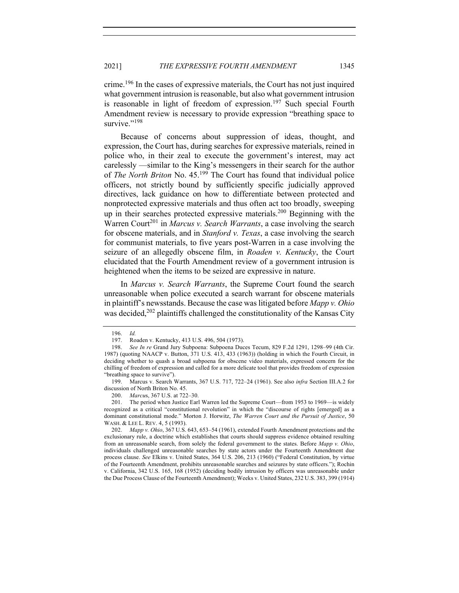crime.<sup>196</sup> In the cases of expressive materials, the Court has not just inquired what government intrusion is reasonable, but also what government intrusion is reasonable in light of freedom of expression.<sup>197</sup> Such special Fourth Amendment review is necessary to provide expression "breathing space to survive."<sup>198</sup>

Because of concerns about suppression of ideas, thought, and expression, the Court has, during searches for expressive materials, reined in police who, in their zeal to execute the government's interest, may act carelessly —similar to the King's messengers in their search for the author of *The North Briton* No. 45.<sup>199</sup> The Court has found that individual police officers, not strictly bound by sufficiently specific judicially approved directives, lack guidance on how to differentiate between protected and nonprotected expressive materials and thus often act too broadly, sweeping up in their searches protected expressive materials. <sup>200</sup> Beginning with the Warren Court<sup>201</sup> in *Marcus v. Search Warrants*, a case involving the search for obscene materials, and in *Stanford v. Texas*, a case involving the search for communist materials, to five years post-Warren in a case involving the seizure of an allegedly obscene film, in *Roaden v. Kentucky*, the Court elucidated that the Fourth Amendment review of a government intrusion is heightened when the items to be seized are expressive in nature.

In *Marcus v. Search Warrants*, the Supreme Court found the search unreasonable when police executed a search warrant for obscene materials in plaintiff's newsstands. Because the case was litigated before *Mapp v. Ohio* was decided,<sup>202</sup> plaintiffs challenged the constitutionality of the Kansas City

<sup>196.</sup> *Id.*

<sup>197.</sup> Roaden v. Kentucky, 413 U.S. 496, 504 (1973).

<sup>198.</sup> *See In re* Grand Jury Subpoena: Subpoena Duces Tecum, 829 F.2d 1291, 1298–99 (4th Cir. 1987) (quoting NAACP v. Button, 371 U.S. 413, 433 (1963)) (holding in which the Fourth Circuit, in deciding whether to quash a broad subpoena for obscene video materials, expressed concern for the chilling of freedom of expression and called for a more delicate tool that provides freedom of expression "breathing space to survive").

<sup>199.</sup> Marcus v. Search Warrants, 367 U.S. 717, 722–24 (1961). See also *infra* Section III.A.2 for discussion of North Briton No. 45.

<sup>200.</sup> *Marcu*s, 367 U.S. at 722–30.

<sup>201.</sup> The period when Justice Earl Warren led the Supreme Court—from 1953 to 1969—is widely recognized as a critical "constitutional revolution" in which the "discourse of rights [emerged] as a dominant constitutional mode." Morton J. Horwitz, *The Warren Court and the Pursuit of Justice*, 50 WASH. & LEE L. REV. 4, 5 (1993).

<sup>202.</sup> *Mapp v. Ohio*, 367 U.S. 643, 653–54 (1961), extended Fourth Amendment protections and the exclusionary rule, a doctrine which establishes that courts should suppress evidence obtained resulting from an unreasonable search, from solely the federal government to the states. Before *Mapp v. Ohio*, individuals challenged unreasonable searches by state actors under the Fourteenth Amendment due process clause. *See* Elkins v. United States, 364 U.S. 206, 213 (1960) ("Federal Constitution, by virtue of the Fourteenth Amendment, prohibits unreasonable searches and seizures by state officers."); Rochin v. California, 342 U.S. 165, 168 (1952) (deciding bodily intrusion by officers was unreasonable under the Due Process Clause of the Fourteenth Amendment); Weeks v. United States, 232 U.S. 383, 399 (1914)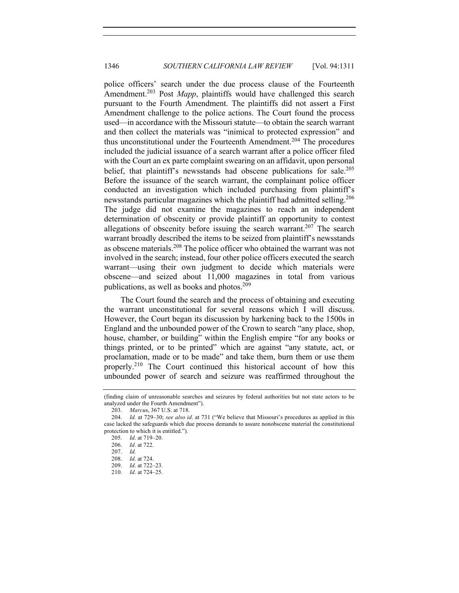police officers' search under the due process clause of the Fourteenth Amendment.<sup>203</sup> Post *Mapp*, plaintiffs would have challenged this search pursuant to the Fourth Amendment. The plaintiffs did not assert a First Amendment challenge to the police actions. The Court found the process used—in accordance with the Missouri statute—to obtain the search warrant and then collect the materials was "inimical to protected expression" and thus unconstitutional under the Fourteenth Amendment.<sup>204</sup> The procedures included the judicial issuance of a search warrant after a police officer filed with the Court an ex parte complaint swearing on an affidavit, upon personal belief, that plaintiff's newsstands had obscene publications for sale.<sup>205</sup> Before the issuance of the search warrant, the complainant police officer conducted an investigation which included purchasing from plaintiff's newsstands particular magazines which the plaintiff had admitted selling.<sup>206</sup> The judge did not examine the magazines to reach an independent determination of obscenity or provide plaintiff an opportunity to contest allegations of obscenity before issuing the search warrant.<sup>207</sup> The search warrant broadly described the items to be seized from plaintiff's newsstands as obscene materials.<sup>208</sup> The police officer who obtained the warrant was not involved in the search; instead, four other police officers executed the search warrant—using their own judgment to decide which materials were obscene—and seized about 11,000 magazines in total from various publications, as well as books and photos.<sup>209</sup>

The Court found the search and the process of obtaining and executing the warrant unconstitutional for several reasons which I will discuss. However, the Court began its discussion by harkening back to the 1500s in England and the unbounded power of the Crown to search "any place, shop, house, chamber, or building" within the English empire "for any books or things printed, or to be printed" which are against "any statute, act, or proclamation, made or to be made" and take them, burn them or use them properly.<sup>210</sup> The Court continued this historical account of how this unbounded power of search and seizure was reaffirmed throughout the

<sup>(</sup>finding claim of unreasonable searches and seizures by federal authorities but not state actors to be analyzed under the Fourth Amendment").

<sup>203.</sup> *Marcu*s, 367 U.S. at 718.

<sup>204.</sup> *Id.* at 729–30; *see also id*. at 731 ("We believe that Missouri's procedures as applied in this case lacked the safeguards which due process demands to assure nonobscene material the constitutional protection to which it is entitled.").

<sup>205.</sup> *Id*. at 719–20.

<sup>206.</sup> *Id*. at 722.

<sup>207.</sup> *Id.*

<sup>208.</sup> *Id*. at 724.

<sup>209.</sup> *Id*. at 722–23.

<sup>210.</sup> *Id*. at 724–25.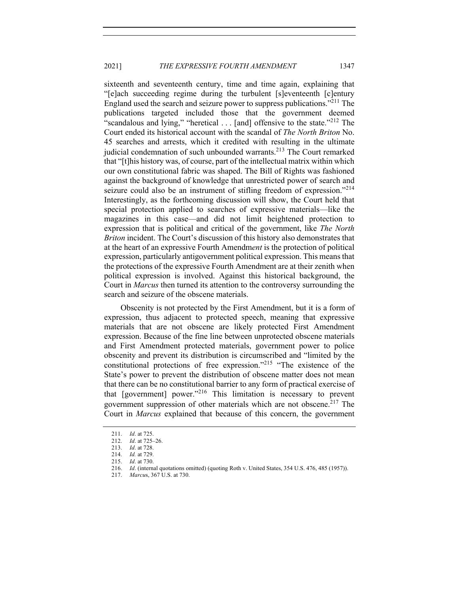sixteenth and seventeenth century, time and time again, explaining that "[e]ach succeeding regime during the turbulent [s]eventeenth [c]entury England used the search and seizure power to suppress publications."211 The publications targeted included those that the government deemed "scandalous and lying," "heretical  $\dots$  [and] offensive to the state."<sup>212</sup> The Court ended its historical account with the scandal of *The North Briton* No. 45 searches and arrests, which it credited with resulting in the ultimate judicial condemnation of such unbounded warrants.<sup>213</sup> The Court remarked that "[t]his history was, of course, part of the intellectual matrix within which our own constitutional fabric was shaped. The Bill of Rights was fashioned against the background of knowledge that unrestricted power of search and seizure could also be an instrument of stifling freedom of expression."<sup>214</sup> Interestingly, as the forthcoming discussion will show, the Court held that special protection applied to searches of expressive materials—like the magazines in this case—and did not limit heightened protection to expression that is political and critical of the government, like *The North Briton* incident. The Court's discussion of this history also demonstrates that at the heart of an expressive Fourth Amendm*ent* is the protection of political expression, particularly antigovernment political expression. This means that the protections of the expressive Fourth Amendment are at their zenith when political expression is involved. Against this historical background, the Court in *Marcus* then turned its attention to the controversy surrounding the search and seizure of the obscene materials.

Obscenity is not protected by the First Amendment, but it is a form of expression, thus adjacent to protected speech, meaning that expressive materials that are not obscene are likely protected First Amendment expression. Because of the fine line between unprotected obscene materials and First Amendment protected materials, government power to police obscenity and prevent its distribution is circumscribed and "limited by the constitutional protections of free expression."<sup>215</sup> "The existence of the State's power to prevent the distribution of obscene matter does not mean that there can be no constitutional barrier to any form of practical exercise of that  $[gevement] power."<sup>216</sup> This limitation is necessary to prevent$ government suppression of other materials which are not obscene.<sup>217</sup> The Court in *Marcus* explained that because of this concern, the government

<sup>211.</sup> *Id*. at 725.

<sup>212.</sup> *Id*. at 725–26.

<sup>213.</sup> *Id*. at 728.

<sup>214.</sup> *Id.* at 729.

<sup>215.</sup> *Id*. at 730.

<sup>216.</sup> *Id*. (internal quotations omitted) (quoting Roth v. United States, 354 U.S. 476, 485 (1957)).

<sup>217.</sup> *Marcu*s, 367 U.S. at 730.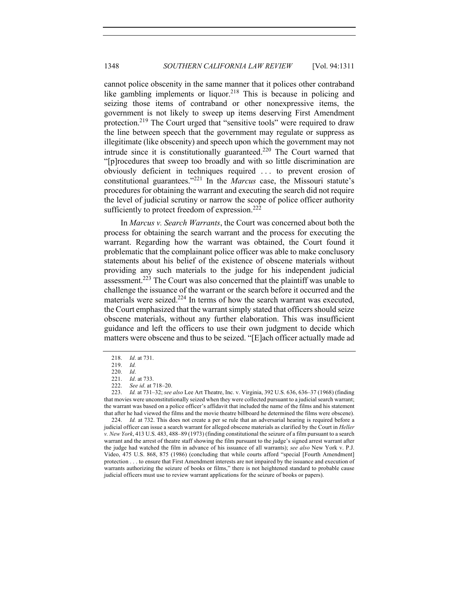cannot police obscenity in the same manner that it polices other contraband like gambling implements or liquor.<sup>218</sup> This is because in policing and seizing those items of contraband or other nonexpressive items, the government is not likely to sweep up items deserving First Amendment protection.<sup>219</sup> The Court urged that "sensitive tools" were required to draw the line between speech that the government may regulate or suppress as illegitimate (like obscenity) and speech upon which the government may not intrude since it is constitutionally guaranteed.<sup>220</sup> The Court warned that "[p]rocedures that sweep too broadly and with so little discrimination are obviously deficient in techniques required . . . to prevent erosion of constitutional guarantees."<sup>221</sup> In the *Marcus* case, the Missouri statute's procedures for obtaining the warrant and executing the search did not require the level of judicial scrutiny or narrow the scope of police officer authority sufficiently to protect freedom of expression.<sup>222</sup>

In *Marcus v. Search Warrants*, the Court was concerned about both the process for obtaining the search warrant and the process for executing the warrant. Regarding how the warrant was obtained, the Court found it problematic that the complainant police officer was able to make conclusory statements about his belief of the existence of obscene materials without providing any such materials to the judge for his independent judicial assessment.<sup>223</sup> The Court was also concerned that the plaintiff was unable to challenge the issuance of the warrant or the search before it occurred and the materials were seized.<sup>224</sup> In terms of how the search warrant was executed, the Court emphasized that the warrant simply stated that officers should seize obscene materials, without any further elaboration. This was insufficient guidance and left the officers to use their own judgment to decide which matters were obscene and thus to be seized. "[E]ach officer actually made ad

224. *Id.* at 732. This does not create a per se rule that an adversarial hearing is required before a judicial officer can issue a search warrant for alleged obscene materials as clarified by the Court in *Heller v. New York*, 413 U.S. 483, 488–89 (1973) (finding constitutional the seizure of a film pursuant to a search warrant and the arrest of theatre staff showing the film pursuant to the judge's signed arrest warrant after the judge had watched the film in advance of his issuance of all warrants); *see also* New York v. P.J. Video, 475 U.S. 868, 875 (1986) (concluding that while courts afford "special [Fourth Amendment] protection . . . to ensure that First Amendment interests are not impaired by the issuance and execution of warrants authorizing the seizure of books or films," there is not heightened standard to probable cause judicial officers must use to review warrant applications for the seizure of books or papers).

<sup>218.</sup> *Id*. at 731.

<sup>219.</sup> *Id.*

<sup>220.</sup> *Id*.

<sup>221.</sup> *Id*. at 733.

<sup>222.</sup> *See id*. at 718–20.

<sup>223.</sup> *Id.* at 731–32; *see also* Lee Art Theatre, Inc. v. Virginia, 392 U.S. 636, 636–37 (1968) (finding that movies were unconstitutionally seized when they were collected pursuant to a judicial search warrant; the warrant was based on a police officer's affidavit that included the name of the films and his statement that after he had viewed the films and the movie theatre billboard he determined the films were obscene).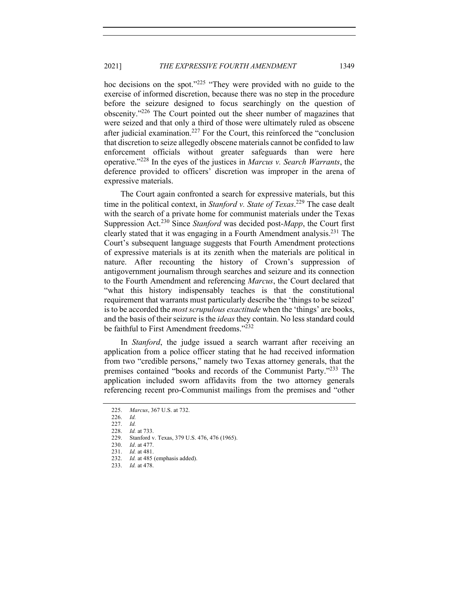hoc decisions on the spot."<sup>225</sup> "They were provided with no guide to the exercise of informed discretion, because there was no step in the procedure before the seizure designed to focus searchingly on the question of obscenity."226 The Court pointed out the sheer number of magazines that were seized and that only a third of those were ultimately ruled as obscene after judicial examination.<sup>227</sup> For the Court, this reinforced the "conclusion" that discretion to seize allegedly obscene materials cannot be confided to law enforcement officials without greater safeguards than were here operative."228 In the eyes of the justices in *Marcus v. Search Warrants*, the deference provided to officers' discretion was improper in the arena of expressive materials.

The Court again confronted a search for expressive materials, but this time in the political context, in *Stanford v. State of Texas*. <sup>229</sup> The case dealt with the search of a private home for communist materials under the Texas Suppression Act.<sup>230</sup> Since *Stanford* was decided post-*Mapp*, the Court first clearly stated that it was engaging in a Fourth Amendment analysis.231 The Court's subsequent language suggests that Fourth Amendment protections of expressive materials is at its zenith when the materials are political in nature. After recounting the history of Crown's suppression of antigovernment journalism through searches and seizure and its connection to the Fourth Amendment and referencing *Marcus*, the Court declared that "what this history indispensably teaches is that the constitutional requirement that warrants must particularly describe the 'things to be seized' is to be accorded the *most scrupulous exactitude* when the 'things' are books, and the basis of their seizure is the *ideas* they contain. No less standard could be faithful to First Amendment freedoms."<sup>232</sup>

In *Stanford*, the judge issued a search warrant after receiving an application from a police officer stating that he had received information from two "credible persons," namely two Texas attorney generals, that the premises contained "books and records of the Communist Party."233 The application included sworn affidavits from the two attorney generals referencing recent pro-Communist mailings from the premises and "other

- 227. *Id.*
- 228. *Id.* at 733.
- 229. Stanford v. Texas, 379 U.S. 476, 476 (1965).
- 230. *Id*. at 477.
- 231. *Id.* at 481.
- 232. *Id.* at 485 (emphasis added).
- 233. *Id.* at 478.

<sup>225.</sup> *Marcus*, 367 U.S. at 732.

<sup>226.</sup> *Id.*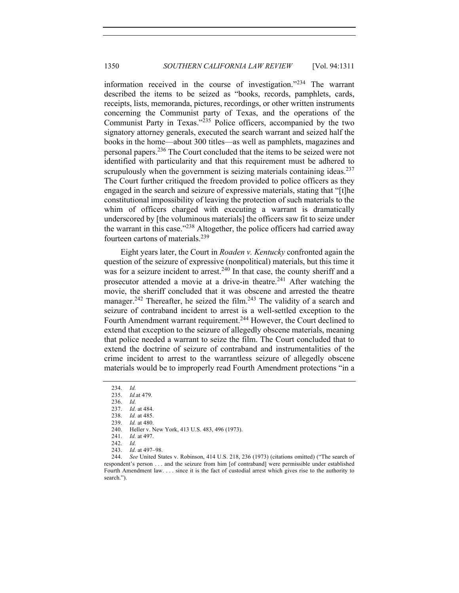information received in the course of investigation."<sup>234</sup> The warrant described the items to be seized as "books, records, pamphlets, cards, receipts, lists, memoranda, pictures, recordings, or other written instruments concerning the Communist party of Texas, and the operations of the Communist Party in Texas."<sup>235</sup> Police officers, accompanied by the two signatory attorney generals, executed the search warrant and seized half the books in the home—about 300 titles—as well as pamphlets, magazines and personal papers.<sup>236</sup> The Court concluded that the items to be seized were not identified with particularity and that this requirement must be adhered to scrupulously when the government is seizing materials containing ideas. $237$ The Court further critiqued the freedom provided to police officers as they engaged in the search and seizure of expressive materials, stating that "[t]he constitutional impossibility of leaving the protection of such materials to the whim of officers charged with executing a warrant is dramatically underscored by [the voluminous materials] the officers saw fit to seize under the warrant in this case."<sup>238</sup> Altogether, the police officers had carried away fourteen cartons of materials.<sup>239</sup>

Eight years later, the Court in *Roaden v. Kentucky* confronted again the question of the seizure of expressive (nonpolitical) materials, but this time it was for a seizure incident to arrest.<sup>240</sup> In that case, the county sheriff and a prosecutor attended a movie at a drive-in theatre.<sup>241</sup> After watching the movie, the sheriff concluded that it was obscene and arrested the theatre manager.<sup>242</sup> Thereafter, he seized the film.<sup>243</sup> The validity of a search and seizure of contraband incident to arrest is a well-settled exception to the Fourth Amendment warrant requirement.<sup>244</sup> However, the Court declined to extend that exception to the seizure of allegedly obscene materials, meaning that police needed a warrant to seize the film. The Court concluded that to extend the doctrine of seizure of contraband and instrumentalities of the crime incident to arrest to the warrantless seizure of allegedly obscene materials would be to improperly read Fourth Amendment protections "in a

239. *Id.* at 480.

<sup>234.</sup> *Id.*

<sup>235.</sup> *Id.*at 479.

<sup>236.</sup> *Id.*

<sup>237.</sup> *Id.* at 484.

<sup>238.</sup> *Id.* at 485.

<sup>240.</sup> Heller v. New York, 413 U.S. 483, 496 (1973).

<sup>241.</sup> *Id.* at 497.

<sup>242.</sup> *Id.*

<sup>243.</sup> *Id.* at 497–98.

<sup>244.</sup> *See* United States v. Robinson, 414 U.S. 218, 236 (1973) (citations omitted) ("The search of respondent's person . . . and the seizure from him [of contraband] were permissible under established Fourth Amendment law. . . . since it is the fact of custodial arrest which gives rise to the authority to search.").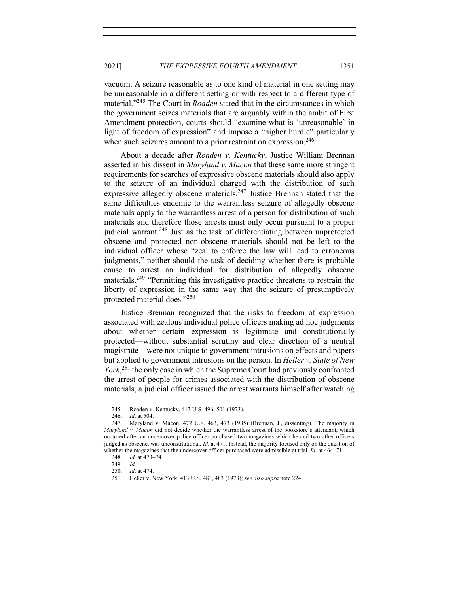## 2021] *THE EXPRESSIVE FOURTH AMENDMENT* 1351

vacuum. A seizure reasonable as to one kind of material in one setting may be unreasonable in a different setting or with respect to a different type of material."245 The Court in *Roaden* stated that in the circumstances in which the government seizes materials that are arguably within the ambit of First Amendment protection, courts should "examine what is 'unreasonable' in light of freedom of expression" and impose a "higher hurdle" particularly when such seizures amount to a prior restraint on expression.<sup>246</sup>

About a decade after *Roaden v. Kentucky*, Justice William Brennan asserted in his dissent in *Maryland v. Macon* that these same more stringent requirements for searches of expressive obscene materials should also apply to the seizure of an individual charged with the distribution of such expressive allegedly obscene materials.<sup>247</sup> Justice Brennan stated that the same difficulties endemic to the warrantless seizure of allegedly obscene materials apply to the warrantless arrest of a person for distribution of such materials and therefore those arrests must only occur pursuant to a proper judicial warrant.<sup>248</sup> Just as the task of differentiating between unprotected obscene and protected non-obscene materials should not be left to the individual officer whose "zeal to enforce the law will lead to erroneous judgments," neither should the task of deciding whether there is probable cause to arrest an individual for distribution of allegedly obscene materials.<sup>249</sup> "Permitting this investigative practice threatens to restrain the liberty of expression in the same way that the seizure of presumptively protected material does."250

Justice Brennan recognized that the risks to freedom of expression associated with zealous individual police officers making ad hoc judgments about whether certain expression is legitimate and constitutionally protected—without substantial scrutiny and clear direction of a neutral magistrate—were not unique to government intrusions on effects and papers but applied to government intrusions on the person. In *Heller v. State of New York*, <sup>251</sup> the only case in which the Supreme Court had previously confronted the arrest of people for crimes associated with the distribution of obscene materials, a judicial officer issued the arrest warrants himself after watching

<sup>245.</sup> Roaden v. Kentucky, 413 U.S. 496, 501 (1973).<br>246 *Id* at 504

*Id.* at 504.

<sup>247.</sup> Maryland v. Macon, 472 U.S. 463, 473 (1985) (Brennan, J., dissenting). The majority in *Maryland v. Macon* did not decide whether the warrantless arrest of the bookstore's attendant, which occurred after an undercover police officer purchased two magazines which he and two other officers judged as obscene, was unconstitutional*. Id*. at 471. Instead, the majority focused only on the question of whether the magazines that the undercover officer purchased were admissible at trial. *Id.* at 464–71.

<sup>248.</sup> *Id*. at 473–74.

<sup>249.</sup> *Id.*

<sup>250.</sup> *Id*. at 474.

<sup>251.</sup> Heller v. New York, 413 U.S. 483, 483 (1973); *see also supra* note 224.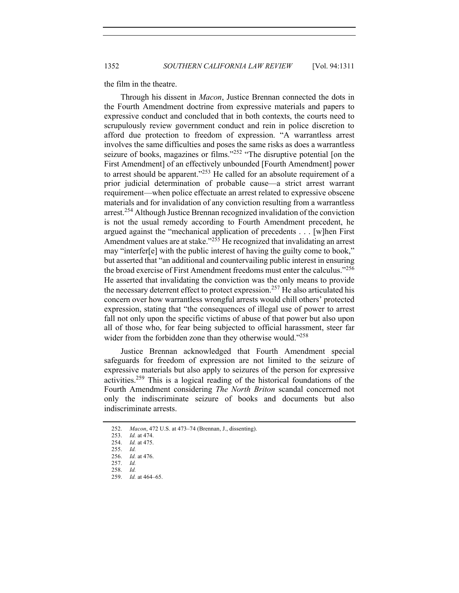the film in the theatre.

Through his dissent in *Macon*, Justice Brennan connected the dots in the Fourth Amendment doctrine from expressive materials and papers to expressive conduct and concluded that in both contexts, the courts need to scrupulously review government conduct and rein in police discretion to afford due protection to freedom of expression. "A warrantless arrest involves the same difficulties and poses the same risks as does a warrantless seizure of books, magazines or films."<sup>252</sup> "The disruptive potential [on the First Amendment] of an effectively unbounded [Fourth Amendment] power to arrest should be apparent."<sup>253</sup> He called for an absolute requirement of a prior judicial determination of probable cause—a strict arrest warrant requirement—when police effectuate an arrest related to expressive obscene materials and for invalidation of any conviction resulting from a warrantless arrest.254 Although Justice Brennan recognized invalidation of the conviction is not the usual remedy according to Fourth Amendment precedent, he argued against the "mechanical application of precedents . . . [w]hen First Amendment values are at stake.<sup>"255</sup> He recognized that invalidating an arrest may "interfer[e] with the public interest of having the guilty come to book," but asserted that "an additional and countervailing public interest in ensuring the broad exercise of First Amendment freedoms must enter the calculus."<sup>256</sup> He asserted that invalidating the conviction was the only means to provide the necessary deterrent effect to protect expression.<sup>257</sup> He also articulated his concern over how warrantless wrongful arrests would chill others' protected expression, stating that "the consequences of illegal use of power to arrest fall not only upon the specific victims of abuse of that power but also upon all of those who, for fear being subjected to official harassment, steer far wider from the forbidden zone than they otherwise would."<sup>258</sup>

Justice Brennan acknowledged that Fourth Amendment special safeguards for freedom of expression are not limited to the seizure of expressive materials but also apply to seizures of the person for expressive activities.259 This is a logical reading of the historical foundations of the Fourth Amendment considering *The North Briton* scandal concerned not only the indiscriminate seizure of books and documents but also indiscriminate arrests.

<sup>252.</sup> *Macon*, 472 U.S. at 473–74 (Brennan, J., dissenting).

*Id.* at 474.

<sup>254.</sup> *Id.* at 475. 255. *Id.*

<sup>256.</sup> *Id.* at 476. 257. *Id.*

<sup>258.</sup> *Id.*

<sup>259.</sup> *Id.* at 464–65.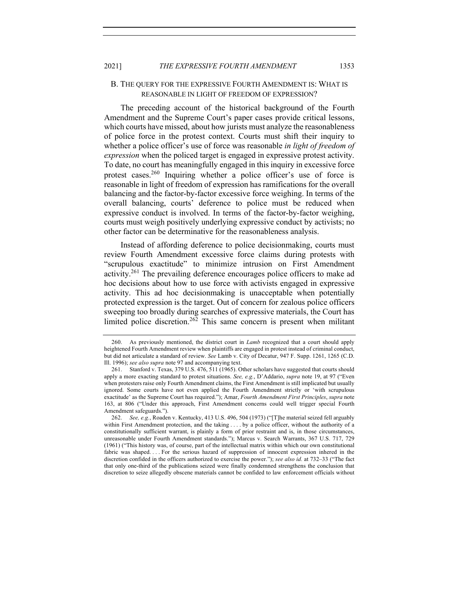## B. THE QUERY FOR THE EXPRESSIVE FOURTH AMENDMENT IS: WHAT IS REASONABLE IN LIGHT OF FREEDOM OF EXPRESSION?

The preceding account of the historical background of the Fourth Amendment and the Supreme Court's paper cases provide critical lessons, which courts have missed, about how jurists must analyze the reasonableness of police force in the protest context. Courts must shift their inquiry to whether a police officer's use of force was reasonable *in light of freedom of expression* when the policed target is engaged in expressive protest activity. To date, no court has meaningfully engaged in this inquiry in excessive force protest cases.<sup>260</sup> Inquiring whether a police officer's use of force is reasonable in light of freedom of expression has ramifications for the overall balancing and the factor-by-factor excessive force weighing. In terms of the overall balancing, courts' deference to police must be reduced when expressive conduct is involved. In terms of the factor-by-factor weighing, courts must weigh positively underlying expressive conduct by activists; no other factor can be determinative for the reasonableness analysis.

Instead of affording deference to police decisionmaking, courts must review Fourth Amendment excessive force claims during protests with "scrupulous exactitude" to minimize intrusion on First Amendment activity.<sup>261</sup> The prevailing deference encourages police officers to make ad hoc decisions about how to use force with activists engaged in expressive activity. This ad hoc decisionmaking is unacceptable when potentially protected expression is the target. Out of concern for zealous police officers sweeping too broadly during searches of expressive materials, the Court has limited police discretion.<sup>262</sup> This same concern is present when militant

<sup>260.</sup> As previously mentioned, the district court in *Lamb* recognized that a court should apply heightened Fourth Amendment review when plaintiffs are engaged in protest instead of criminal conduct, but did not articulate a standard of review. *See* Lamb v. City of Decatur, 947 F. Supp. 1261, 1265 (C.D. Ill. 1996); *see also supra* note 97 and accompanying text.

<sup>261.</sup> Stanford v. Texas, 379 U.S. 476, 511 (1965). Other scholars have suggested that courts should apply a more exacting standard to protest situations. *See, e.g.*, D'Addario, *supra* note 19, at 97 ("Even when protesters raise only Fourth Amendment claims, the First Amendment is still implicated but usually ignored. Some courts have not even applied the Fourth Amendment strictly or 'with scrupulous exactitude' as the Supreme Court has required."); Amar, *Fourth Amendment First Principles*, *supra* note 163, at 806 ("Under this approach, First Amendment concerns could well trigger special Fourth Amendment safeguards.").

<sup>262.</sup> *See, e.g.*, Roaden v. Kentucky, 413 U.S. 496, 504 (1973) ("[T]he material seized fell arguably within First Amendment protection, and the taking . . . . by a police officer, without the authority of a constitutionally sufficient warrant, is plainly a form of prior restraint and is, in those circumstances, unreasonable under Fourth Amendment standards."); Marcus v. Search Warrants, 367 U.S. 717, 729 (1961) ("This history was, of course, part of the intellectual matrix within which our own constitutional fabric was shaped. . . . For the serious hazard of suppression of innocent expression inhered in the discretion confided in the officers authorized to exercise the power."); *see also id.* at 732–33 ("The fact that only one-third of the publications seized were finally condemned strengthens the conclusion that discretion to seize allegedly obscene materials cannot be confided to law enforcement officials without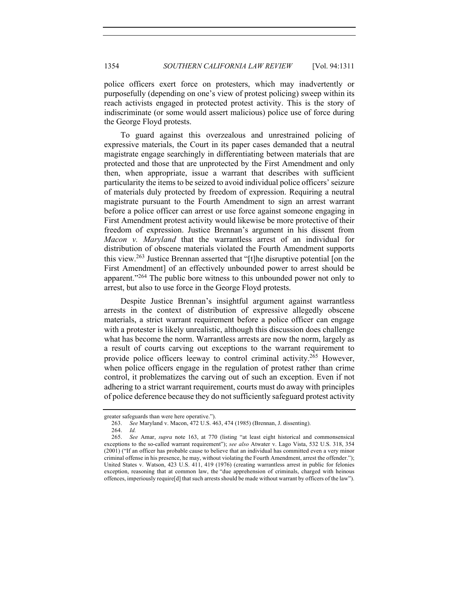police officers exert force on protesters, which may inadvertently or purposefully (depending on one's view of protest policing) sweep within its reach activists engaged in protected protest activity. This is the story of indiscriminate (or some would assert malicious) police use of force during the George Floyd protests.

To guard against this overzealous and unrestrained policing of expressive materials, the Court in its paper cases demanded that a neutral magistrate engage searchingly in differentiating between materials that are protected and those that are unprotected by the First Amendment and only then, when appropriate, issue a warrant that describes with sufficient particularity the items to be seized to avoid individual police officers' seizure of materials duly protected by freedom of expression. Requiring a neutral magistrate pursuant to the Fourth Amendment to sign an arrest warrant before a police officer can arrest or use force against someone engaging in First Amendment protest activity would likewise be more protective of their freedom of expression. Justice Brennan's argument in his dissent from *Macon v. Maryland* that the warrantless arrest of an individual for distribution of obscene materials violated the Fourth Amendment supports this view.263 Justice Brennan asserted that "[t]he disruptive potential [on the First Amendment] of an effectively unbounded power to arrest should be apparent."<sup>264</sup> The public bore witness to this unbounded power not only to arrest, but also to use force in the George Floyd protests.

Despite Justice Brennan's insightful argument against warrantless arrests in the context of distribution of expressive allegedly obscene materials, a strict warrant requirement before a police officer can engage with a protester is likely unrealistic, although this discussion does challenge what has become the norm. Warrantless arrests are now the norm, largely as a result of courts carving out exceptions to the warrant requirement to provide police officers leeway to control criminal activity.<sup>265</sup> However, when police officers engage in the regulation of protest rather than crime control, it problematizes the carving out of such an exception. Even if not adhering to a strict warrant requirement, courts must do away with principles of police deference because they do not sufficiently safeguard protest activity

greater safeguards than were here operative.").

<sup>263.</sup> *See* Maryland v. Macon, 472 U.S. 463, 474 (1985) (Brennan, J. dissenting).

<sup>264.</sup> *Id.*

<sup>265.</sup> *See* Amar, *supra* note 163, at 770 (listing "at least eight historical and commonsensical exceptions to the so-called warrant requirement"); *see also* Atwater v. Lago Vista, 532 U.S. 318, 354 (2001) ("If an officer has probable cause to believe that an individual has committed even a very minor criminal offense in his presence, he may, without violating the Fourth Amendment, arrest the offender."); United States v. Watson, 423 U.S. 411, 419 (1976) (creating warrantless arrest in public for felonies exception, reasoning that at common law, the "due apprehension of criminals, charged with heinous offences, imperiously require[d] that such arrests should be made without warrant by officers of the law").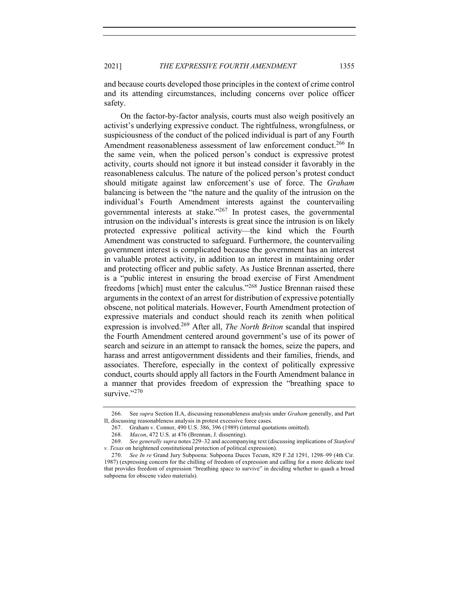and because courts developed those principles in the context of crime control and its attending circumstances, including concerns over police officer safety.

On the factor-by-factor analysis, courts must also weigh positively an activist's underlying expressive conduct. The rightfulness, wrongfulness, or suspiciousness of the conduct of the policed individual is part of any Fourth Amendment reasonableness assessment of law enforcement conduct.<sup>266</sup> In the same vein, when the policed person's conduct is expressive protest activity, courts should not ignore it but instead consider it favorably in the reasonableness calculus. The nature of the policed person's protest conduct should mitigate against law enforcement's use of force. The *Graham* balancing is between the "the nature and the quality of the intrusion on the individual's Fourth Amendment interests against the countervailing governmental interests at stake."267 In protest cases, the governmental intrusion on the individual's interests is great since the intrusion is on likely protected expressive political activity—the kind which the Fourth Amendment was constructed to safeguard. Furthermore, the countervailing government interest is complicated because the government has an interest in valuable protest activity, in addition to an interest in maintaining order and protecting officer and public safety. As Justice Brennan asserted, there is a "public interest in ensuring the broad exercise of First Amendment freedoms [which] must enter the calculus."<sup>268</sup> Justice Brennan raised these arguments in the context of an arrest for distribution of expressive potentially obscene, not political materials. However, Fourth Amendment protection of expressive materials and conduct should reach its zenith when political expression is involved.269 After all, *The North Briton* scandal that inspired the Fourth Amendment centered around government's use of its power of search and seizure in an attempt to ransack the homes, seize the papers, and harass and arrest antigovernment dissidents and their families, friends, and associates. Therefore, especially in the context of politically expressive conduct, courts should apply all factors in the Fourth Amendment balance in a manner that provides freedom of expression the "breathing space to survive."<sup>270</sup>

<sup>266.</sup> See *supra* Section II.A, discussing reasonableness analysis under *Graham* generally, and Part II, discussing reasonableness analysis in protest excessive force cases.

<sup>267.</sup> Graham v. Connor, 490 U.S. 386, 396 (1989) (internal quotations omitted).

<sup>268.</sup> *Macon*, 472 U.S. at 476 (Brennan, J. dissenting).

<sup>269.</sup> *See generally supra* notes 229–32 and accompanying text (discussing implications of *Stanford v. Texas* on heightened constitutional protection of political expression).

<sup>270.</sup> *See In re* Grand Jury Subpoena: Subpoena Duces Tecum, 829 F.2d 1291, 1298–99 (4th Cir. 1987) (expressing concern for the chilling of freedom of expression and calling for a more delicate tool that provides freedom of expression "breathing space to survive" in deciding whether to quash a broad subpoena for obscene video materials).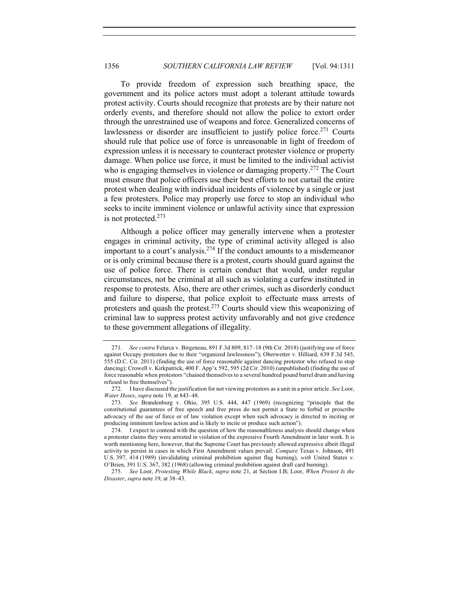To provide freedom of expression such breathing space, the government and its police actors must adopt a tolerant attitude towards protest activity. Courts should recognize that protests are by their nature not orderly events, and therefore should not allow the police to extort order through the unrestrained use of weapons and force. Generalized concerns of lawlessness or disorder are insufficient to justify police force.<sup>271</sup> Courts should rule that police use of force is unreasonable in light of freedom of expression unless it is necessary to counteract protester violence or property damage. When police use force, it must be limited to the individual activist who is engaging themselves in violence or damaging property.<sup>272</sup> The Court must ensure that police officers use their best efforts to not curtail the entire protest when dealing with individual incidents of violence by a single or just a few protesters. Police may properly use force to stop an individual who seeks to incite imminent violence or unlawful activity since that expression is not protected.<sup>273</sup>

Although a police officer may generally intervene when a protester engages in criminal activity, the type of criminal activity alleged is also important to a court's analysis.<sup>274</sup> If the conduct amounts to a misdemeanor or is only criminal because there is a protest, courts should guard against the use of police force. There is certain conduct that would, under regular circumstances, not be criminal at all such as violating a curfew instituted in response to protests. Also, there are other crimes, such as disorderly conduct and failure to disperse, that police exploit to effectuate mass arrests of protesters and quash the protest.<sup>275</sup> Courts should view this weaponizing of criminal law to suppress protest activity unfavorably and not give credence to these government allegations of illegality.

<sup>271.</sup> *See contra* Felarca v. Birgeneau, 891 F.3d 809, 817–18 (9th Cir. 2018) (justifying use of force against Occupy protestors due to their "organized lawlessness"); Oberwetter v. Hilliard, 639 F.3d 545, 555 (D.C. Cir. 2011) (finding the use of force reasonable against dancing protestor who refused to stop dancing); Crowell v. Kirkpatrick, 400 F. App'x 592, 595 (2d Cir. 2010) (unpublished) (finding the use of force reasonable when protestors "chained themselves to a several hundred pound barrel drum and having refused to free themselves").

<sup>272.</sup> I have discussed the justification for not viewing protestors as a unit in a prior article. *See* Loor, *Water Hoses*, *supra* note 19, at 843–48.

<sup>273.</sup> *See* Brandenburg v. Ohio, 395 U.S. 444, 447 (1969) (recognizing "principle that the constitutional guarantees of free speech and free press do not permit a State to forbid or proscribe advocacy of the use of force or of law violation except when such advocacy is directed to inciting or producing imminent lawless action and is likely to incite or produce such action").

<sup>274.</sup> I expect to contend with the question of how the reasonableness analysis should change when a protester claims they were arrested in violation of the expressive Fourth Amendment in later work. It is worth mentioning here, however, that the Supreme Court has previously allowed expressive albeit illegal activity to persist in cases in which First Amendment values prevail. *Compare* Texas v. Johnson, 491 U.S. 397, 414 (1989) (invalidating criminal prohibition against flag burning), *with* United States v. O'Brien, 391 U.S. 367, 382 (1968) (allowing criminal prohibition against draft card burning).

<sup>275.</sup> *See* Loor, *Protesting While Black*, *supra* note 21, at Section I.B; Loor, *When Protest Is the Disaster*, *supra* note 19, at 38–43.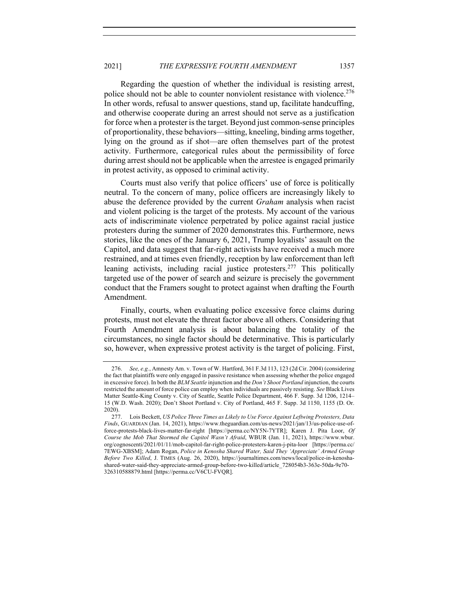Regarding the question of whether the individual is resisting arrest, police should not be able to counter nonviolent resistance with violence.<sup>276</sup> In other words, refusal to answer questions, stand up, facilitate handcuffing, and otherwise cooperate during an arrest should not serve as a justification for force when a protester is the target. Beyond just common-sense principles of proportionality, these behaviors—sitting, kneeling, binding arms together, lying on the ground as if shot—are often themselves part of the protest activity. Furthermore, categorical rules about the permissibility of force during arrest should not be applicable when the arrestee is engaged primarily in protest activity, as opposed to criminal activity.

Courts must also verify that police officers' use of force is politically neutral. To the concern of many, police officers are increasingly likely to abuse the deference provided by the current *Graham* analysis when racist and violent policing is the target of the protests. My account of the various acts of indiscriminate violence perpetrated by police against racial justice protesters during the summer of 2020 demonstrates this. Furthermore, news stories, like the ones of the January 6, 2021, Trump loyalists' assault on the Capitol, and data suggest that far-right activists have received a much more restrained, and at times even friendly, reception by law enforcement than left leaning activists, including racial justice protesters.<sup>277</sup> This politically targeted use of the power of search and seizure is precisely the government conduct that the Framers sought to protect against when drafting the Fourth Amendment.

Finally, courts, when evaluating police excessive force claims during protests, must not elevate the threat factor above all others. Considering that Fourth Amendment analysis is about balancing the totality of the circumstances, no single factor should be determinative. This is particularly so, however, when expressive protest activity is the target of policing. First,

<sup>276.</sup> *See, e.g.*, Amnesty Am. v. Town of W. Hartford, 361 F.3d 113, 123 (2d Cir. 2004) (considering the fact that plaintiffs were only engaged in passive resistance when assessing whether the police engaged in excessive force). In both the *BLM Seattle* injunction and the *Don't Shoot Portland* injunction, the courts restricted the amount of force police can employ when individuals are passively resisting. *See* Black Lives Matter Seattle-King County v. City of Seattle, Seattle Police Department, 466 F. Supp. 3d 1206, 1214– 15 (W.D. Wash. 2020); Don't Shoot Portland v. City of Portland, 465 F. Supp. 3d 1150, 1155 (D. Or. 2020).

<sup>277.</sup> Lois Beckett, *US Police Three Times as Likely to Use Force Against Leftwing Protesters, Data Finds*, GUARDIAN (Jan. 14, 2021), https://www.theguardian.com/us-news/2021/jan/13/us-police-use-offorce-protests-black-lives-matter-far-right [https://perma.cc/NY5N-7YTR]; Karen J. Pita Loor, *Of Course the Mob That Stormed the Capitol Wasn't Afraid*, WBUR (Jan. 11, 2021), https://www.wbur. org/cognoscenti/2021/01/11/mob-capitol-far-right-police-protesters-karen-j-pita-loor [https://perma.cc/ 7EWG-XBSM]; Adam Rogan, *Police in Kenosha Shared Water, Said They 'Appreciate' Armed Group Before Two Killed*, J. TIMES (Aug. 26, 2020), https://journaltimes.com/news/local/police-in-kenoshashared-water-said-they-appreciate-armed-group-before-two-killed/article\_728054b3-363e-50da-9e70- 326310588879.html [https://perma.cc/V6CU-FVQR].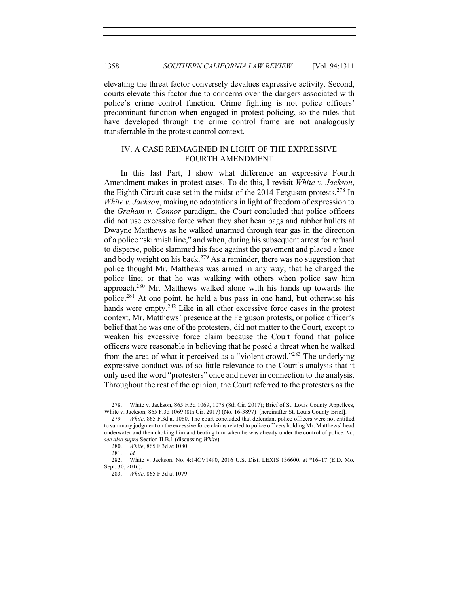elevating the threat factor conversely devalues expressive activity. Second, courts elevate this factor due to concerns over the dangers associated with police's crime control function. Crime fighting is not police officers' predominant function when engaged in protest policing, so the rules that have developed through the crime control frame are not analogously transferrable in the protest control context.

# IV. A CASE REIMAGINED IN LIGHT OF THE EXPRESSIVE FOURTH AMENDMENT

In this last Part, I show what difference an expressive Fourth Amendment makes in protest cases. To do this, I revisit *White v. Jackson*, the Eighth Circuit case set in the midst of the 2014 Ferguson protests.<sup>278</sup> In *White v. Jackson*, making no adaptations in light of freedom of expression to the *Graham v. Connor* paradigm, the Court concluded that police officers did not use excessive force when they shot bean bags and rubber bullets at Dwayne Matthews as he walked unarmed through tear gas in the direction of a police "skirmish line," and when, during his subsequent arrest for refusal to disperse, police slammed his face against the pavement and placed a knee and body weight on his back.<sup>279</sup> As a reminder, there was no suggestion that police thought Mr. Matthews was armed in any way; that he charged the police line; or that he was walking with others when police saw him approach.<sup>280</sup> Mr. Matthews walked alone with his hands up towards the police.281 At one point, he held a bus pass in one hand, but otherwise his hands were empty.<sup>282</sup> Like in all other excessive force cases in the protest context, Mr. Matthews' presence at the Ferguson protests, or police officer's belief that he was one of the protesters, did not matter to the Court, except to weaken his excessive force claim because the Court found that police officers were reasonable in believing that he posed a threat when he walked from the area of what it perceived as a "violent crowd."<sup>283</sup> The underlying expressive conduct was of so little relevance to the Court's analysis that it only used the word "protesters" once and never in connection to the analysis. Throughout the rest of the opinion, the Court referred to the protesters as the

<sup>278.</sup> White v. Jackson, 865 F.3d 1069, 1078 (8th Cir. 2017); Brief of St. Louis County Appellees, White v. Jackson, 865 F.3d 1069 (8th Cir. 2017) (No. 16-3897) [hereinafter St. Louis County Brief].

<sup>279</sup>*. White*, 865 F.3d at 1080. The court concluded that defendant police officers were not entitled to summary judgment on the excessive force claims related to police officers holding Mr. Matthews' head underwater and then choking him and beating him when he was already under the control of police. *Id.*; *see also supra* Section II.B.1 (discussing *White*).

<sup>280.</sup> *White*, 865 F.3d at 1080.

<sup>281.</sup> *Id.*

<sup>282.</sup> White v. Jackson, No. 4:14CV1490, 2016 U.S. Dist. LEXIS 136600, at \*16–17 (E.D. Mo. Sept. 30, 2016).

<sup>283.</sup> *White*, 865 F.3d at 1079.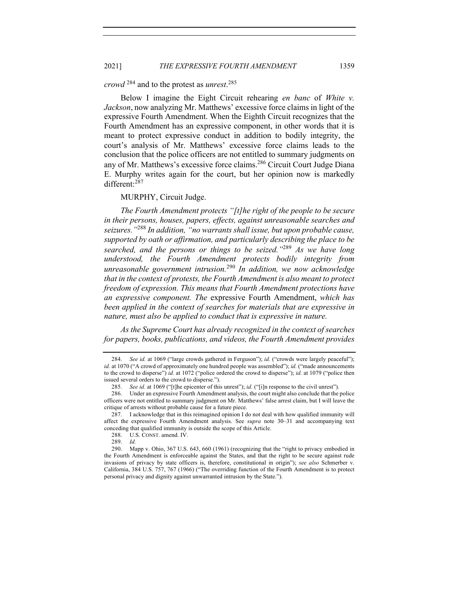# *crowd* <sup>284</sup> and to the protest as *unrest*. 285

Below I imagine the Eight Circuit rehearing *en banc* of *White v. Jackson*, now analyzing Mr. Matthews' excessive force claims in light of the expressive Fourth Amendment. When the Eighth Circuit recognizes that the Fourth Amendment has an expressive component, in other words that it is meant to protect expressive conduct in addition to bodily integrity, the court's analysis of Mr. Matthews' excessive force claims leads to the conclusion that the police officers are not entitled to summary judgments on any of Mr. Matthews's excessive force claims.<sup>286</sup> Circuit Court Judge Diana E. Murphy writes again for the court, but her opinion now is markedly different:<sup>287</sup>

## MURPHY, Circuit Judge.

*The Fourth Amendment protects "[t]he right of the people to be secure in their persons, houses, papers, effects, against unreasonable searches and seizures."*<sup>288</sup> *In addition, "no warrants shall issue, but upon probable cause, supported by oath or affirmation, and particularly describing the place to be searched, and the persons or things to be seized."*<sup>289</sup> *As we have long understood, the Fourth Amendment protects bodily integrity from unreasonable government intrusion.*<sup>290</sup> *In addition, we now acknowledge that in the context of protests, the Fourth Amendment is also meant to protect freedom of expression. This means that Fourth Amendment protections have an expressive component. The* expressive Fourth Amendment, *which has been applied in the context of searches for materials that are expressive in nature, must also be applied to conduct that is expressive in nature.*

*As the Supreme Court has already recognized in the context of searches for papers, books, publications, and videos, the Fourth Amendment provides* 

<sup>284.</sup> *See id.* at 1069 ("large crowds gathered in Ferguson"); *id.* ("crowds were largely peaceful"); *id.* at 1070 ("A crowd of approximately one hundred people was assembled"); *id.* ("made announcements to the crowd to disperse") *id.* at 1072 ("police ordered the crowd to disperse"); *id.* at 1079 ("police then issued several orders to the crowd to disperse.").

<sup>285.</sup> *See id.* at 1069 ("[t]he epicenter of this unrest"); *id.* ("[i]n response to the civil unrest").

<sup>286.</sup> Under an expressive Fourth Amendment analysis, the court might also conclude that the police officers were not entitled to summary judgment on Mr. Matthews' false arrest claim, but I will leave the critique of arrests without probable cause for a future piece.

<sup>287.</sup> I acknowledge that in this reimagined opinion I do not deal with how qualified immunity will affect the expressive Fourth Amendment analysis. See *supra* note 30–31 and accompanying text conceding that qualified immunity is outside the scope of this Article.

<sup>288.</sup> U.S. CONST. amend. IV.

<sup>289.</sup> *Id.*

<sup>290.</sup> Mapp v. Ohio, 367 U.S. 643, 660 (1961) (recognizing that the "right to privacy embodied in the Fourth Amendment is enforceable against the States, and that the right to be secure against rude invasions of privacy by state officers is, therefore, constitutional in origin"); *see also* Schmerber v. California, 384 U.S. 757, 767 (1966) ("The overriding function of the Fourth Amendment is to protect personal privacy and dignity against unwarranted intrusion by the State.").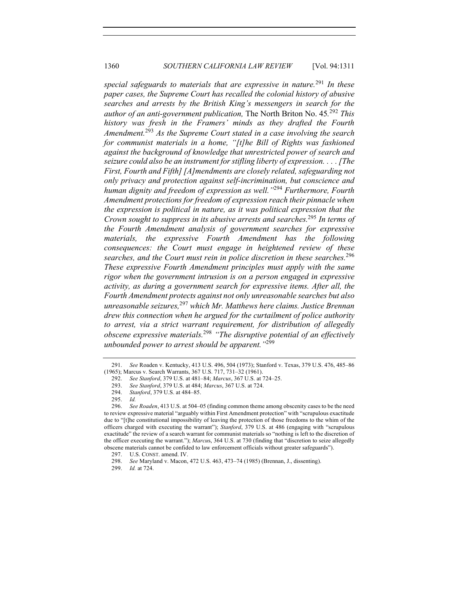*special safeguards to materials that are expressive in nature.*<sup>291</sup> *In these paper cases, the Supreme Court has recalled the colonial history of abusive searches and arrests by the British King's messengers in search for the author of an anti-government publication,* The North Briton No. 45*.* <sup>292</sup> *This history was fresh in the Framers' minds as they drafted the Fourth Amendment.*<sup>293</sup> *As the Supreme Court stated in a case involving the search for communist materials in a home, "[t]he Bill of Rights was fashioned against the background of knowledge that unrestricted power of search and seizure could also be an instrument for stifling liberty of expression. . . . [The First, Fourth and Fifth] [A]mendments are closely related, safeguarding not only privacy and protection against self-incrimination, but conscience and human dignity and freedom of expression as well."*<sup>294</sup> *Furthermore, Fourth Amendment protections for freedom of expression reach their pinnacle when the expression is political in nature, as it was political expression that the Crown sought to suppress in its abusive arrests and searches.* <sup>295</sup> *In terms of the Fourth Amendment analysis of government searches for expressive materials, the expressive Fourth Amendment has the following consequences: the Court must engage in heightened review of these searches, and the Court must rein in police discretion in these searches.*<sup>296</sup> *These expressive Fourth Amendment principles must apply with the same rigor when the government intrusion is on a person engaged in expressive activity, as during a government search for expressive items. After all, the Fourth Amendment protects against not only unreasonable searches but also unreasonable seizures,*<sup>297</sup> *which Mr. Matthews here claims. Justice Brennan drew this connection when he argued for the curtailment of police authority to arrest, via a strict warrant requirement, for distribution of allegedly obscene expressive materials.*<sup>298</sup> *"The disruptive potential of an effectively unbounded power to arrest should be apparent."*<sup>299</sup>

299. *Id.* at 724.

<sup>291.</sup> *See* Roaden v. Kentucky, 413 U.S. 496, 504 (1973); Stanford v. Texas, 379 U.S. 476, 485–86 (1965); Marcus v. Search Warrants, 367 U.S. 717, 731–32 (1961).

<sup>292.</sup> *See Stanford*, 379 U.S. at 481–84; *Marcus*, 367 U.S. at 724–25.

<sup>293.</sup> *See Stanford*, 379 U.S. at 484; *Marcus*, 367 U.S. at 724.

<sup>294.</sup> *Stanford*, 379 U.S. at 484–85.

<sup>295.</sup> *Id.*

<sup>296.</sup> *See Roaden*, 413 U.S. at 504–05 (finding common theme among obscenity cases to be the need to review expressive material "arguably within First Amendment protection" with "scrupulous exactitude due to "[t]he constitutional impossibility of leaving the protection of those freedoms to the whim of the officers charged with executing the warrant"); *Stanford*, 379 U.S. at 486 (engaging with "scrupulous exactitude" the review of a search warrant for communist materials so "nothing is left to the discretion of the officer executing the warrant."); *Marcu*s, 364 U.S. at 730 (finding that "discretion to seize allegedly obscene materials cannot be confided to law enforcement officials without greater safeguards").

<sup>297.</sup> U.S. CONST. amend. IV.

<sup>298.</sup> *See* Maryland v. Macon, 472 U.S. 463, 473–74 (1985) (Brennan, J., dissenting).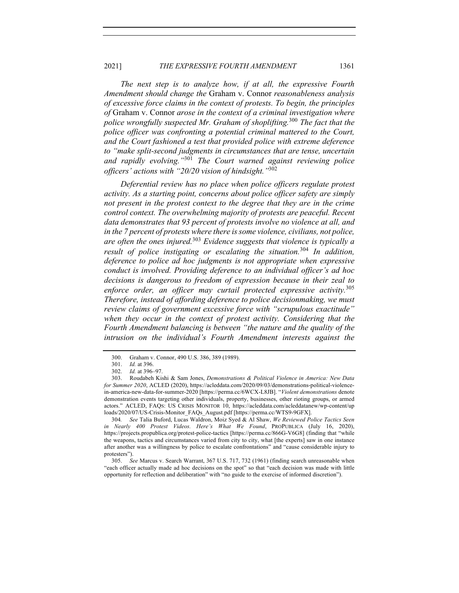## 2021] *THE EXPRESSIVE FOURTH AMENDMENT* 1361

*The next step is to analyze how, if at all, the expressive Fourth Amendment should change the* Graham v. Connor *reasonableness analysis of excessive force claims in the context of protests. To begin, the principles of* Graham v. Connor *arose in the context of a criminal investigation where police wrongfully suspected Mr. Graham of shoplifting.*<sup>300</sup> *The fact that the police officer was confronting a potential criminal mattered to the Court, and the Court fashioned a test that provided police with extreme deference to "make split-second judgments in circumstances that are tense, uncertain and rapidly evolving."*<sup>301</sup> *The Court warned against reviewing police officers' actions with "20/20 vision of hindsight."*<sup>302</sup>

*Deferential review has no place when police officers regulate protest activity. As a starting point, concerns about police officer safety are simply not present in the protest context to the degree that they are in the crime control context. The overwhelming majority of protests are peaceful. Recent data demonstrates that 93 percent of protests involve no violence at all, and in the 7 percent of protests where there is some violence, civilians, not police, are often the ones injured.*<sup>303</sup> *Evidence suggests that violence is typically a result of police instigating or escalating the situation.*<sup>304</sup> *In addition, deference to police ad hoc judgments is not appropriate when expressive conduct is involved. Providing deference to an individual officer's ad hoc decisions is dangerous to freedom of expression because in their zeal to enforce order, an officer may curtail protected expressive activity.*<sup>305</sup> *Therefore, instead of affording deference to police decisionmaking, we must review claims of government excessive force with "scrupulous exactitude" when they occur in the context of protest activity. Considering that the Fourth Amendment balancing is between "the nature and the quality of the intrusion on the individual's Fourth Amendment interests against the* 

304*. See* Talia Buford, Lucas Waldron, Moiz Syed & Al Shaw, *We Reviewed Police Tactics Seen in Nearly 400 Protest Videos. Here's What We Found*, PROPUBLICA (July 16, 2020), https://projects.propublica.org/protest-police-tactics [https://perma.cc/866G-V6G8] (finding that "while the weapons, tactics and circumstances varied from city to city, what [the experts] saw in one instance after another was a willingness by police to escalate confrontations" and "cause considerable injury to protesters").

305. *See* Marcus v. Search Warrant, 367 U.S. 717, 732 (1961) (finding search unreasonable when "each officer actually made ad hoc decisions on the spot" so that "each decision was made with little opportunity for reflection and deliberation" with "no guide to the exercise of informed discretion").

<sup>300.</sup> Graham v. Connor, 490 U.S. 386, 389 (1989).<br>301. *Id.* at 396.

*Id.* at 396.

<sup>302.</sup> *Id.* at 396–97.

<sup>303.</sup> Roudabeh Kishi & Sam Jones, *Demonstrations & Political Violence in America: New Data for Summer 2020*, ACLED (2020), https://acleddata.com/2020/09/03/demonstrations-political-violencein-america-new-data-for-summer-2020 [https://perma.cc/6WCX-L8JB]. "*Violent demonstrations* denote demonstration events targeting other individuals, property, businesses, other rioting groups, or armed actors." ACLED, FAQS: US CRISIS MONITOR 10, https://acleddata.com/acleddatanew/wp-content/up loads/2020/07/US-Crisis-Monitor\_FAQs\_August.pdf [https://perma.cc/WTS9-9GFX].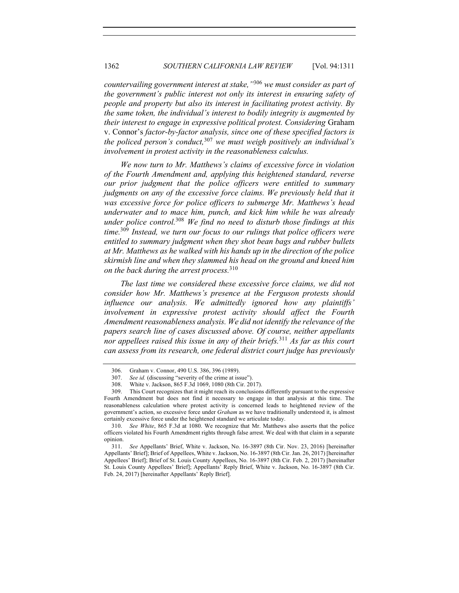*countervailing government interest at stake,"*<sup>306</sup> *we must consider as part of the government's public interest not only its interest in ensuring safety of people and property but also its interest in facilitating protest activity. By the same token, the individual's interest to bodily integrity is augmented by their interest to engage in expressive political protest. Considering* Graham v. Connor's *factor-by-factor analysis, since one of these specified factors is the policed person's conduct,*<sup>307</sup> *we must weigh positively an individual's involvement in protest activity in the reasonableness calculus.*

*We now turn to Mr. Matthews's claims of excessive force in violation of the Fourth Amendment and, applying this heightened standard, reverse our prior judgment that the police officers were entitled to summary judgments on any of the excessive force claims. We previously held that it was excessive force for police officers to submerge Mr. Matthews's head underwater and to mace him, punch, and kick him while he was already under police control.*<sup>308</sup> *We find no need to disturb those findings at this time.*<sup>309</sup> *Instead, we turn our focus to our rulings that police officers were entitled to summary judgment when they shot bean bags and rubber bullets at Mr. Matthews as he walked with his hands up in the direction of the police skirmish line and when they slammed his head on the ground and kneed him on the back during the arrest process.*<sup>310</sup>

*The last time we considered these excessive force claims, we did not consider how Mr. Matthews's presence at the Ferguson protests should influence our analysis. We admittedly ignored how any plaintiffs' involvement in expressive protest activity should affect the Fourth Amendment reasonableness analysis. We did not identify the relevance of the papers search line of cases discussed above. Of course, neither appellants nor appellees raised this issue in any of their briefs.*<sup>311</sup> *As far as this court can assess from its research, one federal district court judge has previously* 

<sup>306.</sup> Graham v. Connor, 490 U.S. 386, 396 (1989).

<sup>307.</sup> *See id.* (discussing "severity of the crime at issue").

<sup>308.</sup> White v. Jackson, 865 F.3d 1069, 1080 (8th Cir. 2017).

<sup>309.</sup> This Court recognizes that it might reach its conclusions differently pursuant to the expressive Fourth Amendment but does not find it necessary to engage in that analysis at this time. The reasonableness calculation where protest activity is concerned leads to heightened review of the government's action, so excessive force under *Graham* as we have traditionally understood it, is almost certainly excessive force under the heightened standard we articulate today.

<sup>310.</sup> *See White*, 865 F.3d at 1080. We recognize that Mr. Matthews also asserts that the police officers violated his Fourth Amendment rights through false arrest. We deal with that claim in a separate opinion.

<sup>311.</sup> *See* Appellants' Brief, White v. Jackson, No. 16-3897 (8th Cir. Nov. 23, 2016) [hereinafter Appellants' Brief]; Brief of Appellees, White v. Jackson, No. 16-3897 (8th Cir. Jan. 26, 2017) [hereinafter Appellees' Brief]; Brief of St. Louis County Appellees, No. 16-3897 (8th Cir. Feb. 2, 2017) [hereinafter St. Louis County Appellees' Brief]; Appellants' Reply Brief, White v. Jackson, No. 16-3897 (8th Cir. Feb. 24, 2017) [hereinafter Appellants' Reply Brief].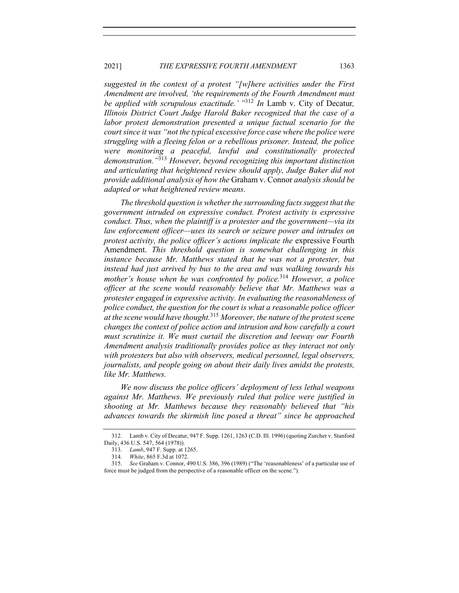## 2021] *THE EXPRESSIVE FOURTH AMENDMENT* 1363

*suggested in the context of a protest "[w]here activities under the First Amendment are involved, 'the requirements of the Fourth Amendment must be applied with scrupulous exactitude.' "*<sup>312</sup> *In* Lamb v. City of Decatur*, Illinois District Court Judge Harold Baker recognized that the case of a labor protest demonstration presented a unique factual scenario for the court since it was "not the typical excessive force case where the police were struggling with a fleeing felon or a rebellious prisoner. Instead, the police were monitoring a peaceful, lawful and constitutionally protected demonstration."*<sup>313</sup> *However, beyond recognizing this important distinction and articulating that heightened review should apply, Judge Baker did not provide additional analysis of how the* Graham v. Connor *analysis should be adapted or what heightened review means.*

*The threshold question is whether the surrounding facts suggest that the government intruded on expressive conduct. Protest activity is expressive conduct. Thus, when the plaintiff is a protester and the government—via its law enforcement officer—uses its search or seizure power and intrudes on protest activity, the police officer's actions implicate the* expressive Fourth Amendment. *This threshold question is somewhat challenging in this instance because Mr. Matthews stated that he was not a protester, but instead had just arrived by bus to the area and was walking towards his mother's house when he was confronted by police.*<sup>314</sup> *However, a police officer at the scene would reasonably believe that Mr. Matthews was a protester engaged in expressive activity. In evaluating the reasonableness of police conduct, the question for the court is what a reasonable police officer at the scene would have thought.*<sup>315</sup> *Moreover, the nature of the protest scene changes the context of police action and intrusion and how carefully a court must scrutinize it. We must curtail the discretion and leeway our Fourth Amendment analysis traditionally provides police as they interact not only with protesters but also with observers, medical personnel, legal observers, journalists, and people going on about their daily lives amidst the protests, like Mr. Matthews.*

*We now discuss the police officers' deployment of less lethal weapons against Mr. Matthews. We previously ruled that police were justified in shooting at Mr. Matthews because they reasonably believed that "his advances towards the skirmish line posed a threat" since he approached* 

<sup>312.</sup> Lamb v. City of Decatur, 947 F. Supp. 1261, 1263 (C.D. Ill. 1996) (quoting Zurcher v. Stanford Daily, 436 U.S. 547, 564 (1978)).

<sup>313.</sup> *Lamb*, 947 F. Supp. at 1265.

<sup>314.</sup> *White*, 865 F.3d at 1072.

<sup>315.</sup> *See* Graham v. Connor, 490 U.S. 386, 396 (1989) ("The 'reasonableness' of a particular use of force must be judged from the perspective of a reasonable officer on the scene.").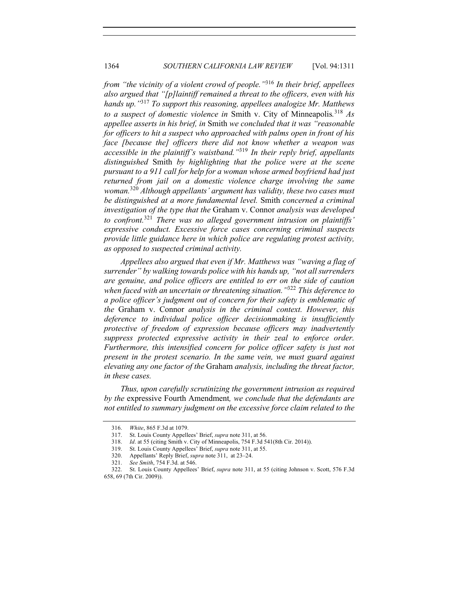*from "the vicinity of a violent crowd of people."*<sup>316</sup> *In their brief, appellees also argued that "[p]laintiff remained a threat to the officers, even with his hands up."*<sup>317</sup> *To support this reasoning, appellees analogize Mr. Matthews to a suspect of domestic violence in* Smith v. City of Minneapolis*.* <sup>318</sup> *As appellee asserts in his brief, in* Smith *we concluded that it was "reasonable for officers to hit a suspect who approached with palms open in front of his face [because the] officers there did not know whether a weapon was accessible in the plaintiff's waistband."*<sup>319</sup> *In their reply brief, appellants distinguished* Smith *by highlighting that the police were at the scene pursuant to a 911 call for help for a woman whose armed boyfriend had just returned from jail on a domestic violence charge involving the same woman.*<sup>320</sup> *Although appellants' argument has validity, these two cases must be distinguished at a more fundamental level.* Smith *concerned a criminal investigation of the type that the* Graham v. Connor *analysis was developed to confront.*<sup>321</sup> *There was no alleged government intrusion on plaintiffs' expressive conduct. Excessive force cases concerning criminal suspects provide little guidance here in which police are regulating protest activity, as opposed to suspected criminal activity.*

*Appellees also argued that even if Mr. Matthews was "waving a flag of surrender" by walking towards police with his hands up, "not all surrenders are genuine, and police officers are entitled to err on the side of caution when faced with an uncertain or threatening situation."*<sup>322</sup> *This deference to a police officer's judgment out of concern for their safety is emblematic of the* Graham v. Connor *analysis in the criminal context. However, this deference to individual police officer decisionmaking is insufficiently protective of freedom of expression because officers may inadvertently suppress protected expressive activity in their zeal to enforce order.*  Furthermore, this intensified concern for police officer safety is just not *present in the protest scenario. In the same vein, we must guard against elevating any one factor of the* Graham *analysis, including the threat factor, in these cases.*

*Thus, upon carefully scrutinizing the government intrusion as required by the* expressive Fourth Amendment*, we conclude that the defendants are not entitled to summary judgment on the excessive force claim related to the* 

<sup>316.</sup> *White*, 865 F.3d at 1079.

<sup>317.</sup> St. Louis County Appellees' Brief, *supra* note 311, at 56.

<sup>318.</sup> *Id*. at 55 (citing Smith v. City of Minneapolis, 754 F.3d 541(8th Cir. 2014)).

<sup>319.</sup> St. Louis County Appellees' Brief, *supra* note 311, at 55.

<sup>320.</sup> Appellants' Reply Brief, *supra* note 311, at 23–24.

<sup>321.</sup> *See Smith*, 754 F.3d. at 546.

<sup>322.</sup> St. Louis County Appellees' Brief, *supra* note 311, at 55 (citing Johnson v. Scott, 576 F.3d 658, 69 (7th Cir. 2009)).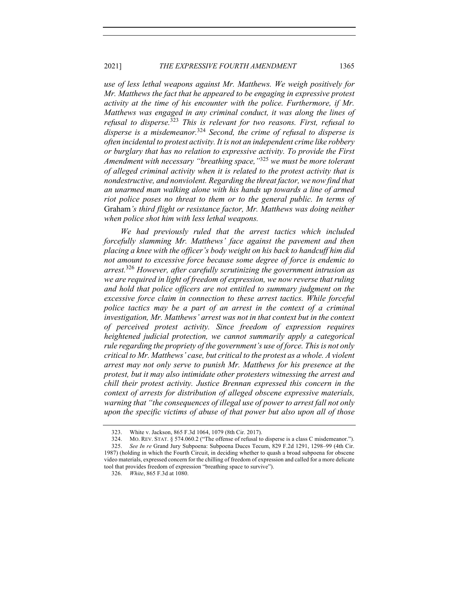*use of less lethal weapons against Mr. Matthews. We weigh positively for Mr. Matthews the fact that he appeared to be engaging in expressive protest activity at the time of his encounter with the police. Furthermore, if Mr. Matthews was engaged in any criminal conduct, it was along the lines of refusal to disperse.*<sup>323</sup> *This is relevant for two reasons. First, refusal to disperse is a misdemeanor.*<sup>324</sup> *Second, the crime of refusal to disperse is often incidental to protest activity. It is not an independent crime like robbery or burglary that has no relation to expressive activity. To provide the First Amendment with necessary "breathing space,"*<sup>325</sup> *we must be more tolerant of alleged criminal activity when it is related to the protest activity that is nondestructive, and nonviolent. Regarding the threat factor, we now find that an unarmed man walking alone with his hands up towards a line of armed riot police poses no threat to them or to the general public. In terms of*  Graham*'s third flight or resistance factor, Mr. Matthews was doing neither when police shot him with less lethal weapons.*

*We had previously ruled that the arrest tactics which included forcefully slamming Mr. Matthews' face against the pavement and then placing a knee with the officer's body weight on his back to handcuff him did not amount to excessive force because some degree of force is endemic to arrest.*<sup>326</sup> *However, after carefully scrutinizing the government intrusion as we are required in light of freedom of expression, we now reverse that ruling and hold that police officers are not entitled to summary judgment on the excessive force claim in connection to these arrest tactics. While forceful police tactics may be a part of an arrest in the context of a criminal investigation, Mr. Matthews' arrest was not in that context but in the context of perceived protest activity. Since freedom of expression requires heightened judicial protection, we cannot summarily apply a categorical rule regarding the propriety of the government's use of force. This is not only critical to Mr. Matthews' case, but critical to the protest as a whole. A violent arrest may not only serve to punish Mr. Matthews for his presence at the protest, but it may also intimidate other protesters witnessing the arrest and chill their protest activity. Justice Brennan expressed this concern in the context of arrests for distribution of alleged obscene expressive materials, warning that "the consequences of illegal use of power to arrest fall not only upon the specific victims of abuse of that power but also upon all of those* 

<sup>323.</sup> White v. Jackson, 865 F.3d 1064, 1079 (8th Cir. 2017).

<sup>324.</sup> MO. REV. STAT. § 574.060.2 ("The offense of refusal to disperse is a class C misdemeanor."). 325. *See In re* Grand Jury Subpoena: Subpoena Duces Tecum, 829 F.2d 1291, 1298–99 (4th Cir. 1987) (holding in which the Fourth Circuit, in deciding whether to quash a broad subpoena for obscene video materials, expressed concern for the chilling of freedom of expression and called for a more delicate tool that provides freedom of expression "breathing space to survive").

<sup>326.</sup> *White*, 865 F.3d at 1080.